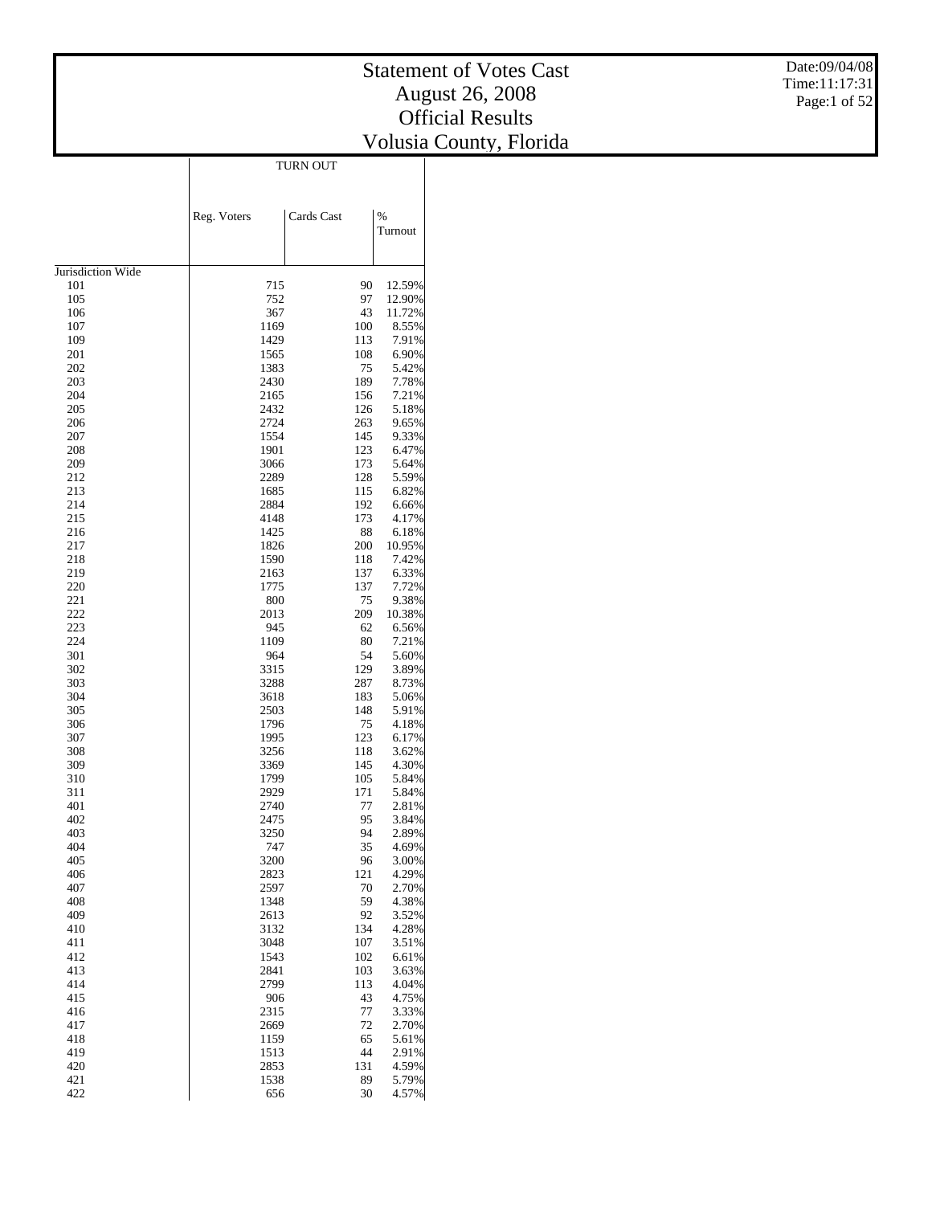Date:09/04/08 Time:11:17:31 Page:1 of 52

|                   | <b>TURN OUT</b> |            |                          |  |  |  |
|-------------------|-----------------|------------|--------------------------|--|--|--|
|                   |                 |            |                          |  |  |  |
|                   |                 |            |                          |  |  |  |
|                   | Reg. Voters     | Cards Cast | $\frac{0}{0}$<br>Turnout |  |  |  |
|                   |                 |            |                          |  |  |  |
|                   |                 |            |                          |  |  |  |
| Jurisdiction Wide |                 |            |                          |  |  |  |
| 101<br>105        | 715<br>752      | 90<br>97   | 12.59%<br>12.90%         |  |  |  |
| 106               | 367             | 43         | 11.72%                   |  |  |  |
| 107               | 1169            | 100        | 8.55%                    |  |  |  |
| 109               | 1429            | 113        | 7.91%                    |  |  |  |
| 201               | 1565            | 108        | 6.90%                    |  |  |  |
| 202<br>203        | 1383<br>2430    | 75<br>189  | 5.42%<br>7.78%           |  |  |  |
| 204               | 2165            | 156        | 7.21%                    |  |  |  |
| 205               | 2432            | 126        | 5.18%                    |  |  |  |
| 206               | 2724            | 263        | 9.65%                    |  |  |  |
| 207               | 1554            | 145        | 9.33%                    |  |  |  |
| 208<br>209        | 1901<br>3066    | 123<br>173 | 6.47%<br>5.64%           |  |  |  |
| 212               | 2289            | 128        | 5.59%                    |  |  |  |
| 213               | 1685            | 115        | 6.82%                    |  |  |  |
| 214               | 2884            | 192        | 6.66%                    |  |  |  |
| 215               | 4148            | 173        | 4.17%                    |  |  |  |
| 216<br>217        | 1425<br>1826    | 88<br>200  | 6.18%<br>10.95%          |  |  |  |
| 218               | 1590            | 118        | 7.42%                    |  |  |  |
| 219               | 2163            | 137        | 6.33%                    |  |  |  |
| 220               | 1775            | 137        | 7.72%                    |  |  |  |
| 221               | 800             | 75         | 9.38%                    |  |  |  |
| 222               | 2013            | 209        | 10.38%                   |  |  |  |
| 223<br>224        | 945<br>1109     | 62<br>80   | 6.56%<br>7.21%           |  |  |  |
| 301               | 964             | 54         | 5.60%                    |  |  |  |
| 302               | 3315            | 129        | 3.89%                    |  |  |  |
| 303               | 3288            | 287        | 8.73%                    |  |  |  |
| 304               | 3618            | 183        | 5.06%                    |  |  |  |
| 305<br>306        | 2503<br>1796    | 148<br>75  | 5.91%<br>4.18%           |  |  |  |
| 307               | 1995            | 123        | 6.17%                    |  |  |  |
| 308               | 3256            | 118        | 3.62%                    |  |  |  |
| 309               | 3369            | 145        | 4.30%                    |  |  |  |
| 310               | 1799            | 105        | 5.84%                    |  |  |  |
| 311<br>401        | 2929<br>2740    | 171<br>77  | 5.84%<br>2.81%           |  |  |  |
| 402               | 2475            | 95         | 3.84%                    |  |  |  |
| 403               | 3250            | 94         | 2.89%                    |  |  |  |
| 404               | 747             | 35         | 4.69%                    |  |  |  |
| 405               | 3200            | 96         | 3.00%                    |  |  |  |
| 406<br>407        | 2823<br>2597    | 121<br>70  | 4.29%<br>2.70%           |  |  |  |
| 408               | 1348            | 59         | 4.38%                    |  |  |  |
| 409               | 2613            | 92         | 3.52%                    |  |  |  |
| 410               | 3132            | 134        | 4.28%                    |  |  |  |
| 411               | 3048            | 107        | 3.51%                    |  |  |  |
| 412<br>413        | 1543<br>2841    | 102<br>103 | 6.61%<br>3.63%           |  |  |  |
| 414               | 2799            | 113        | 4.04%                    |  |  |  |
| 415               | 906             | 43         | 4.75%                    |  |  |  |
| 416               | 2315            | 77         | 3.33%                    |  |  |  |
| 417               | 2669            | 72         | 2.70%                    |  |  |  |
| 418<br>419        | 1159<br>1513    | 65<br>44   | 5.61%<br>2.91%           |  |  |  |
| 420               | 2853            | 131        | 4.59%                    |  |  |  |
| 421               | 1538            | 89         | 5.79%                    |  |  |  |
| 422               | 656             | 30         | 4.57%                    |  |  |  |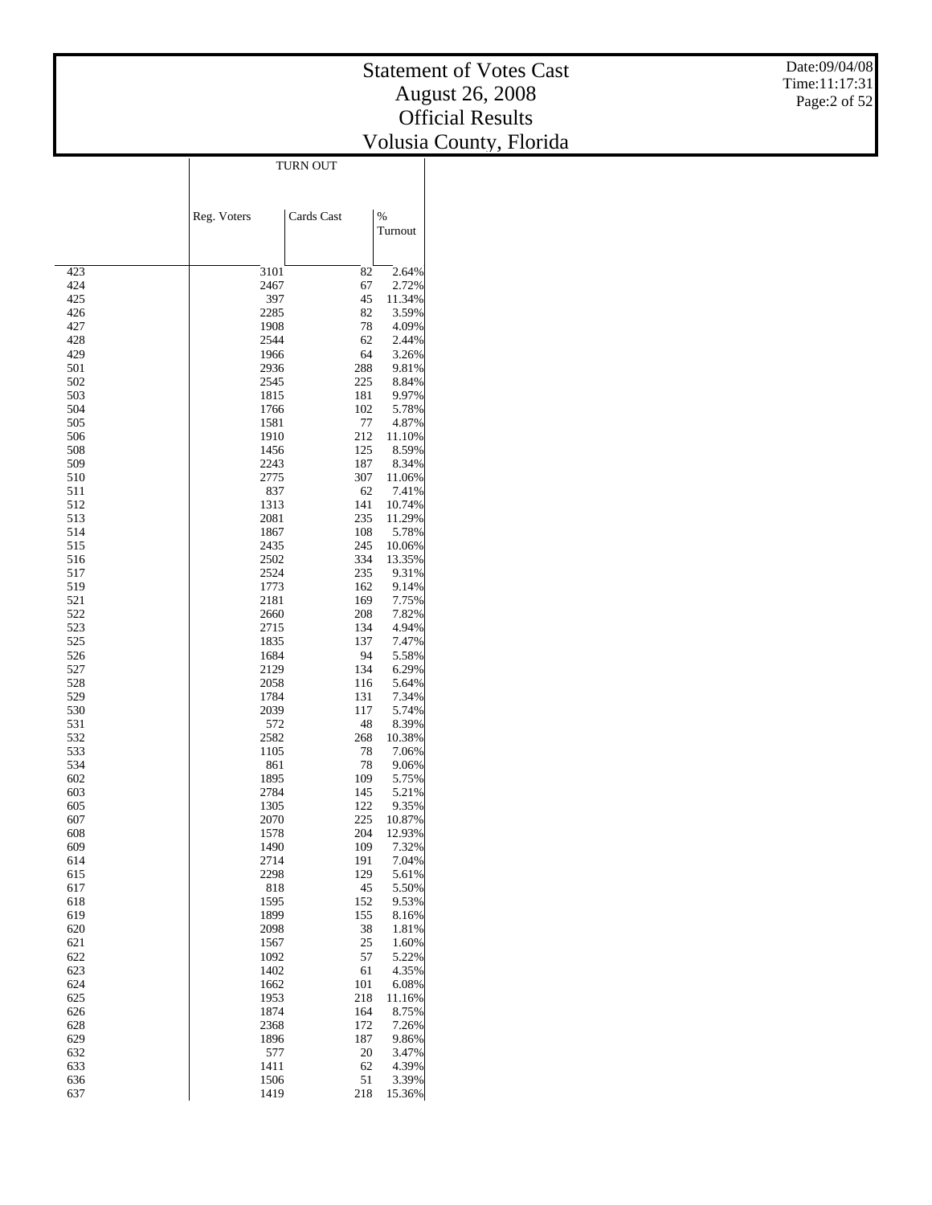Date:09/04/08 Time:11:17:31 Page:2 of 52

|            | TURN OUT     |            |                 |  |  |  |  |
|------------|--------------|------------|-----------------|--|--|--|--|
|            |              |            |                 |  |  |  |  |
|            |              |            |                 |  |  |  |  |
|            | Reg. Voters  | Cards Cast | $\%$            |  |  |  |  |
|            |              |            | Turnout         |  |  |  |  |
|            |              |            |                 |  |  |  |  |
|            |              |            |                 |  |  |  |  |
| 423        | 3101         | 82         | 2.64%           |  |  |  |  |
| 424<br>425 | 2467<br>397  | 67<br>45   | 2.72%<br>11.34% |  |  |  |  |
| 426        | 2285         | 82         | 3.59%           |  |  |  |  |
| 427        | 1908         | 78         | 4.09%           |  |  |  |  |
| 428        | 2544         | 62         | 2.44%           |  |  |  |  |
| 429        | 1966         | 64         | 3.26%           |  |  |  |  |
| 501<br>502 | 2936<br>2545 | 288<br>225 | 9.81%           |  |  |  |  |
| 503        | 1815         | 181        | 8.84%<br>9.97%  |  |  |  |  |
| 504        | 1766         | 102        | 5.78%           |  |  |  |  |
| 505        | 1581         | 77         | 4.87%           |  |  |  |  |
| 506        | 1910         | 212        | 11.10%          |  |  |  |  |
| 508        | 1456         | 125        | 8.59%           |  |  |  |  |
| 509<br>510 | 2243<br>2775 | 187<br>307 | 8.34%<br>11.06% |  |  |  |  |
| 511        | 837          | 62         | 7.41%           |  |  |  |  |
| 512        | 1313         | 141        | 10.74%          |  |  |  |  |
| 513        | 2081         | 235        | 11.29%          |  |  |  |  |
| 514        | 1867         | 108        | 5.78%           |  |  |  |  |
| 515        | 2435         | 245        | 10.06%          |  |  |  |  |
| 516<br>517 | 2502<br>2524 | 334<br>235 | 13.35%<br>9.31% |  |  |  |  |
| 519        | 1773         | 162        | 9.14%           |  |  |  |  |
| 521        | 2181         | 169        | 7.75%           |  |  |  |  |
| 522        | 2660         | 208        | 7.82%           |  |  |  |  |
| 523        | 2715         | 134        | 4.94%           |  |  |  |  |
| 525        | 1835         | 137        | 7.47%           |  |  |  |  |
| 526<br>527 | 1684<br>2129 | 94<br>134  | 5.58%<br>6.29%  |  |  |  |  |
| 528        | 2058         | 116        | 5.64%           |  |  |  |  |
| 529        | 1784         | 131        | 7.34%           |  |  |  |  |
| 530        | 2039         | 117        | 5.74%           |  |  |  |  |
| 531        | 572          | 48         | 8.39%           |  |  |  |  |
| 532<br>533 | 2582<br>1105 | 268<br>78  | 10.38%<br>7.06% |  |  |  |  |
| 534        | 861          | 78         | 9.06%           |  |  |  |  |
| 602        | 1895         | 109        | 5.75%           |  |  |  |  |
| 603        | 2784         | 145        | 5.21%           |  |  |  |  |
| 605        | 1305         | 122        | 9.35%           |  |  |  |  |
| 607        | 2070         | 225        | 10.87%          |  |  |  |  |
| 608<br>609 | 1578<br>1490 | 204<br>109 | 12.93%<br>7.32% |  |  |  |  |
| 614        | 2714         | 191        | 7.04%           |  |  |  |  |
| 615        | 2298         | 129        | 5.61%           |  |  |  |  |
| 617        | 818          | 45         | 5.50%           |  |  |  |  |
| 618        | 1595         | 152        | 9.53%           |  |  |  |  |
| 619        | 1899         | 155        | 8.16%           |  |  |  |  |
| 620<br>621 | 2098<br>1567 | 38<br>25   | 1.81%<br>1.60%  |  |  |  |  |
| 622        | 1092         | 57         | 5.22%           |  |  |  |  |
| 623        | 1402         | 61         | 4.35%           |  |  |  |  |
| 624        | 1662         | 101        | 6.08%           |  |  |  |  |
| 625        | 1953         | 218        | 11.16%          |  |  |  |  |
| 626        | 1874         | 164        | 8.75%           |  |  |  |  |
| 628<br>629 | 2368<br>1896 | 172<br>187 | 7.26%<br>9.86%  |  |  |  |  |
| 632        | 577          | 20         | 3.47%           |  |  |  |  |
| 633        | 1411         | 62         | 4.39%           |  |  |  |  |
| 636        | 1506         | 51         | 3.39%           |  |  |  |  |
| 637        | 1419         | 218        | 15.36%          |  |  |  |  |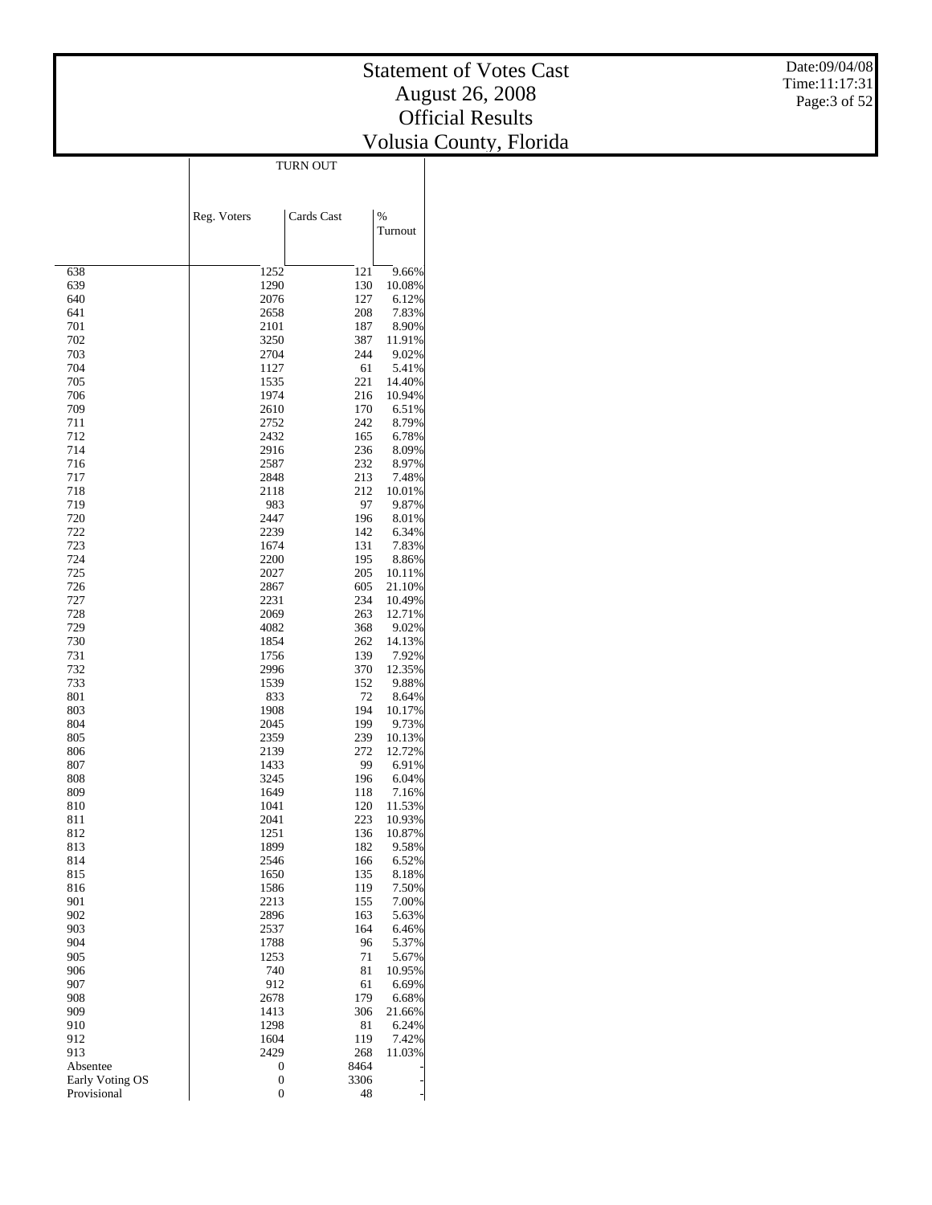$\overline{\phantom{a}}$ 

|                 |                  |            | $\%$            |
|-----------------|------------------|------------|-----------------|
|                 | Reg. Voters      | Cards Cast | Turnout         |
|                 |                  |            |                 |
| 638             | 1252             | 121        | 9.66%           |
| 639             | 1290             | 130        | 10.08%          |
| 640             | 2076             | 127        | 6.12%           |
| 641             | 2658             | 208        | 7.83%           |
| 701             | 2101             | 187        | 8.90%           |
| 702             | 3250             | 387        | 11.91%          |
| 703             | 2704             | 244        | 9.02%           |
| 704<br>705      | 1127             | 61         | 5.41%<br>14.40% |
| 706             | 1535<br>1974     | 221<br>216 | 10.94%          |
| 709             | 2610             | 170        | 6.51%           |
| 711             | 2752             | 242        | 8.79%           |
| 712             | 2432             | 165        | 6.78%           |
| 714             | 2916             | 236        | 8.09%           |
| 716             | 2587             | 232        | 8.97%           |
| 717             | 2848             | 213        | 7.48%           |
| 718             | 2118             | 212        | 10.01%          |
| 719<br>720      | 983<br>2447      | 97<br>196  | 9.87%           |
| 722             | 2239             | 142        | 8.01%<br>6.34%  |
| 723             | 1674             | 131        | 7.83%           |
| 724             | 2200             | 195        | 8.86%           |
| 725             | 2027             | 205        | 10.11%          |
| 726             | 2867             | 605        | 21.10%          |
| 727             | 2231             | 234        | 10.49%          |
| 728             | 2069             | 263        | 12.71%          |
| 729             | 4082             | 368        | 9.02%           |
| 730             | 1854             | 262        | 14.13%          |
| 731<br>732      | 1756<br>2996     | 139<br>370 | 7.92%<br>12.35% |
| 733             | 1539             | 152        | 9.88%           |
| 801             | 833              | 72         | 8.64%           |
| 803             | 1908             | 194        | 10.17%          |
| 804             | 2045             | 199        | 9.73%           |
| 805             | 2359             | 239        | 10.13%          |
| 806             | 2139             | 272        | 12.72%          |
| 807<br>808      | 1433<br>3245     | 99<br>196  | 6.91%<br>6.04%  |
| 809             | 1649             | 118        | 7.16%           |
| 810             | 1041             | 120        | 11.53%          |
| 811             | 2041             | 223        | 10.93%          |
| 812             | 1251             | 136        | 10.87%          |
| 813             | 1899             | 182        | 9.58%           |
| 814             | 2546             | 166        | 6.52%           |
| 815             | 1650             | 135        | 8.18%           |
| 816<br>901      | 1586<br>2213     | 119<br>155 | 7.50%<br>7.00%  |
| 902             | 2896             | 163        | 5.63%           |
| 903             | 2537             | 164        | 6.46%           |
| 904             | 1788             | 96         | 5.37%           |
| 905             | 1253             | 71         | 5.67%           |
| 906             | 740              | 81         | 10.95%          |
| 907             | 912              | 61         | 6.69%           |
| 908             | 2678             | 179        | 6.68%           |
| 909             | 1413             | 306        | 21.66%          |
| 910<br>912      | 1298<br>1604     | 81<br>119  | 6.24%<br>7.42%  |
| 913             | 2429             | 268        | 11.03%          |
| Absentee        | 0                | 8464       |                 |
| Early Voting OS | 0                | 3306       |                 |
| Provisional     | $\boldsymbol{0}$ | 48         |                 |

TURN OUT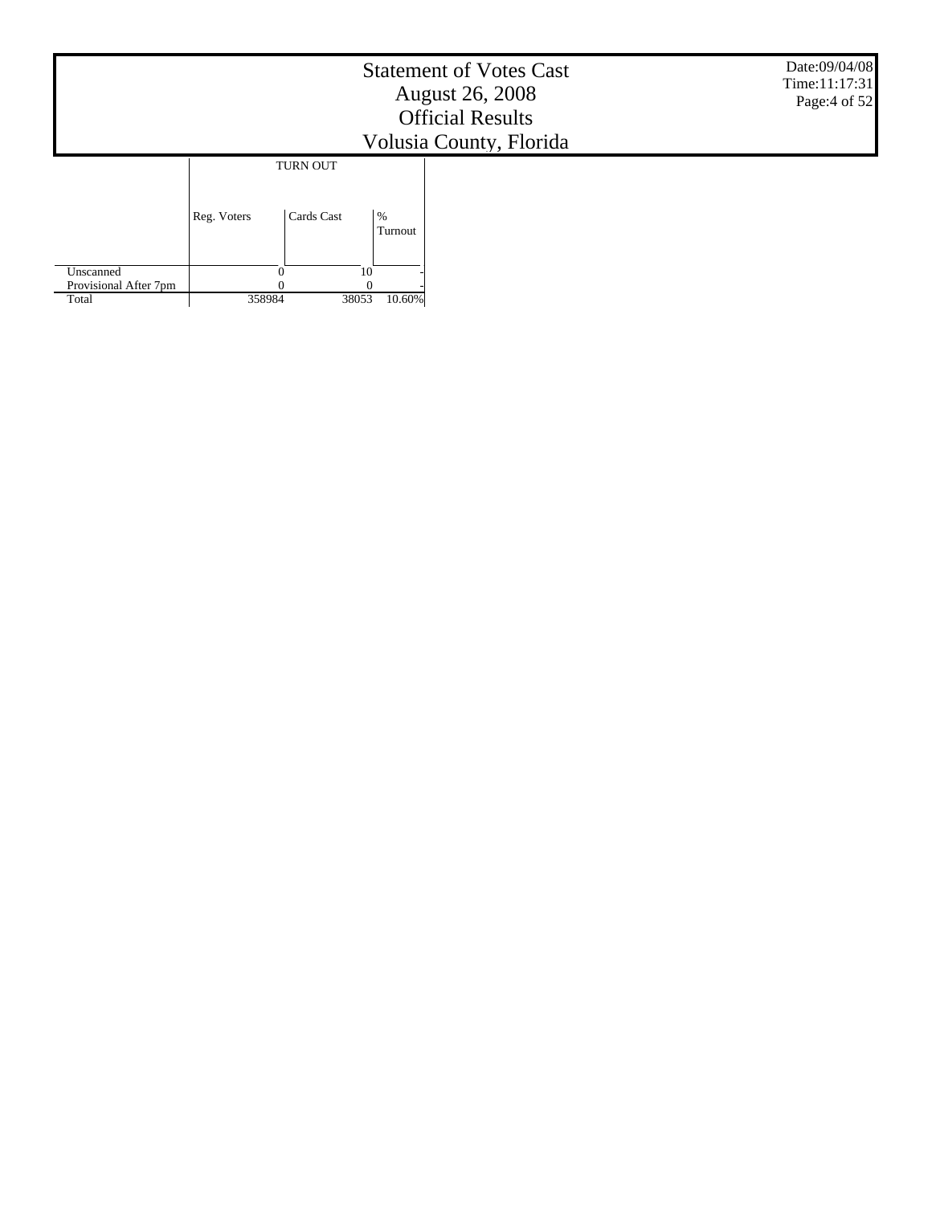|                                             |             |                               |                 | <b>Statement of Votes Cast</b><br><b>August 26, 2008</b><br><b>Official Results</b><br>Volusia County, Florida | Date:09/04/08<br>Time:11:17:31<br>Page:4 of 52 |
|---------------------------------------------|-------------|-------------------------------|-----------------|----------------------------------------------------------------------------------------------------------------|------------------------------------------------|
|                                             | Reg. Voters | <b>TURN OUT</b><br>Cards Cast | $\%$<br>Turnout |                                                                                                                |                                                |
| Unscanned<br>Provisional After 7pm<br>Total | 358984      | $\Omega$<br>38053             | 10<br>10.60%    |                                                                                                                |                                                |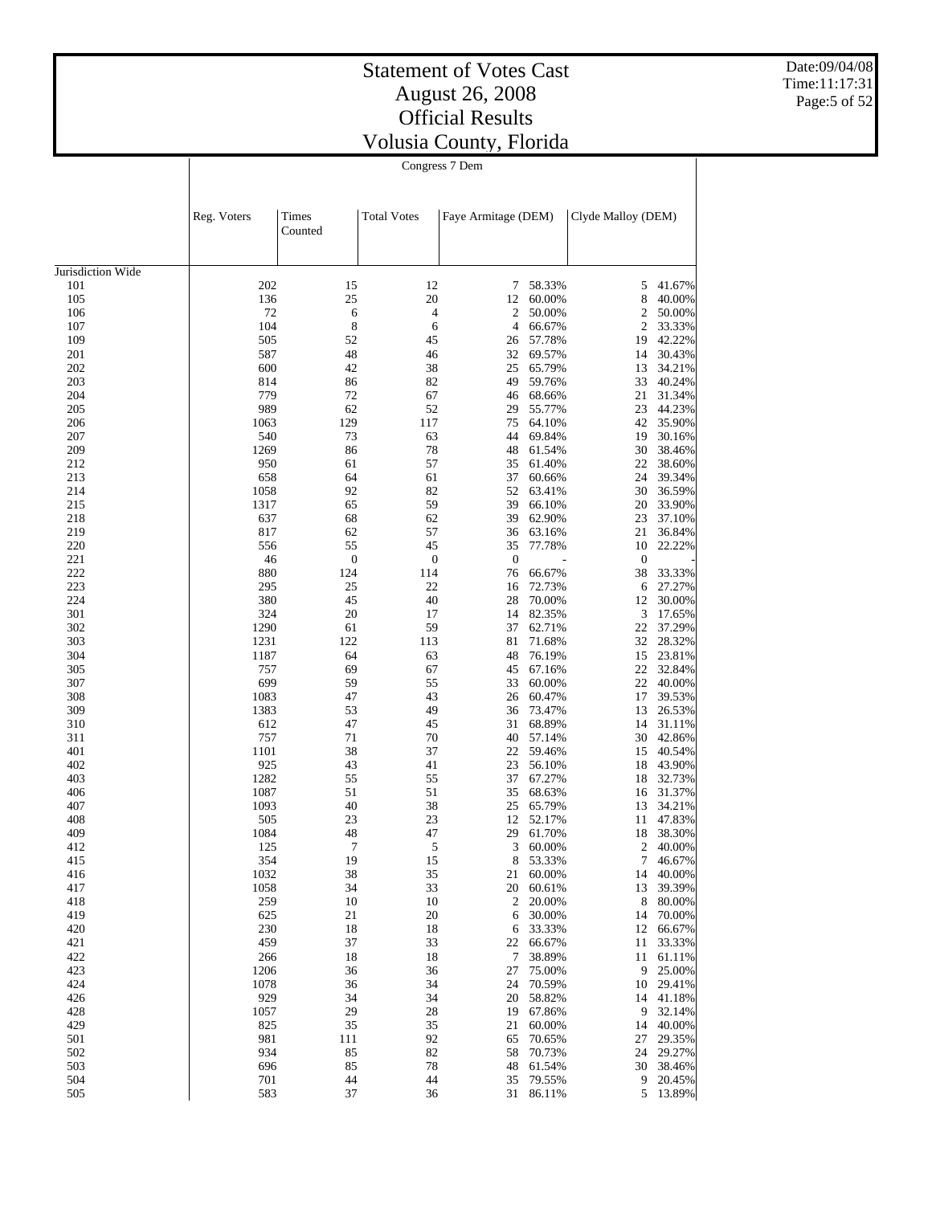Date:09/04/08 Time:11:17:31 Page:5 of 52

| Congress 7 Dem |  |
|----------------|--|

|                   | Reg. Voters | Times<br>Counted | <b>Total Votes</b> |                  | Faye Armitage (DEM) |              | Clyde Malloy (DEM) |
|-------------------|-------------|------------------|--------------------|------------------|---------------------|--------------|--------------------|
| Jurisdiction Wide |             |                  |                    |                  |                     |              |                    |
| 101               | 202         | 15               | 12                 | 7                | 58.33%              | 5            | 41.67%             |
| 105               | 136         | 25               | 20                 | 12               | 60.00%              | 8            | 40.00%             |
| 106               | 72          | 6                | $\overline{4}$     | 2                | 50.00%              | 2            | 50.00%             |
| 107               | 104         | 8                | 6                  | $\overline{4}$   | 66.67%              | 2            | 33.33%             |
| 109               | 505         | 52               | 45                 | 26               | 57.78%              | 19           | 42.22%             |
| 201               | 587         | 48               | 46                 | 32               | 69.57%              | 14           | 30.43%             |
| 202               | 600         | 42               | 38                 | 25               | 65.79%              | 13           | 34.21%             |
| 203<br>204        | 814<br>779  | 86<br>72         | 82<br>67           | 49<br>46         | 59.76%<br>68.66%    | 33<br>21     | 40.24%<br>31.34%   |
| 205               | 989         | 62               | 52                 | 29               | 55.77%              | 23           | 44.23%             |
| 206               | 1063        | 129              | 117                | 75               | 64.10%              | 42           | 35.90%             |
| 207               | 540         | 73               | 63                 | 44               | 69.84%              | 19           | 30.16%             |
| 209               | 1269        | 86               | 78                 | 48               | 61.54%              | 30           | 38.46%             |
| 212               | 950         | 61               | 57                 | 35               | 61.40%              | 22           | 38.60%             |
| 213               | 658         | 64               | 61                 | 37               | 60.66%              | 24           | 39.34%             |
| 214               | 1058        | 92               | 82                 | 52               | 63.41%              | 30           | 36.59%             |
| 215               | 1317        | 65               | 59                 | 39               | 66.10%              | 20           | 33.90%             |
| 218               | 637         | 68               | 62                 | 39               | 62.90%              | 23           | 37.10%             |
| 219               | 817         | 62               | 57                 | 36               | 63.16%              | 21           | 36.84%             |
| 220               | 556         | 55               | 45                 | 35               | 77.78%              | 10           | 22.22%             |
| 221               | 46          | $\boldsymbol{0}$ | $\boldsymbol{0}$   | $\boldsymbol{0}$ |                     | $\mathbf{0}$ |                    |
| 222               | 880         | 124              | 114                | 76               | 66.67%              | 38           | 33.33%             |
| 223               | 295         | 25               | 22                 | 16               | 72.73%              | 6            | 27.27%             |
| 224               | 380         | 45               | 40                 | 28               | 70.00%              | 12           | 30.00%             |
| 301<br>302        | 324<br>1290 | 20<br>61         | 17<br>59           | 14<br>37         | 82.35%              | 3<br>22      | 17.65%             |
| 303               | 1231        | 122              | 113                | 81               | 62.71%<br>71.68%    | 32           | 37.29%<br>28.32%   |
| 304               | 1187        | 64               | 63                 | 48               | 76.19%              | 15           | 23.81%             |
| 305               | 757         | 69               | 67                 | 45               | 67.16%              | 22           | 32.84%             |
| 307               | 699         | 59               | 55                 | 33               | 60.00%              | 22           | 40.00%             |
| 308               | 1083        | 47               | 43                 | 26               | 60.47%              | 17           | 39.53%             |
| 309               | 1383        | 53               | 49                 | 36               | 73.47%              | 13           | 26.53%             |
| 310               | 612         | 47               | 45                 | 31               | 68.89%              | 14           | 31.11%             |
| 311               | 757         | 71               | 70                 | 40               | 57.14%              | 30           | 42.86%             |
| 401               | 1101        | 38               | 37                 | 22               | 59.46%              | 15           | 40.54%             |
| 402               | 925         | 43               | 41                 | 23               | 56.10%              | 18           | 43.90%             |
| 403               | 1282        | 55               | 55                 | 37               | 67.27%              | 18           | 32.73%             |
| 406               | 1087        | 51               | 51                 | 35               | 68.63%              | 16           | 31.37%             |
| 407               | 1093        | 40               | 38                 | 25               | 65.79%              | 13           | 34.21%             |
| 408<br>409        | 505<br>1084 | 23<br>48         | 23<br>47           | 12<br>29         | 52.17%              | 11           | 47.83%             |
| 412               | 125         | 7                | 5                  | 3                | 61.70%<br>60.00%    | 18<br>2      | 38.30%<br>40.00%   |
| 415               | 354         | 19               | 15                 | 8                | 53.33%              | 7            | 46.67%             |
| 416               | 1032        | 38               | 35                 |                  | 21 60.00%           |              | 14 40.00%          |
| 417               | 1058        | 34               | 33                 |                  | 20 60.61%           |              | 13 39.39%          |
| 418               | 259         | 10               | 10                 | 2                | 20.00%              | 8            | 80.00%             |
| 419               | 625         | 21               | 20                 | 6                | 30.00%              | 14           | 70.00%             |
| 420               | 230         | 18               | 18                 | 6                | 33.33%              |              | 12 66.67%          |
| 421               | 459         | 37               | 33                 | 22               | 66.67%              | 11           | 33.33%             |
| 422               | 266         | 18               | 18                 | 7                | 38.89%              |              | 11 61.11%          |
| 423               | 1206        | 36               | 36                 | 27               | 75.00%              | 9            | 25.00%             |
| 424               | 1078        | 36               | 34                 | 24               | 70.59%              |              | 10 29.41%          |
| 426               | 929         | 34               | 34                 | 20               | 58.82%              |              | 14 41.18%          |
| 428               | 1057        | 29               | 28                 | 19               | 67.86%              | 9            | 32.14%             |
| 429               | 825         | 35               | 35                 | 21               | 60.00%              | 14           | 40.00%             |
| 501               | 981         | 111              | 92                 | 65               | 70.65%              | 27           | 29.35%             |
| 502<br>503        | 934<br>696  | 85<br>85         | 82<br>78           | 58<br>48         | 70.73%<br>61.54%    | 24<br>30     | 29.27%<br>38.46%   |
| 504               | 701         | 44               | 44                 | 35               | 79.55%              |              | 9 20.45%           |
| 505               | 583         | 37               | 36                 |                  | 31 86.11%           |              | 5 13.89%           |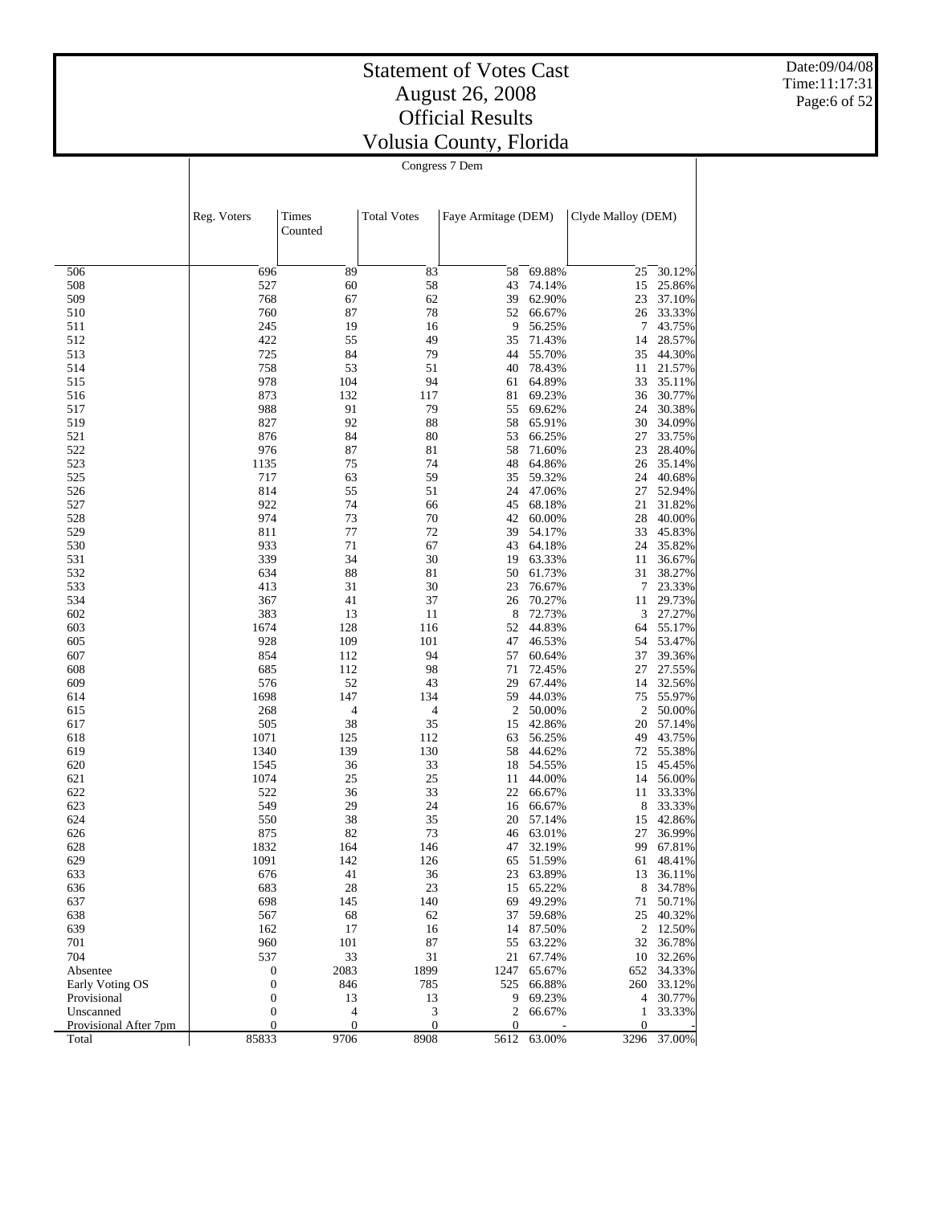Date:09/04/08 Time:11:17:31 Page:6 of 52

| Congress / Dem |
|----------------|
|----------------|

|                          | Reg. Voters                      | Times<br>Counted         | <b>Total Votes</b>    | Faye Armitage (DEM) |                  | Clyde Malloy (DEM) |                  |
|--------------------------|----------------------------------|--------------------------|-----------------------|---------------------|------------------|--------------------|------------------|
| 506                      | 696                              | 89                       | 83                    | 58                  | 69.88%           | 25                 | 30.12%           |
| 508                      | 527                              | 60                       | 58                    | 43                  | 74.14%           | 15                 | 25.86%           |
| 509                      | 768                              | 67                       | 62                    | 39                  | 62.90%           | 23                 | 37.10%           |
| 510                      | 760                              | 87                       | 78                    | 52                  | 66.67%           | 26                 | 33.33%           |
| 511                      | 245                              | 19                       | 16                    | 9                   | 56.25%           | 7                  | 43.75%           |
| 512                      | 422                              | 55                       | 49                    | 35                  | 71.43%           | 14                 | 28.57%           |
| 513                      | 725                              | 84                       | 79                    | 44                  | 55.70%           | 35                 | 44.30%           |
| 514<br>515               | 758<br>978                       | 53<br>104                | 51<br>94              | 40<br>61            | 78.43%<br>64.89% | 11<br>33           | 21.57%<br>35.11% |
| 516                      | 873                              | 132                      | 117                   | 81                  | 69.23%           | 36                 | 30.77%           |
| 517                      | 988                              | 91                       | 79                    | 55                  | 69.62%           | 24                 | 30.38%           |
| 519                      | 827                              | 92                       | 88                    | 58                  | 65.91%           | 30                 | 34.09%           |
| 521                      | 876                              | 84                       | 80                    | 53                  | 66.25%           | 27                 | 33.75%           |
| 522                      | 976                              | 87                       | 81                    | 58                  | 71.60%           | 23                 | 28.40%           |
| 523                      | 1135                             | 75                       | 74                    | 48                  | 64.86%           | 26                 | 35.14%           |
| 525                      | 717                              | 63                       | 59                    | 35                  | 59.32%           | 24                 | 40.68%           |
| 526                      | 814                              | 55                       | 51                    | 24                  | 47.06%           | 27                 | 52.94%           |
| 527                      | 922                              | 74                       | 66                    | 45                  | 68.18%           | 21                 | 31.82%           |
| 528<br>529               | 974                              | 73<br>77                 | 70<br>72              | 42<br>39            | 60.00%<br>54.17% | 28<br>33           | 40.00%<br>45.83% |
| 530                      | 811<br>933                       | 71                       | 67                    | 43                  | 64.18%           | 24                 | 35.82%           |
| 531                      | 339                              | 34                       | 30                    | 19                  | 63.33%           | 11                 | 36.67%           |
| 532                      | 634                              | 88                       | 81                    | 50                  | 61.73%           | 31                 | 38.27%           |
| 533                      | 413                              | 31                       | 30                    | 23                  | 76.67%           | 7                  | 23.33%           |
| 534                      | 367                              | 41                       | 37                    | 26                  | 70.27%           | 11                 | 29.73%           |
| 602                      | 383                              | 13                       | 11                    | 8                   | 72.73%           | 3                  | 27.27%           |
| 603                      | 1674                             | 128                      | 116                   | 52                  | 44.83%           | 64                 | 55.17%           |
| 605                      | 928                              | 109                      | 101                   | 47                  | 46.53%           | 54                 | 53.47%           |
| 607                      | 854                              | 112                      | 94                    | 57                  | 60.64%           | 37                 | 39.36%           |
| 608                      | 685                              | 112                      | 98                    | 71                  | 72.45%           | 27                 | 27.55%           |
| 609<br>614               | 576<br>1698                      | 52<br>147                | 43<br>134             | 29<br>59            | 67.44%<br>44.03% | 14<br>75           | 32.56%<br>55.97% |
| 615                      | 268                              | $\overline{\mathcal{L}}$ | $\overline{4}$        | 2                   | 50.00%           | $\overline{c}$     | 50.00%           |
| 617                      | 505                              | 38                       | 35                    | 15                  | 42.86%           | 20                 | 57.14%           |
| 618                      | 1071                             | 125                      | 112                   | 63                  | 56.25%           | 49                 | 43.75%           |
| 619                      | 1340                             | 139                      | 130                   | 58                  | 44.62%           | 72                 | 55.38%           |
| 620                      | 1545                             | 36                       | 33                    | 18                  | 54.55%           | 15                 | 45.45%           |
| 621                      | 1074                             | 25                       | 25                    | 11                  | 44.00%           | 14                 | 56.00%           |
| 622                      | 522                              | 36                       | 33                    | 22                  | 66.67%           | 11                 | 33.33%           |
| 623                      | 549                              | 29                       | 24                    | 16                  | 66.67%           | 8                  | 33.33%           |
| 624                      | 550                              | 38                       | 35                    | 20                  | 57.14%           | 15                 | 42.86%           |
| 626                      | 875<br>1832                      | 82                       | 73<br>146             | 46<br>47            | 63.01%           | 27<br>99           | 36.99%<br>67.81% |
| 628<br>629               | 1091                             | 164<br>142               | 126                   | 65                  | 32.19%<br>51.59% | 61                 | 48.41%           |
| 633                      | 676                              | 41                       | 36                    | 23                  | 63.89%           | 13                 | 36.11%           |
| 636                      | 683                              | 28                       | 23                    | 15                  | 65.22%           | 8                  | 34.78%           |
| 637                      | 698                              | 145                      | 140                   | 69                  | 49.29%           | 71                 | 50.71%           |
| 638                      | 567                              | 68                       | 62                    | 37                  | 59.68%           | 25                 | 40.32%           |
| 639                      | 162                              | 17                       | 16                    | 14                  | 87.50%           | 2                  | 12.50%           |
| 701                      | 960                              | 101                      | 87                    | 55                  | 63.22%           | 32                 | 36.78%           |
| 704                      | 537                              | 33                       | 31                    | 21                  | 67.74%           | 10                 | 32.26%           |
| Absentee                 | $\boldsymbol{0}$                 | 2083                     | 1899                  | 1247                | 65.67%           | 652                | 34.33%           |
| Early Voting OS          | 0                                | 846                      | 785                   | 525                 | 66.88%           | 260                | 33.12%           |
| Provisional<br>Unscanned | $\boldsymbol{0}$<br>$\mathbf{0}$ | 13<br>4                  | 13                    | 9<br>$\mathbf{2}$   | 69.23%           | 4<br>1             | 30.77%           |
| Provisional After 7pm    | $\boldsymbol{0}$                 | $\boldsymbol{0}$         | 3<br>$\boldsymbol{0}$ | $\overline{0}$      | 66.67%           | $\mathbf{0}$       | 33.33%           |
| Total                    | 85833                            | 9706                     | 8908                  | 5612                | 63.00%           | 3296               | 37.00%           |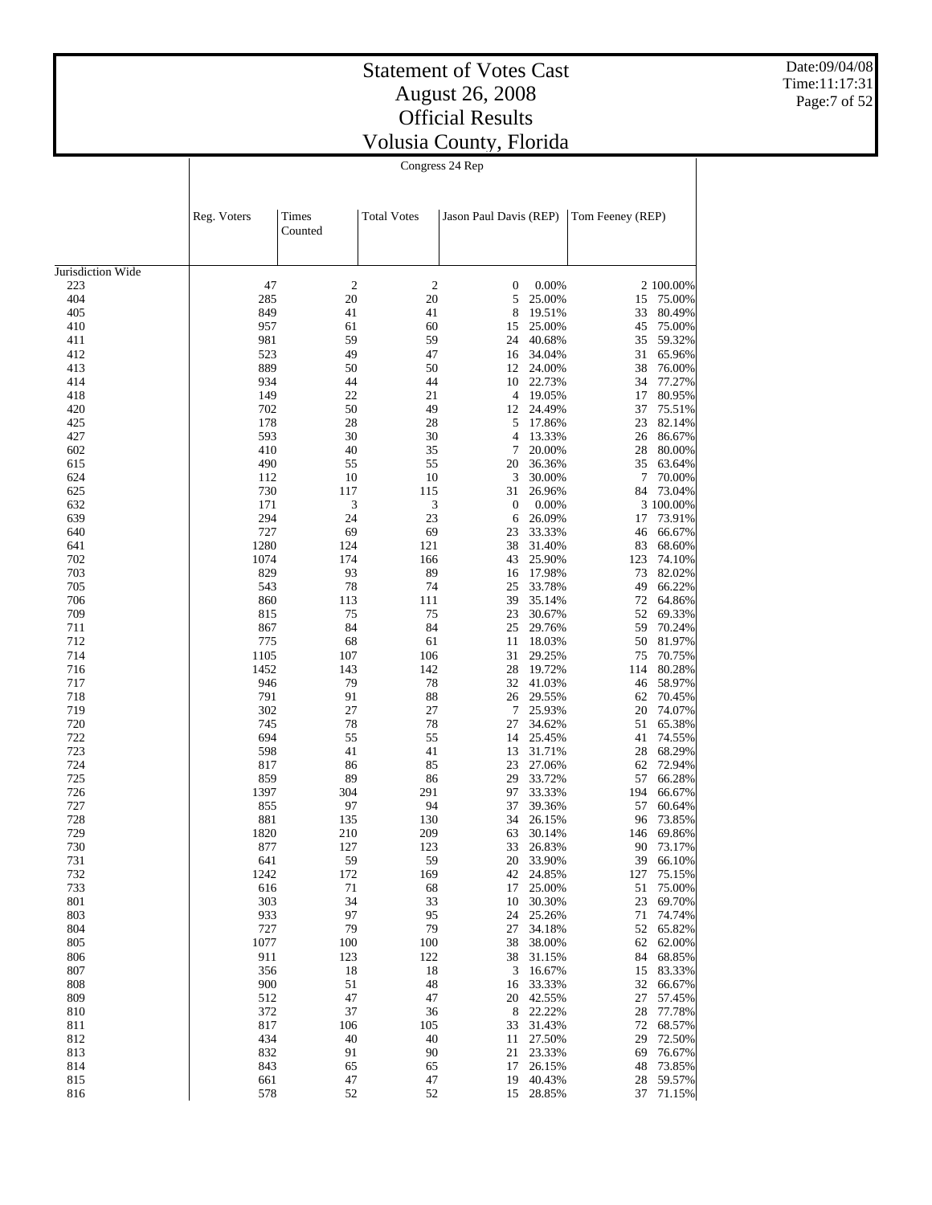Date:09/04/08 Time:11:17:31 Page:7 of 52

| Congress 24 Rep |  |
|-----------------|--|
|                 |  |

|                   | Reg. Voters | Times<br>Counted | <b>Total Votes</b> | Jason Paul Davis (REP) |                  | Tom Feeney (REP) |                  |
|-------------------|-------------|------------------|--------------------|------------------------|------------------|------------------|------------------|
| Jurisdiction Wide |             |                  |                    |                        |                  |                  |                  |
| 223               | 47          | $\boldsymbol{2}$ | $\overline{c}$     | 0                      | 0.00%            |                  | 2 100.00%        |
| 404               | 285         | 20               | 20                 | 5                      | 25.00%           | 15               | 75.00%           |
| 405               | 849         | 41               | 41                 | 8                      | 19.51%           | 33               | 80.49%           |
| 410               | 957         | 61               | 60                 | 15                     | 25.00%           | 45               | 75.00%           |
| 411               | 981         | 59               | 59                 | 24                     | 40.68%           | 35               | 59.32%           |
| 412               | 523         | 49               | 47                 | 16                     | 34.04%           | 31               | 65.96%           |
| 413               | 889         | 50               | 50                 | 12                     | 24.00%           | 38               | 76.00%           |
| 414               | 934         | 44               | 44                 | 10                     | 22.73%           | 34               | 77.27%           |
| 418               | 149         | 22               | 21                 | 4                      | 19.05%           | 17               | 80.95%           |
| 420               | 702         | 50               | 49                 | 12                     | 24.49%           | 37               | 75.51%           |
| 425               | 178         | 28               | 28                 | 5                      | 17.86%           | 23               | 82.14%           |
| 427               | 593         | 30               | 30                 | 4                      | 13.33%           | 26               | 86.67%           |
| 602               | 410         | 40               | 35                 | 7                      | 20.00%           | 28               | 80.00%           |
| 615               | 490         | 55               | 55                 | 20                     | 36.36%           | 35               | 63.64%           |
| 624               | 112         | 10               | 10                 | 3                      | 30.00%           | 7                | 70.00%           |
| 625               | 730         | 117              | 115                | 31                     | 26.96%           | 84               | 73.04%           |
| 632               | 171         | 3                | 3                  | $\boldsymbol{0}$       | 0.00%            |                  | 3 100.00%        |
| 639               | 294         | 24               | 23                 | 6                      | 26.09%           | 17               | 73.91%           |
| 640               | 727         | 69               | 69                 | 23                     | 33.33%           | 46               | 66.67%           |
| 641               | 1280        | 124              | 121                | 38                     | 31.40%           | 83               | 68.60%           |
| 702               | 1074        | 174              | 166                | 43                     | 25.90%           | 123              | 74.10%           |
| 703               | 829         | 93               | 89                 | 16                     | 17.98%           | 73               | 82.02%           |
| 705               | 543         | 78               | 74                 | 25                     | 33.78%           | 49               | 66.22%           |
| 706               | 860         | 113              | 111                | 39                     | 35.14%           | 72               | 64.86%           |
| 709               | 815         | 75               | 75                 | 23                     | 30.67%           | 52               | 69.33%           |
| 711               | 867         | 84               | 84                 | 25                     | 29.76%           | 59               | 70.24%           |
| 712               | 775<br>1105 | 68               | 61                 | 11                     | 18.03%           | 50               | 81.97%           |
| 714               |             | 107              | 106                | 31                     | 29.25%           | 75               | 70.75%           |
| 716               | 1452        | 143              | 142                | 28<br>32               | 19.72%           | 114              | 80.28%           |
| 717<br>718        | 946<br>791  | 79<br>91         | 78<br>88           | 26                     | 41.03%<br>29.55% | 46<br>62         | 58.97%<br>70.45% |
| 719               | 302         | 27               | 27                 | 7                      | 25.93%           | 20               | 74.07%           |
| 720               | 745         | 78               | 78                 | 27                     | 34.62%           | 51               | 65.38%           |
| 722               | 694         | 55               | 55                 | 14                     | 25.45%           | 41               | 74.55%           |
| 723               | 598         | 41               | 41                 | 13                     | 31.71%           | 28               | 68.29%           |
| 724               | 817         | 86               | 85                 | 23                     | 27.06%           | 62               | 72.94%           |
| 725               | 859         | 89               | 86                 | 29                     | 33.72%           | 57               | 66.28%           |
| 726               | 1397        | 304              | 291                | 97                     | 33.33%           | 194              | 66.67%           |
| 727               | 855         | 97               | 94                 | 37                     | 39.36%           | 57               | 60.64%           |
| 728               | 881         | 135              | 130                | 34                     | 26.15%           | 96               | 73.85%           |
| 729               | 1820        | 210              | 209                | 63                     | 30.14%           | 146              | 69.86%           |
| 730               | 877         | 127              | 123                | 33                     | 26.83%           | 90               | 73.17%           |
| 731               | 641         | 59               | 59                 | 20                     | 33.90%           | 39               | 66.10%           |
| 732               | 1242        | 172              | 169                |                        | 42 24.85%        |                  | 127 75.15%       |
| 733               | 616         | 71               | 68                 |                        | 17 25.00%        |                  | 51 75.00%        |
| 801               | 303         | 34               | 33                 |                        | 10 30.30%        | 23               | 69.70%           |
| 803               | 933         | 97               | 95                 |                        | 24 25.26%        | 71               | 74.74%           |
| 804               | 727         | 79               | 79                 | 27                     | 34.18%           |                  | 52 65.82%        |
| 805               | 1077        | 100              | 100                | 38                     | 38.00%           |                  | 62 62.00%        |
| 806               | 911         | 123              | 122                | 38                     | 31.15%           |                  | 84 68.85%        |
| 807               | 356         | 18               | 18                 | 3                      | 16.67%           |                  | 15 83.33%        |
| 808               | 900         | 51               | 48                 | 16                     | 33.33%           | 32               | 66.67%           |
| 809               | 512         | 47               | 47                 |                        | 20 42.55%        | 27               | 57.45%           |
| 810               | 372         | 37               | 36                 |                        | 8 22.22%         | 28               | 77.78%           |
| 811               | 817         | 106              | 105                | 33                     | 31.43%           | 72               | 68.57%           |
| 812               | 434         | 40               | 40                 | 11                     | 27.50%           | 29               | 72.50%           |
| 813               | 832         | 91               | 90                 |                        | 21 23.33%        | 69               | 76.67%           |
| 814               | 843         | 65               | 65                 | 17                     | 26.15%           | 48               | 73.85%           |
| 815               | 661         | 47               | 47                 |                        | 19 40.43%        | 28               | 59.57%           |
| 816               | 578         | 52               | 52                 |                        | 15 28.85%        | 37               | 71.15%           |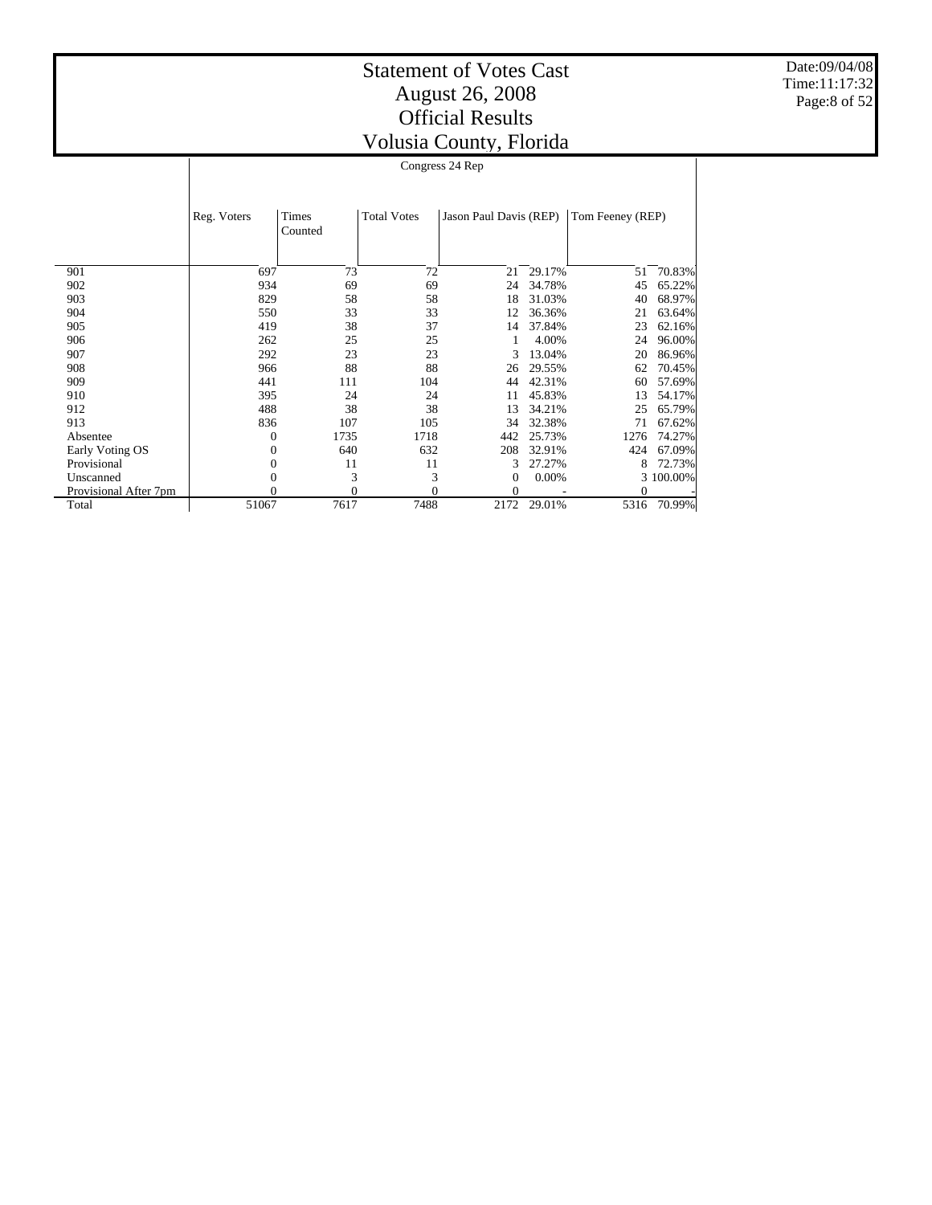Date:09/04/08 Time:11:17:32 Page:8 of 52

| Congress 24 Rep |                  |                    |                        |        |                  |          |  |  |
|-----------------|------------------|--------------------|------------------------|--------|------------------|----------|--|--|
| Reg. Voters     | Times<br>Counted | <b>Total Votes</b> | Jason Paul Davis (REP) |        | Tom Feeney (REP) |          |  |  |
| 697             | 73               | 72                 | 21                     | 29.17% | 51               | 70.83%   |  |  |
| 934             | 69               | 69                 | 24                     | 34.78% | 45               | 65.22%   |  |  |
| 829             | 58               | 58                 | 18                     | 31.03% | 40               | 68.97%   |  |  |
| 550             | 33               | 33                 | 12                     | 36.36% | 21               | 63.64%   |  |  |
| 419             | 38               | 37                 | 14                     | 37.84% | 23               | 62.16%   |  |  |
| 262             | 25               | 25                 |                        | 4.00%  | 24               | 96.00%   |  |  |
| 292             | 23               | 23                 | 3                      | 13.04% | 20               | 86.96%   |  |  |
| 966             | 88               | 88                 | 26                     | 29.55% | 62               | 70.45%   |  |  |
| 441             | 111              | 104                | 44                     | 42 31% | 60.              | - 57.69% |  |  |

| 292   | 23   | 23   |    |          | 20                                               | 86.96%      |
|-------|------|------|----|----------|--------------------------------------------------|-------------|
| 966   | 88   | 88   |    | 29.55%   | 62                                               | 70.45%      |
| 441   | 111  | 104  | 44 | 42.31%   | 60                                               | 57.69%      |
| 395   | 24   | 24   | 11 | 45.83%   | 13                                               | 54.17%      |
| 488   | 38   | 38   | 13 | 34.21%   | 25                                               | 65.79%      |
| 836   | 107  | 105  | 34 | 32.38%   | 71                                               | 67.62%      |
|       | 1735 | 1718 |    |          |                                                  | 1276 74.27% |
|       | 640  | 632  |    | 32.91%   | 424                                              | 67.09%      |
|       | 11   | 11   |    |          | 8                                                | 72.73%      |
|       |      |      |    | $0.00\%$ |                                                  | 3 100,00%   |
|       |      |      |    |          |                                                  |             |
| 51067 | 7617 | 7488 |    | 29.01%   | 5316                                             | 70.99%      |
|       |      |      |    | 208      | 3 13.04%<br>26<br>442 25.73%<br>3 27.27%<br>2172 |             |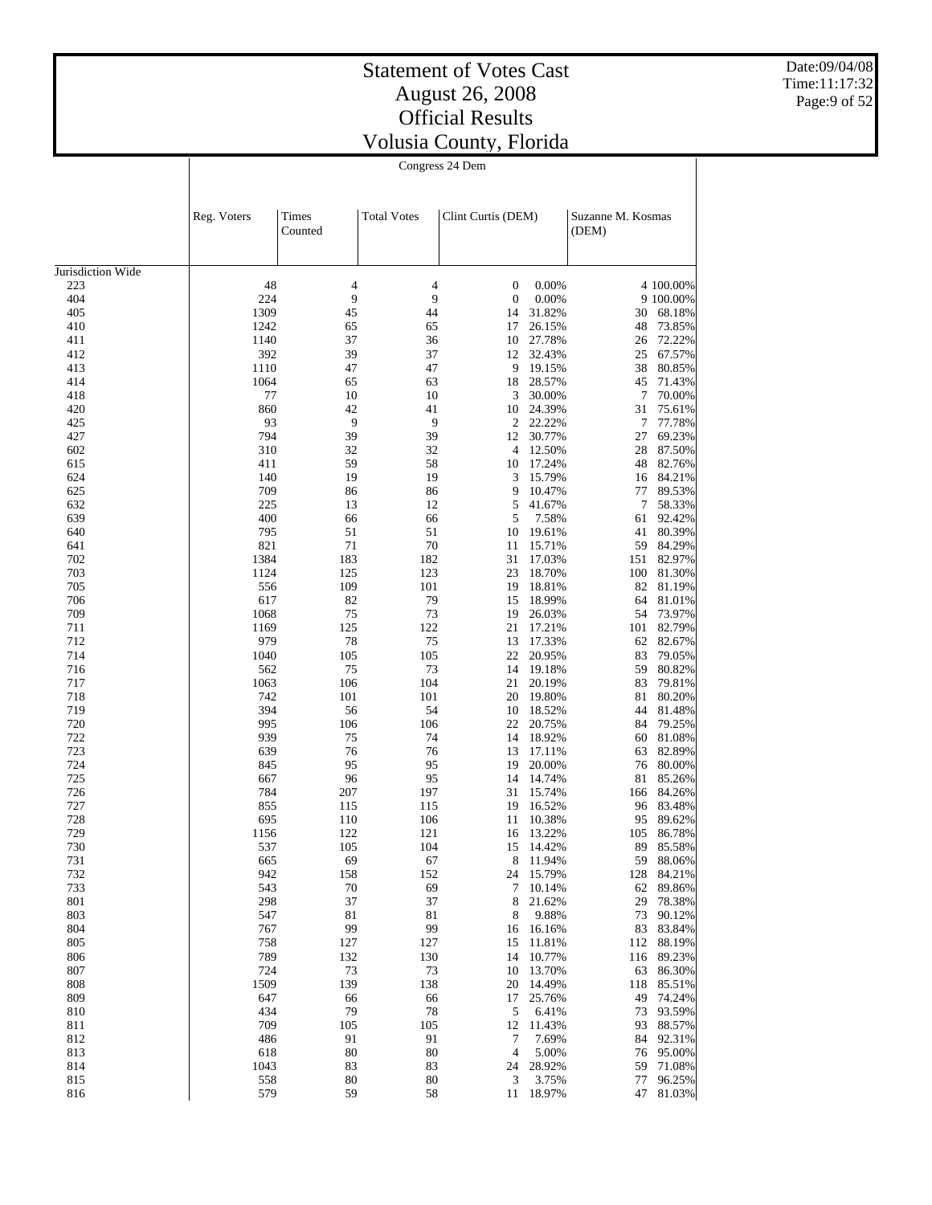Date:09/04/08 Time:11:17:32 Page:9 of 52

Congress 24 Dem

|                   | Reg. Voters | <b>Times</b><br>Counted | <b>Total Votes</b> | Clint Curtis (DEM) |                     | Suzanne M. Kosmas<br>(DEM) |           |                  |
|-------------------|-------------|-------------------------|--------------------|--------------------|---------------------|----------------------------|-----------|------------------|
| Jurisdiction Wide |             |                         |                    |                    |                     |                            |           |                  |
| 223               | 48          | $\overline{4}$          | 4                  | 0                  | 0.00%               |                            |           | 4 100.00%        |
| 404               | 224         | 9                       | 9                  | $\boldsymbol{0}$   | 0.00%               |                            |           | 9 100.00%        |
| 405               | 1309        | 45                      | 44                 | 14                 | 31.82%              |                            | 30        | 68.18%           |
| 410               | 1242        | 65                      | 65                 | 17                 | 26.15%              |                            | 48        | 73.85%           |
| 411               | 1140        | 37                      | 36                 | 10                 | 27.78%              |                            | 26        | 72.22%           |
| 412               | 392         | 39                      | 37                 | 12                 | 32.43%              |                            | 25        | 67.57%           |
| 413               | 1110        | 47                      | 47                 | 9                  | 19.15%              |                            | 38        | 80.85%           |
| 414               | 1064        | 65                      | 63                 | 18                 | 28.57%              |                            | 45        | 71.43%           |
| 418               | 77          | 10                      | 10                 | 3                  | 30.00%              |                            | 7         | 70.00%           |
| 420               | 860         | 42<br>9                 | 41                 | 10                 | 24.39%              |                            | 31        | 75.61%           |
| 425<br>427        | 93<br>794   | 39                      | 9                  | 2<br>12            | 22.22%<br>30.77%    |                            | 7<br>27   | 77.78%           |
| 602               | 310         | 32                      | 39<br>32           | 4                  | 12.50%              |                            | 28        | 69.23%<br>87.50% |
| 615               | 411         | 59                      | 58                 | 10                 | 17.24%              |                            | 48        | 82.76%           |
| 624               | 140         | 19                      | 19                 | 3                  | 15.79%              |                            | 16        | 84.21%           |
| 625               | 709         | 86                      | 86                 | 9                  | 10.47%              |                            | 77        | 89.53%           |
| 632               | 225         | 13                      | 12                 | 5                  | 41.67%              |                            | 7         | 58.33%           |
| 639               | 400         | 66                      | 66                 | 5                  | 7.58%               |                            | 61        | 92.42%           |
| 640               | 795         | 51                      | 51                 | 10                 | 19.61%              |                            | 41        | 80.39%           |
| 641               | 821         | 71                      | 70                 | 11                 | 15.71%              |                            | 59        | 84.29%           |
| 702               | 1384        | 183                     | 182                | 31                 | 17.03%              |                            | 151       | 82.97%           |
| 703               | 1124        | 125                     | 123                | 23                 | 18.70%              |                            | 100       | 81.30%           |
| 705               | 556         | 109                     | 101                | 19                 | 18.81%              |                            | 82        | 81.19%           |
| 706               | 617         | 82                      | 79                 | 15                 | 18.99%              |                            | 64        | 81.01%           |
| 709               | 1068        | 75                      | 73                 | 19                 | 26.03%              |                            | 54        | 73.97%           |
| 711               | 1169        | 125                     | 122                | 21                 | 17.21%              |                            | 101       | 82.79%           |
| 712               | 979         | 78                      | 75                 | 13                 | 17.33%              |                            | 62        | 82.67%           |
| 714               | 1040        | 105                     | 105                | 22                 | 20.95%              |                            | 83        | 79.05%           |
| 716               | 562         | 75                      | 73                 | 14                 | 19.18%              |                            | 59        | 80.82%           |
| 717               | 1063        | 106                     | 104                | 21                 | 20.19%              |                            | 83        | 79.81%           |
| 718               | 742         | 101                     | 101                | 20                 | 19.80%              |                            | 81        | 80.20%           |
| 719               | 394         | 56                      | 54                 | 10                 | 18.52%              |                            | 44        | 81.48%           |
| 720<br>722        | 995<br>939  | 106<br>75               | 106<br>74          | 22<br>14           | 20.75%              |                            | 84        | 79.25%           |
| 723               | 639         | 76                      | 76                 | 13                 | 18.92%<br>17.11%    |                            | 60<br>63  | 81.08%<br>82.89% |
| 724               | 845         | 95                      | 95                 | 19                 | 20.00%              |                            | 76        | 80.00%           |
| 725               | 667         | 96                      | 95                 | 14                 | 14.74%              |                            | 81        | 85.26%           |
| 726               | 784         | 207                     | 197                | 31                 | 15.74%              |                            | 166       | 84.26%           |
| 727               | 855         | 115                     | 115                | 19                 | 16.52%              |                            | 96        | 83.48%           |
| 728               | 695         | 110                     | 106                | 11                 | 10.38%              |                            | 95        | 89.62%           |
| 729               | 1156        | 122                     | 121                | 16                 | 13.22%              | 105                        |           | 86.78%           |
| 730               | 537         | 105                     | 104                | 15                 | 14.42%              |                            | 89        | 85.58%           |
| 731               | 665         | 69                      | 67                 | 8                  | 11.94%              |                            | 59        | 88.06%           |
| 732               | 942         | 158                     | 152                |                    | 24 15.79%           |                            |           | 128 84.21%       |
| 733               | 543         | 70                      | 69                 |                    | 7 10.14%            |                            |           | 62 89.86%        |
| 801               | 298         | 37                      | 37                 | 8                  | 21.62%              |                            | 29        | 78.38%           |
| 803               | 547         | 81                      | 81                 | 8                  | 9.88%               |                            | 73        | 90.12%           |
| 804               | 767         | 99                      | 99                 | 16                 | 16.16%              |                            | 83        | 83.84%           |
| 805               | 758         | 127                     | 127                | 15                 | 11.81%              |                            |           | 112 88.19%       |
| 806               | 789         | 132                     | 130                | 14                 | 10.77%              |                            | 116       | 89.23%           |
| 807               | 724         | 73                      | 73                 |                    | 10 13.70%           |                            | 63        | 86.30%           |
| 808<br>809        | 1509<br>647 | 139                     | 138<br>66          | 20                 | 14.49%<br>17 25.76% |                            | 118<br>49 | 85.51%<br>74.24% |
| 810               | 434         | 66<br>79                | 78                 | 5                  | 6.41%               |                            | 73        | 93.59%           |
| 811               | 709         | 105                     | 105                | 12                 | 11.43%              |                            |           | 93 88.57%        |
| 812               | 486         | 91                      | 91                 | 7                  | 7.69%               |                            | 84        | 92.31%           |
| 813               | 618         | 80                      | 80                 | 4                  | 5.00%               |                            | 76        | 95.00%           |
| 814               | 1043        | 83                      | 83                 | 24                 | 28.92%              |                            | 59        | 71.08%           |
| 815               | 558         | 80                      | 80                 | 3                  | 3.75%               |                            |           | 77 96.25%        |
| 816               | 579         | 59                      | 58                 |                    | 11 18.97%           |                            |           | 47 81.03%        |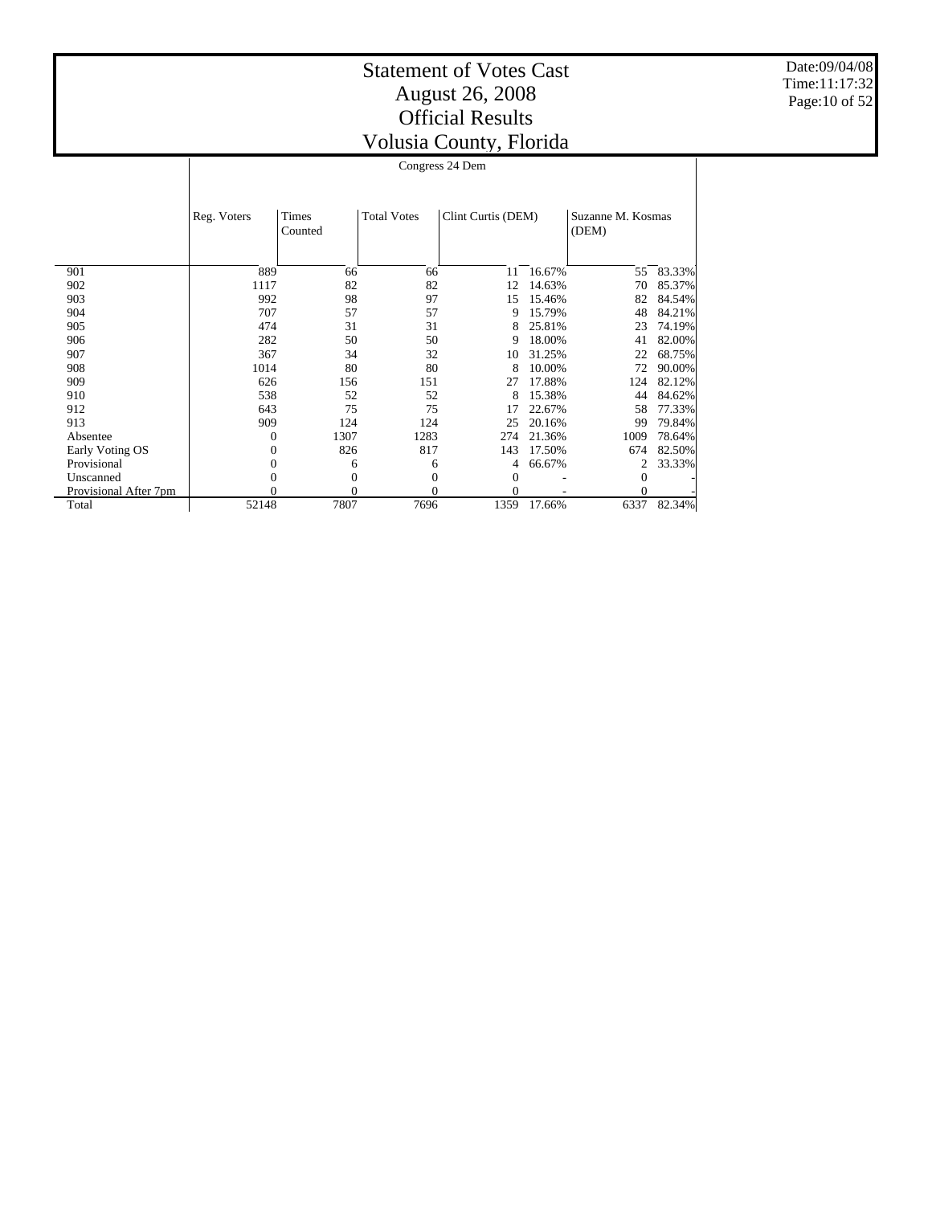Date:09/04/08 Time:11:17:32 Page:10 of 52

|                       |             | Congress 24 Dem |                    |                    |        |                   |        |  |  |
|-----------------------|-------------|-----------------|--------------------|--------------------|--------|-------------------|--------|--|--|
|                       |             |                 |                    |                    |        |                   |        |  |  |
|                       | Reg. Voters | <b>Times</b>    | <b>Total Votes</b> | Clint Curtis (DEM) |        | Suzanne M. Kosmas |        |  |  |
|                       |             | Counted         |                    |                    |        | (DEM)             |        |  |  |
|                       |             |                 |                    |                    |        |                   |        |  |  |
| 901                   | 889         | 66              | 66                 | 11                 | 16.67% | 55                | 83.33% |  |  |
| 902                   | 1117        | 82              | 82                 | 12                 | 14.63% | 70                | 85.37% |  |  |
| 903                   | 992         | 98              | 97                 | 15                 | 15.46% | 82                | 84.54% |  |  |
| 904                   | 707         | 57              | 57                 | 9                  | 15.79% | 48                | 84.21% |  |  |
| 905                   | 474         | 31              | 31                 | 8                  | 25.81% | 23                | 74.19% |  |  |
| 906                   | 282         | 50              | 50                 | 9                  | 18.00% | 41                | 82.00% |  |  |
| 907                   | 367         | 34              | 32                 | 10                 | 31.25% | 22                | 68.75% |  |  |
| 908                   | 1014        | 80              | 80                 | 8                  | 10.00% | 72                | 90.00% |  |  |
| 909                   | 626         | 156             | 151                | 27                 | 17.88% | 124               | 82.12% |  |  |
| 910                   | 538         | 52              | 52                 | 8                  | 15.38% | 44                | 84.62% |  |  |
| 912                   | 643         | 75              | 75                 | 17                 | 22.67% | 58                | 77.33% |  |  |
| 913                   | 909         | 124             | 124                | 25                 | 20.16% | 99                | 79.84% |  |  |
| Absentee              | $\Omega$    | 1307            | 1283               | 274                | 21.36% | 1009              | 78.64% |  |  |
| Early Voting OS       | $\theta$    | 826             | 817                | 143                | 17.50% | 674               | 82.50% |  |  |
| Provisional           | $\Omega$    | 6               | 6                  | 4                  | 66.67% | 2                 | 33.33% |  |  |
| Unscanned             | $\theta$    | $\mathbf{0}$    | 0                  | 0                  |        | 0                 |        |  |  |
| Provisional After 7pm |             | 0               | 0                  | $\Omega$           |        | $\theta$          |        |  |  |
| Total                 | 52148       | 7807            | 7696               | 1359               | 17.66% | 6337              | 82.34% |  |  |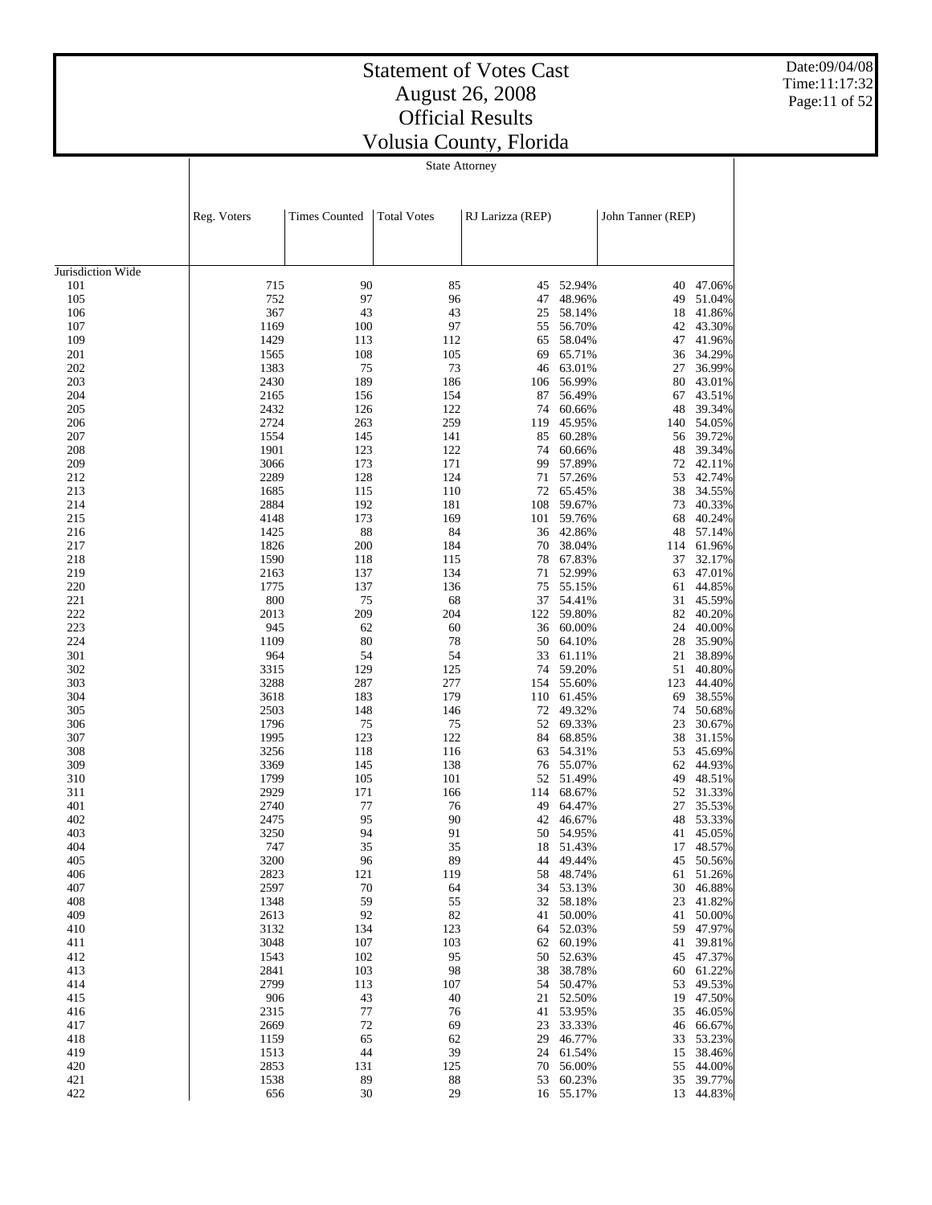# Statement of Votes Cast August 26, 2008 Official Results

Date:09/04/08 Time:11:17:32 Page:11 of 52

| Volusia County, Florida |  |  |  |  |  |  |  |  |  |
|-------------------------|--|--|--|--|--|--|--|--|--|
| <b>State Attorney</b>   |  |  |  |  |  |  |  |  |  |

|                   | Reg. Voters | <b>Times Counted</b> | <b>Total Votes</b> | RJ Larizza (REP) |           | John Tanner (REP) |           |
|-------------------|-------------|----------------------|--------------------|------------------|-----------|-------------------|-----------|
| Jurisdiction Wide |             |                      |                    |                  |           |                   |           |
| 101               | 715         | 90                   | 85                 | 45               | 52.94%    | 40                | 47.06%    |
| 105               | 752         | 97                   | 96                 | 47               | 48.96%    | 49                | 51.04%    |
| 106               | 367         | 43                   | 43                 | 25               | 58.14%    | 18                | 41.86%    |
| 107               | 1169        | 100                  | 97                 | 55               | 56.70%    | 42                | 43.30%    |
| 109               | 1429        | 113                  | 112                | 65               | 58.04%    | 47                | 41.96%    |
| 201               | 1565        | 108                  | 105                | 69               | 65.71%    | 36                | 34.29%    |
| 202               | 1383        | 75                   | 73                 | 46               | 63.01%    | 27                | 36.99%    |
| 203               | 2430        | 189                  | 186                | 106              | 56.99%    | 80                | 43.01%    |
| 204               | 2165        | 156                  | 154                | 87               | 56.49%    | 67                | 43.51%    |
| 205               | 2432        | 126                  | 122                | 74               | 60.66%    | 48                | 39.34%    |
| 206               | 2724        | 263                  | 259                | 119              | 45.95%    | 140               | 54.05%    |
| 207               | 1554        | 145                  | 141                | 85               | 60.28%    | 56                | 39.72%    |
| 208               | 1901        | 123                  | 122                | 74               | 60.66%    | 48                | 39.34%    |
| 209               | 3066        | 173                  | 171                | 99               | 57.89%    | 72                | 42.11%    |
| 212               | 2289        | 128                  | 124                | 71               | 57.26%    | 53                | 42.74%    |
| 213               | 1685        | 115                  | 110                | 72               | 65.45%    | 38                | 34.55%    |
| 214               | 2884        | 192                  | 181                | $108\,$          | 59.67%    | 73                | 40.33%    |
| 215               | 4148        | 173                  | 169                | 101              | 59.76%    | 68                | 40.24%    |
| 216               | 1425        | 88                   | 84                 | 36               | 42.86%    | 48                | 57.14%    |
| 217               | 1826        | 200                  | 184                | 70               | 38.04%    | 114               | 61.96%    |
| 218               | 1590        | 118                  | 115                | 78               | 67.83%    | 37                | 32.17%    |
| 219               | 2163        | 137                  | 134                | 71               | 52.99%    | 63                | 47.01%    |
| 220               | 1775        | 137                  | 136                | 75               | 55.15%    | 61                | 44.85%    |
| 221               | 800         | 75                   | 68                 | 37               | 54.41%    | 31                | 45.59%    |
| 222               | 2013        | 209                  | 204                | 122              | 59.80%    | 82                | 40.20%    |
| 223               | 945         | 62                   | 60                 | 36               | 60.00%    | 24                | 40.00%    |
| 224               | 1109        | 80                   | 78                 | 50               | 64.10%    | 28                | 35.90%    |
| 301               | 964         | 54                   | 54                 | 33               | 61.11%    | 21                | 38.89%    |
| 302               | 3315        | 129                  | 125                | 74               | 59.20%    | 51                | 40.80%    |
| 303               | 3288        | 287                  | 277                | 154              | 55.60%    | 123               | 44.40%    |
| 304               | 3618        | 183                  | 179                | 110              | 61.45%    | 69                | 38.55%    |
| 305               | 2503        | 148                  | 146                | 72               | 49.32%    | 74                | 50.68%    |
| 306               | 1796        | 75                   | 75                 | 52               | 69.33%    | 23                | 30.67%    |
| 307               | 1995        | 123                  | 122                | 84               | 68.85%    | 38                | 31.15%    |
| 308               | 3256        | 118                  | 116                | 63               | 54.31%    | 53                | 45.69%    |
| 309               | 3369        | 145                  | 138                | 76               | 55.07%    | 62                | 44.93%    |
| 310               | 1799        | 105                  | 101                | 52               | 51.49%    | 49                | 48.51%    |
| 311               | 2929        | 171                  | 166                | 114              | 68.67%    | 52                | 31.33%    |
| 401               | 2740        | 77                   | 76                 | 49               | 64.47%    | 27                | 35.53%    |
| 402               | 2475        | 95                   | 90                 | 42               | 46.67%    | 48                | 53.33%    |
| 403               | 3250        | 94                   | 91                 | 50               | 54.95%    | 41                | 45.05%    |
| 404               | 747         | 35                   | 35                 | 18               | 51.43%    | 17                | 48.57%    |
| 405               | 3200        | 96                   | 89                 | 44               | 49.44%    | 45                | 50.56%    |
| 406               | 2823        | 121                  | 119                |                  | 58 48.74% |                   | 61 51.26% |
| 407               | 2597        | 70                   | 64                 |                  | 34 53.13% |                   | 30 46.88% |
| 408               | 1348        | 59                   | 55                 |                  | 32 58.18% | 23                | 41.82%    |
| 409               | 2613        | 92                   | 82                 |                  | 41 50.00% | 41                | 50.00%    |
| 410               | 3132        | 134                  | 123                |                  | 64 52.03% | 59                | 47.97%    |
| 411               | 3048        | 107                  | 103                |                  | 62 60.19% | 41                | 39.81%    |
| 412               | 1543        | 102                  | 95                 | 50               | 52.63%    | 45                | 47.37%    |
| 413               | 2841        | 103                  | 98                 | 38               | 38.78%    | 60                | 61.22%    |
| 414               | 2799        | 113                  | 107                |                  | 54 50.47% | 53                | 49.53%    |
| 415               | 906         | 43                   | 40                 |                  | 21 52.50% | 19                | 47.50%    |
| 416               | 2315        | 77                   | 76                 |                  | 41 53.95% | 35                | 46.05%    |
| 417               | 2669        | 72                   | 69                 |                  | 23 33.33% | 46                | 66.67%    |
| 418               | 1159        | 65                   | 62                 | 29               | 46.77%    | 33                | 53.23%    |
| 419               | 1513        | 44                   | 39                 | 24               | 61.54%    | 15                | 38.46%    |
| 420               | 2853        | 131                  | 125                | 70               | 56.00%    | 55                | 44.00%    |
| 421               | 1538        | 89                   | 88                 |                  | 53 60.23% | 35                | 39.77%    |
| 422               | 656         | 30                   | 29                 |                  | 16 55.17% | 13                | 44.83%    |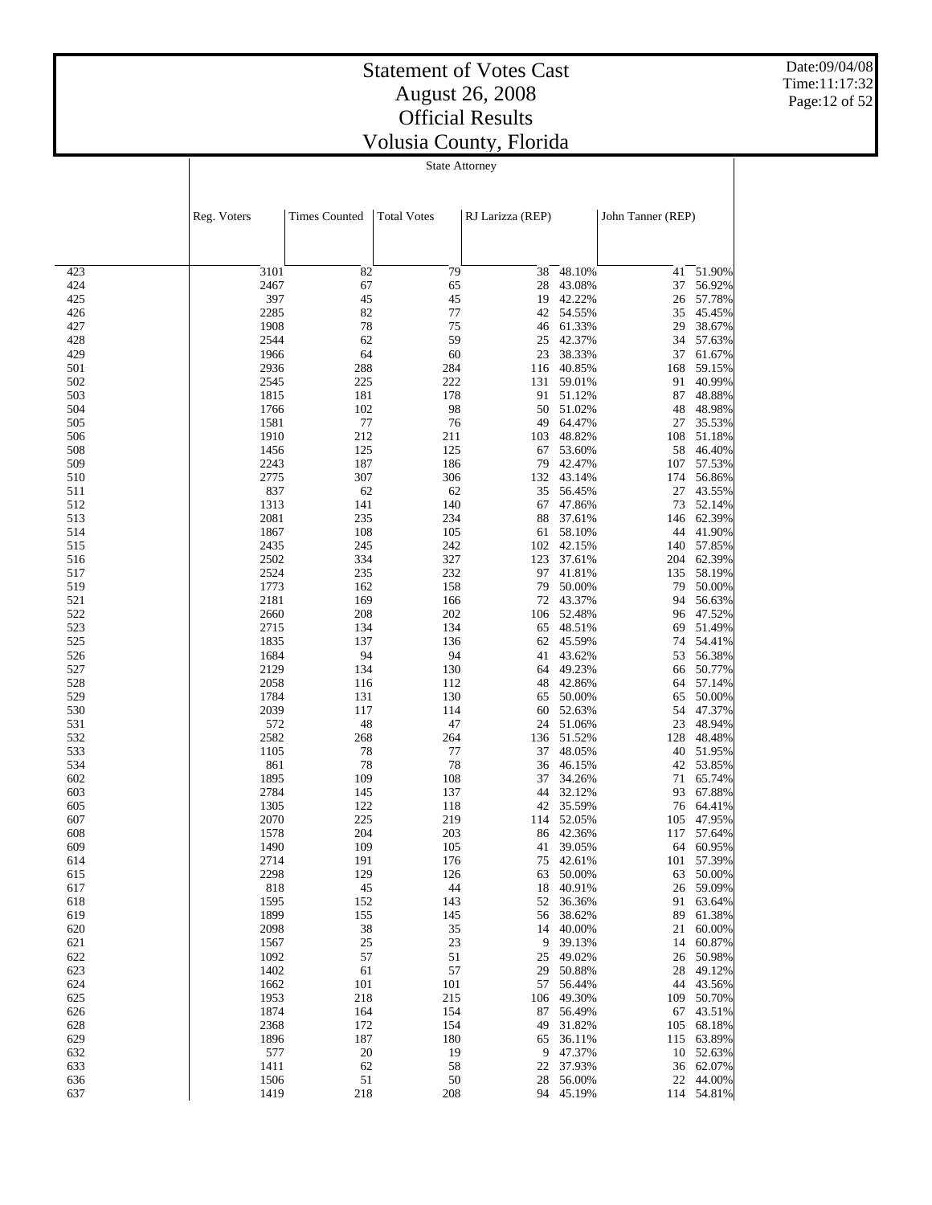Date:09/04/08 Time:11:17:32 Page:12 of 52

|            | Reg. Voters  | <b>Times Counted</b> | <b>Total Votes</b> | RJ Larizza (REP) |                     | John Tanner (REP) |                     |
|------------|--------------|----------------------|--------------------|------------------|---------------------|-------------------|---------------------|
|            |              |                      |                    |                  |                     |                   |                     |
| 423        | 3101         | 82                   | 79                 | 38               | 48.10%              | 41                | 51.90%              |
| 424        | 2467         | 67                   | 65                 | 28               | 43.08%              | 37                | 56.92%              |
| 425<br>426 | 397<br>2285  | 45<br>82             | 45<br>77           | 19<br>42         | 42.22%<br>54.55%    | 26                | 57.78%<br>45.45%    |
| 427        | 1908         | 78                   | 75                 | 46               | 61.33%              | 35<br>29          | 38.67%              |
| 428        | 2544         | 62                   | 59                 | 25               | 42.37%              | 34                | 57.63%              |
| 429        | 1966         | 64                   | 60                 | 23               | 38.33%              | 37                | 61.67%              |
| 501        | 2936         | 288                  | 284                | 116              | 40.85%              | 168               | 59.15%              |
| 502        | 2545         | 225                  | 222                | 131              | 59.01%              | 91                | 40.99%              |
| 503        | 1815         | 181                  | 178                | 91               | 51.12%              | 87                | 48.88%              |
| 504        | 1766         | 102                  | 98                 | 50               | 51.02%              | 48                | 48.98%              |
| 505        | 1581         | 77                   | 76                 | 49               | 64.47%              | 27                | 35.53%              |
| 506<br>508 | 1910<br>1456 | 212<br>125           | 211<br>125         | 103<br>67        | 48.82%<br>53.60%    | 108<br>58         | 51.18%<br>46.40%    |
| 509        | 2243         | 187                  | 186                | 79               | 42.47%              | 107               | 57.53%              |
| 510        | 2775         | 307                  | 306                | 132              | 43.14%              | 174               | 56.86%              |
| 511        | 837          | 62                   | 62                 | 35               | 56.45%              | 27                | 43.55%              |
| 512        | 1313         | 141                  | 140                | 67               | 47.86%              | 73                | 52.14%              |
| 513        | 2081         | 235                  | 234                | 88               | 37.61%              | 146               | 62.39%              |
| 514        | 1867         | 108                  | 105                | 61               | 58.10%              | 44                | 41.90%              |
| 515        | 2435         | 245                  | 242                | 102              | 42.15%              |                   | 140 57.85%          |
| 516        | 2502         | 334                  | 327                | 123              | 37.61%              | 204               | 62.39%              |
| 517<br>519 | 2524<br>1773 | 235<br>162           | 232<br>158         | 97               | 41.81%              | 135               | 58.19%<br>50.00%    |
| 521        | 2181         | 169                  | 166                | 79<br>72         | 50.00%<br>43.37%    | 79<br>94          | 56.63%              |
| 522        | 2660         | 208                  | 202                | 106              | 52.48%              | 96                | 47.52%              |
| 523        | 2715         | 134                  | 134                | 65               | 48.51%              | 69                | 51.49%              |
| 525        | 1835         | 137                  | 136                | 62               | 45.59%              | 74                | 54.41%              |
| 526        | 1684         | 94                   | 94                 | 41               | 43.62%              | 53                | 56.38%              |
| 527        | 2129         | 134                  | 130                | 64               | 49.23%              | 66                | 50.77%              |
| 528        | 2058         | 116                  | 112                | 48               | 42.86%              | 64                | 57.14%              |
| 529        | 1784         | 131                  | 130                | 65               | 50.00%              | 65                | 50.00%              |
| 530        | 2039         | 117                  | 114                | 60               | 52.63%              | 54                | 47.37%              |
| 531<br>532 | 572<br>2582  | 48<br>268            | 47<br>264          | 24<br>136        | 51.06%<br>51.52%    | 23<br>128         | 48.94%<br>48.48%    |
| 533        | 1105         | 78                   | $77 \,$            | 37               | 48.05%              | 40                | 51.95%              |
| 534        | 861          | 78                   | 78                 | 36               | 46.15%              | 42                | 53.85%              |
| 602        | 1895         | 109                  | 108                | 37               | 34.26%              | 71                | 65.74%              |
| 603        | 2784         | 145                  | 137                | 44               | 32.12%              | 93                | 67.88%              |
| 605        | 1305         | 122                  | 118                | 42               | 35.59%              | 76                | 64.41%              |
| 607        | 2070         | 225                  | 219                | 114              | 52.05%              | 105               | 47.95%              |
| 608        | 1578         | 204                  | 203                | 86               | 42.36%              | 117               | 57.64%              |
| 609        | 1490         | 109                  | 105                | 41               | 39.05%              | 64                | 60.95%              |
| 614<br>615 | 2714<br>2298 | 191<br>129           | 176                | 75               | 42.61%<br>63 50.00% | 101               | 57.39%<br>63 50.00% |
| 617        | 818          | 45                   | 126<br>44          |                  | 18 40.91%           |                   | 26 59.09%           |
| 618        | 1595         | 152                  | 143                | 52               | 36.36%              | 91                | 63.64%              |
| 619        | 1899         | 155                  | 145                | 56               | 38.62%              | 89                | 61.38%              |
| 620        | 2098         | 38                   | 35                 | 14               | 40.00%              | 21                | 60.00%              |
| 621        | 1567         | 25                   | 23                 | 9                | 39.13%              | 14                | 60.87%              |
| 622        | 1092         | 57                   | 51                 | 25               | 49.02%              | 26                | 50.98%              |
| 623        | 1402         | 61                   | 57                 | 29               | 50.88%              | 28                | 49.12%              |
| 624        | 1662         | 101                  | 101                | 57               | 56.44%              | 44                | 43.56%              |
| 625        | 1953         | 218                  | 215                | 106              | 49.30%              | 109               | 50.70%              |
| 626        | 1874<br>2368 | 164                  | 154                | 87               | 56.49%              | 67                | 43.51%              |
| 628<br>629 | 1896         | 172<br>187           | 154<br>180         | 49<br>65         | 31.82%<br>36.11%    | 105<br>115        | 68.18%<br>63.89%    |
| 632        | 577          | 20                   | 19                 | 9                | 47.37%              | 10                | 52.63%              |
| 633        | 1411         | 62                   | 58                 | 22               | 37.93%              |                   | 36 62.07%           |
| 636        | 1506         | 51                   | 50                 | 28               | 56.00%              | 22                | 44.00%              |
| 637        | 1419         | 218                  | 208                |                  | 94 45.19%           |                   | 114 54.81%          |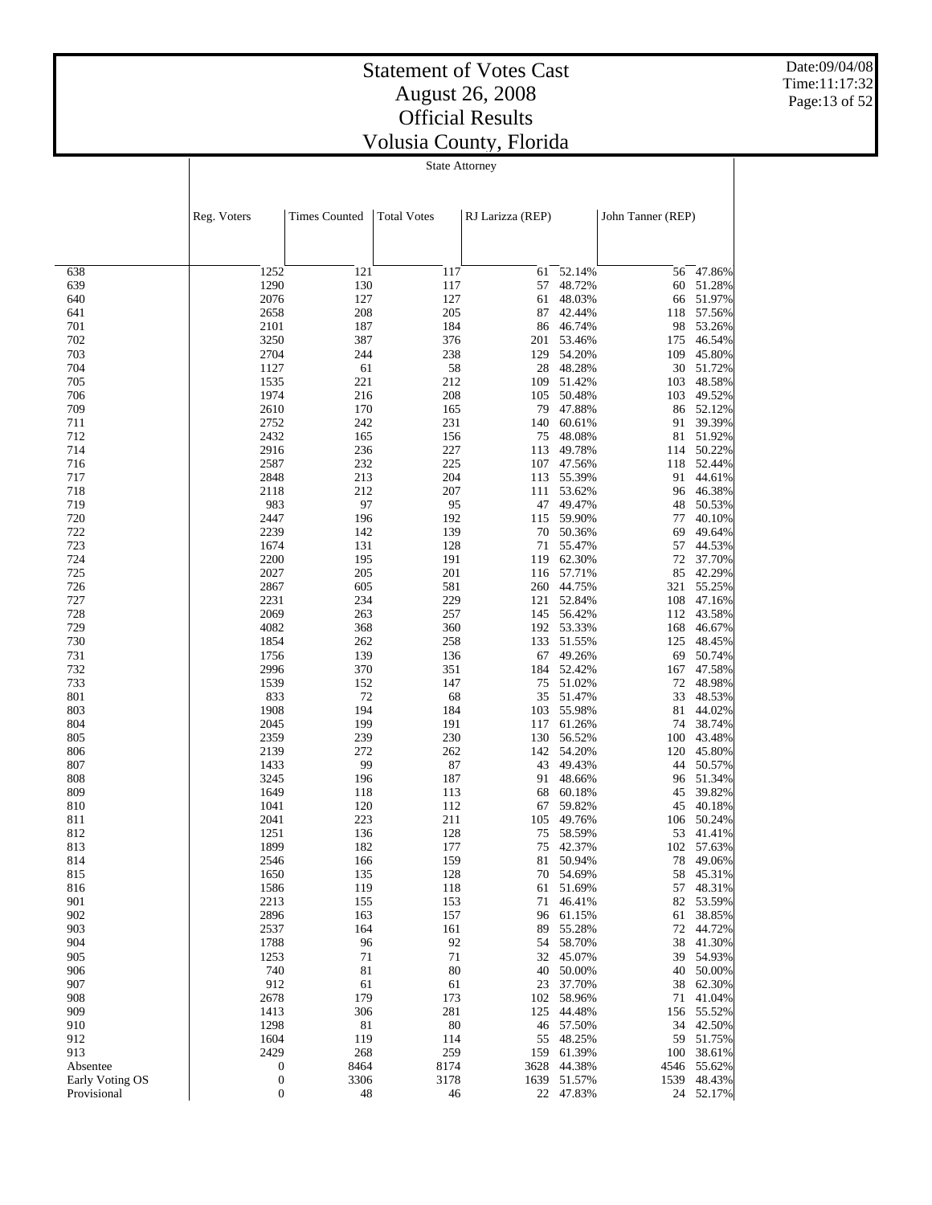Date:09/04/08 Time:11:17:32 Page:13 of 52

| tate Attorney |  |
|---------------|--|
|---------------|--|

|                 | Reg. Voters      | <b>Times Counted</b> |            | <b>Total Votes</b><br>RJ Larizza (REP) |                        |           | John Tanner (REP)      |  |  |
|-----------------|------------------|----------------------|------------|----------------------------------------|------------------------|-----------|------------------------|--|--|
|                 |                  |                      |            |                                        |                        |           |                        |  |  |
| 638             | 1252             | 121                  | 117        | 61                                     | 52.14%                 |           | 56 47.86%              |  |  |
| 639             | 1290             | 130                  | 117        | 57                                     | 48.72%                 | 60        | 51.28%                 |  |  |
| 640             | 2076             | 127                  | 127        | 61                                     | 48.03%                 | 66        | 51.97%                 |  |  |
| 641<br>701      | 2658<br>2101     | 208<br>187           | 205<br>184 | 87<br>86                               | 42.44%<br>46.74%       | 118<br>98 | 57.56%<br>53.26%       |  |  |
| 702             | 3250             | 387                  | 376        | 201                                    | 53.46%                 | 175       | 46.54%                 |  |  |
| 703             | 2704             | 244                  | 238        | 129                                    | 54.20%                 | 109       | 45.80%                 |  |  |
| 704             | 1127             | 61                   | 58         | 28                                     | 48.28%                 | 30        | 51.72%                 |  |  |
| 705             | 1535             | 221                  | 212        | 109                                    | 51.42%                 | 103       | 48.58%                 |  |  |
| 706             | 1974             | 216                  | 208        | 105                                    | 50.48%                 | 103       | 49.52%                 |  |  |
| 709<br>711      | 2610<br>2752     | 170<br>242           | 165<br>231 | 79<br>140                              | 47.88%<br>60.61%       | 86<br>91  | 52.12%<br>39.39%       |  |  |
| 712             | 2432             | 165                  | 156        | 75                                     | 48.08%                 | 81        | 51.92%                 |  |  |
| 714             | 2916             | 236                  | 227        | 113                                    | 49.78%                 | 114       | 50.22%                 |  |  |
| 716             | 2587             | 232                  | 225        | 107                                    | 47.56%                 | 118       | 52.44%                 |  |  |
| 717             | 2848             | 213                  | 204        | 113                                    | 55.39%                 | 91        | 44.61%                 |  |  |
| 718             | 2118             | 212                  | 207        | 111                                    | 53.62%                 | 96        | 46.38%                 |  |  |
| 719             | 983              | 97                   | 95         | 47                                     | 49.47%                 | 48        | 50.53%                 |  |  |
| 720<br>722      | 2447<br>2239     | 196<br>142           | 192<br>139 | 115<br>70                              | 59.90%<br>50.36%       | 77<br>69  | 40.10%<br>49.64%       |  |  |
| 723             | 1674             | 131                  | 128        | 71                                     | 55.47%                 | 57        | 44.53%                 |  |  |
| 724             | 2200             | 195                  | 191        | 119                                    | 62.30%                 | 72        | 37.70%                 |  |  |
| 725             | 2027             | 205                  | 201        |                                        | 116 57.71%             | 85        | 42.29%                 |  |  |
| 726             | 2867             | 605                  | 581        | 260                                    | 44.75%                 | 321       | 55.25%                 |  |  |
| 727             | 2231             | 234                  | 229        |                                        | 121 52.84%             | 108       | 47.16%                 |  |  |
| 728             | 2069             | 263                  | 257        | 145                                    | 56.42%                 | 112       | 43.58%                 |  |  |
| 729             | 4082             | 368                  | 360        |                                        | 192 53.33%             | 168       | 46.67%                 |  |  |
| 730<br>731      | 1854<br>1756     | 262<br>139           | 258<br>136 | 133<br>67                              | 51.55%<br>49.26%       | 125<br>69 | 48.45%<br>50.74%       |  |  |
| 732             | 2996             | 370                  | 351        | 184                                    | 52.42%                 | 167       | 47.58%                 |  |  |
| 733             | 1539             | 152                  | 147        | 75                                     | 51.02%                 | $72\,$    | 48.98%                 |  |  |
| 801             | 833              | 72                   | 68         | 35                                     | 51.47%                 | 33        | 48.53%                 |  |  |
| 803             | 1908             | 194                  | 184        | 103                                    | 55.98%                 | 81        | 44.02%                 |  |  |
| 804             | 2045             | 199                  | 191        | 117                                    | 61.26%                 | 74        | 38.74%                 |  |  |
| 805             | 2359             | 239                  | 230        | 130                                    | 56.52%                 | 100       | 43.48%                 |  |  |
| 806             | 2139             | 272                  | 262        | 142                                    | 54.20%                 | 120       | 45.80%                 |  |  |
| 807<br>808      | 1433<br>3245     | 99<br>196            | 87<br>187  | 43<br>91                               | 49.43%<br>48.66%       | 44<br>96  | 50.57%<br>51.34%       |  |  |
| 809             | 1649             | 118                  | 113        | 68                                     | 60.18%                 | 45        | 39.82%                 |  |  |
| 810             | 1041             | 120                  | 112        | 67                                     | 59.82%                 | 45        | 40.18%                 |  |  |
| 811             | 2041             | 223                  | 211        | 105                                    | 49.76%                 | 106       | 50.24%                 |  |  |
| 812             | 1251             | 136                  | 128        | 75                                     | 58.59%                 | 53        | 41.41%                 |  |  |
| 813             | 1899             | 182                  | 177        | 75                                     | 42.37%                 | 102       | 57.63%                 |  |  |
| 814             | 2546             | 166                  | 159        | 81                                     | 50.94%                 | 78        | 49.06%                 |  |  |
| 815<br>816      | 1650<br>1586     | 135<br>119           | 128<br>118 |                                        | 70 54.69%<br>61 51.69% |           | 58 45.31%<br>57 48.31% |  |  |
| 901             | 2213             | 155                  | 153        | 71                                     | 46.41%                 | 82        | 53.59%                 |  |  |
| 902             | 2896             | 163                  | 157        | 96                                     | 61.15%                 | 61        | 38.85%                 |  |  |
| 903             | 2537             | 164                  | 161        | 89                                     | 55.28%                 | 72        | 44.72%                 |  |  |
| 904             | 1788             | 96                   | 92         | 54                                     | 58.70%                 | 38        | 41.30%                 |  |  |
| 905             | 1253             | 71                   | 71         |                                        | 32 45.07%              | 39        | 54.93%                 |  |  |
| 906             | 740              | 81                   | 80         | 40                                     | 50.00%                 | 40        | 50.00%                 |  |  |
| 907             | 912              | 61                   | 61         | 23                                     | 37.70%                 | 38        | 62.30%                 |  |  |
| 908<br>909      | 2678<br>1413     | 179<br>306           | 173<br>281 | 102<br>125                             | 58.96%<br>44.48%       | 71<br>156 | 41.04%<br>55.52%       |  |  |
| 910             | 1298             | 81                   | 80         | 46                                     | 57.50%                 |           | 34 42.50%              |  |  |
| 912             | 1604             | 119                  | 114        | 55                                     | 48.25%                 | 59        | 51.75%                 |  |  |
| 913             | 2429             | 268                  | 259        | 159                                    | 61.39%                 | 100       | 38.61%                 |  |  |
| Absentee        | $\boldsymbol{0}$ | 8464                 | 8174       | 3628                                   | 44.38%                 |           | 4546 55.62%            |  |  |
| Early Voting OS | $\boldsymbol{0}$ | 3306                 | 3178       | 1639                                   | 51.57%                 | 1539      | 48.43%                 |  |  |
| Provisional     | $\boldsymbol{0}$ | 48                   | 46         |                                        | 22 47.83%              |           | 24 52.17%              |  |  |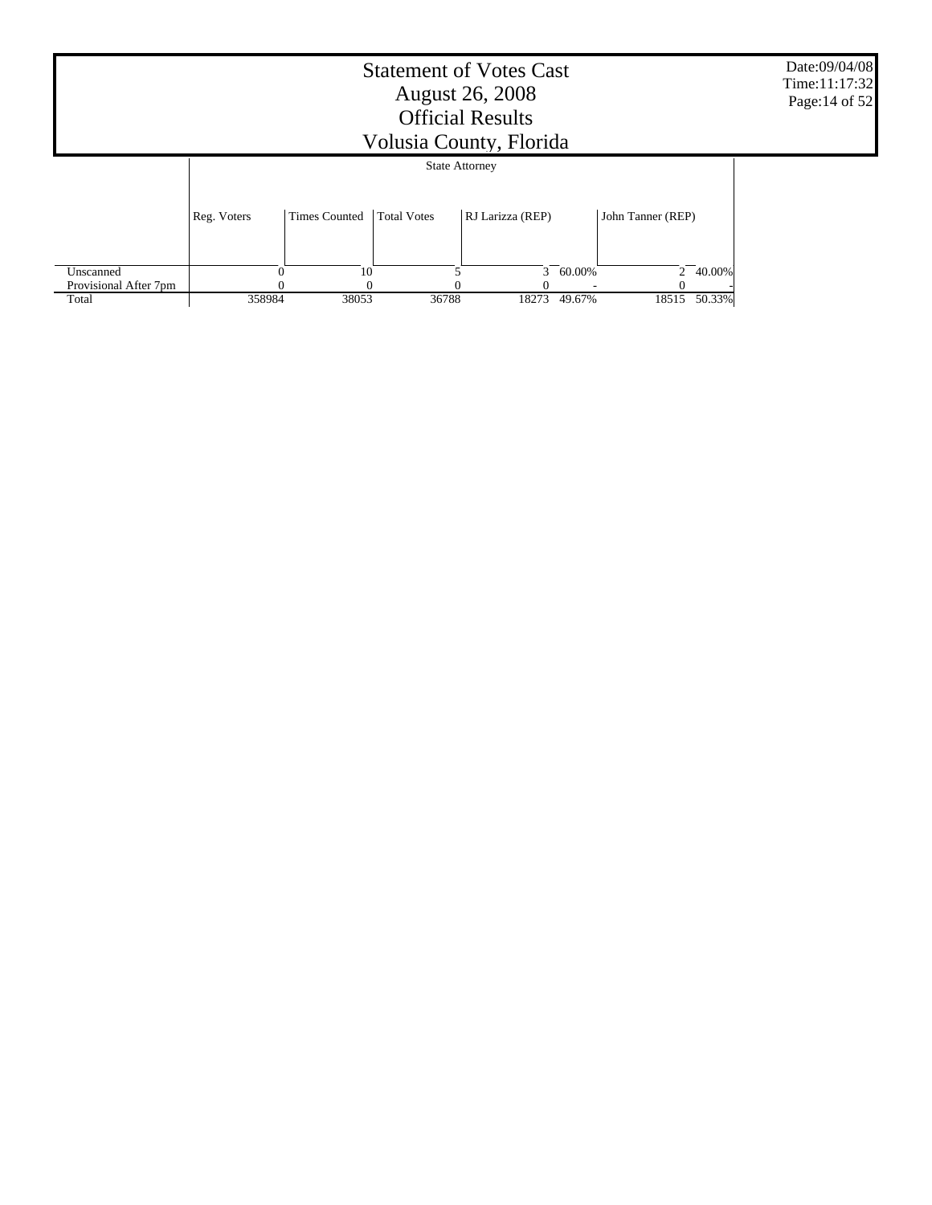| <b>Statement of Votes Cast</b><br><b>August 26, 2008</b><br><b>Official Results</b><br>Volusia County, Florida |             |                      |                       |                  |        |                   |        | Date:09/04/08<br>Time: 11:17:32<br>Page: 14 of 52 |
|----------------------------------------------------------------------------------------------------------------|-------------|----------------------|-----------------------|------------------|--------|-------------------|--------|---------------------------------------------------|
|                                                                                                                |             |                      | <b>State Attorney</b> |                  |        |                   |        |                                                   |
|                                                                                                                | Reg. Voters | <b>Times Counted</b> | <b>Total Votes</b>    | RJ Larizza (REP) |        | John Tanner (REP) |        |                                                   |
| Unscanned                                                                                                      |             | 10                   |                       | $\mathcal{F}$    | 60.00% | $\overline{2}$    | 40.00% |                                                   |
| Provisional After 7pm                                                                                          |             |                      |                       |                  |        |                   |        |                                                   |
| Total                                                                                                          | 358984      | 38053                | 36788                 | 18273            | 49.67% | 18515             | 50.33% |                                                   |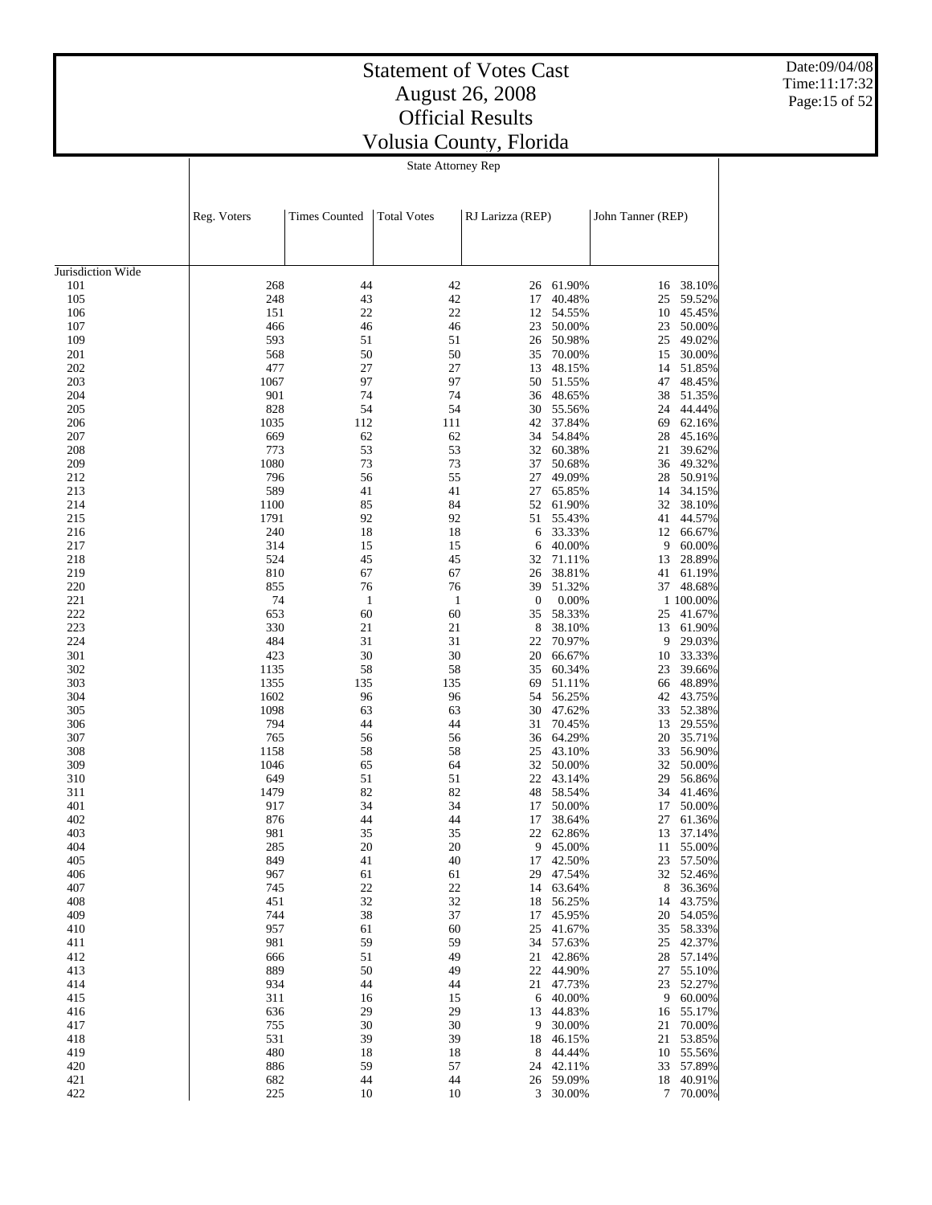# Statement of Votes Cast August 26, 2008 Official Results

Date:09/04/08 Time:11:17:32 Page:15 of 52

| <u>UMUM RUGUN</u>         |  |  |  |  |  |  |  |
|---------------------------|--|--|--|--|--|--|--|
| Volusia County, Florida   |  |  |  |  |  |  |  |
| <b>State Attorney Rep</b> |  |  |  |  |  |  |  |

|                          | Reg. Voters | <b>Times Counted</b> | <b>Total Votes</b> | RJ Larizza (REP) |           | John Tanner (REP) |                  |
|--------------------------|-------------|----------------------|--------------------|------------------|-----------|-------------------|------------------|
|                          |             |                      |                    |                  |           |                   |                  |
| Jurisdiction Wide<br>101 | 268         | 44                   | 42                 | 26               | 61.90%    | 16                | 38.10%           |
| 105                      | 248         | 43                   | 42                 | 17               | 40.48%    | 25                | 59.52%           |
| 106                      | 151         | 22                   | 22                 | 12               | 54.55%    | 10                | 45.45%           |
| 107                      | 466         | 46                   | 46                 | 23               | 50.00%    | 23                | 50.00%           |
| 109                      | 593         | 51                   | 51                 | 26               | 50.98%    | 25                | 49.02%           |
| 201                      | 568         | 50                   | 50                 | 35               | 70.00%    | 15                | 30.00%           |
| 202                      | 477         | 27                   | 27                 | 13               | 48.15%    | 14                |                  |
| 203                      | 1067        | 97                   | 97                 | 50               | 51.55%    | 47                | 51.85%<br>48.45% |
| 204                      | 901         | 74                   | 74                 | 36               | 48.65%    |                   |                  |
| 205                      | 828         | 54                   | 54                 | 30               | 55.56%    | 38<br>24          | 51.35%<br>44.44% |
|                          |             |                      |                    | 42               |           |                   |                  |
| 206                      | 1035<br>669 | 112<br>62            | 111                |                  | 37.84%    | 69                | 62.16%           |
| 207                      | 773         | 53                   | 62<br>53           | 34<br>32         | 54.84%    | 28                | 45.16%           |
| 208                      |             | 73                   | 73                 |                  | 60.38%    | 21                | 39.62%           |
| 209                      | 1080<br>796 | 56                   | 55                 | 37               | 50.68%    | 36                | 49.32%           |
| 212                      |             |                      |                    | 27               | 49.09%    | 28                | 50.91%           |
| 213                      | 589         | 41                   | 41                 | 27               | 65.85%    | 14                | 34.15%           |
| 214                      | 1100        | 85                   | 84                 | 52               | 61.90%    | 32                | 38.10%           |
| 215                      | 1791        | 92                   | 92                 | 51               | 55.43%    | 41                | 44.57%           |
| 216                      | 240         | 18                   | 18                 | 6                | 33.33%    | 12                | 66.67%           |
| 217                      | 314         | 15                   | 15                 | 6                | 40.00%    | 9                 | 60.00%           |
| 218                      | 524         | 45                   | 45                 | 32               | 71.11%    | 13                | 28.89%           |
| 219                      | 810         | 67                   | 67                 | 26               | 38.81%    | 41                | 61.19%           |
| 220                      | 855         | 76                   | 76                 | 39               | 51.32%    |                   | 37 48.68%        |
| 221                      | 74          | $\mathbf{1}$         | $\mathbf{1}$       | $\boldsymbol{0}$ | 0.00%     |                   | 1 100.00%        |
| 222                      | 653         | 60                   | 60                 | 35               | 58.33%    | 25                | 41.67%           |
| 223                      | 330         | 21                   | 21                 | 8                | 38.10%    | 13                | 61.90%           |
| 224                      | 484         | 31                   | 31                 | 22               | 70.97%    | 9                 | 29.03%           |
| 301                      | 423         | 30                   | 30                 | 20               | 66.67%    | 10                | 33.33%           |
| 302                      | 1135        | 58                   | 58                 | 35               | 60.34%    | 23                | 39.66%           |
| 303                      | 1355        | 135                  | 135                | 69               | 51.11%    | 66                | 48.89%           |
| 304                      | 1602        | 96                   | 96                 | 54               | 56.25%    | 42                | 43.75%           |
| 305                      | 1098        | 63                   | 63                 | 30               | 47.62%    | 33                | 52.38%           |
| 306                      | 794         | 44                   | 44                 | 31               | 70.45%    | 13                | 29.55%           |
| 307                      | 765         | 56                   | 56                 | 36               | 64.29%    | 20                | 35.71%           |
| 308                      | 1158        | 58                   | 58                 | 25               | 43.10%    | 33                | 56.90%           |
| 309                      | 1046        | 65                   | 64                 | 32               | 50.00%    | 32                | 50.00%           |
| 310                      | 649         | 51                   | 51                 | 22               | 43.14%    | 29                | 56.86%           |
| 311                      | 1479        | 82                   | 82                 | 48               | 58.54%    | 34                | 41.46%           |
| 401                      | 917         | 34                   | 34                 | 17               | 50.00%    | 17                | 50.00%           |
| 402                      | 876         | 44                   | 44                 | 17               | 38.64%    | 27                | 61.36%           |
| 403                      | 981         | 35                   | 35                 | 22               | 62.86%    | 13                | 37.14%           |
| 404                      | 285         | 20                   | 20                 | 9                | 45.00%    | 11                | 55.00%           |
| 405                      | 849         | 41                   | 40                 | 17               | 42.50%    | 23                | 57.50%           |
| 406                      | 967         | 61                   | 61                 |                  | 29 47.54% |                   | 32 52.46%        |
| 407                      | 745         | 22                   | 22                 |                  | 14 63.64% | 8                 | 36.36%           |
| 408                      | 451         | 32                   | 32                 |                  | 18 56.25% |                   | 14 43.75%        |
| 409                      | 744         | 38                   | 37                 | 17               | 45.95%    |                   | 20 54.05%        |
| 410                      | 957         | 61                   | 60                 | 25               | 41.67%    | 35                | 58.33%           |
| 411                      | 981         | 59                   | 59                 | 34               | 57.63%    | 25                | 42.37%           |
| 412                      | 666         | 51                   | 49                 | 21               | 42.86%    | 28                | 57.14%           |
| 413                      | 889         | 50                   | 49                 | 22               | 44.90%    | 27                | 55.10%           |
| 414                      | 934         | 44                   | 44                 | 21               | 47.73%    | 23                | 52.27%           |
| 415                      | 311         | 16                   | 15                 |                  | 6 40.00%  | 9                 | 60.00%           |
| 416                      | 636         | 29                   | 29                 | 13               | 44.83%    | 16                | 55.17%           |
| 417                      | 755         | 30                   | 30                 | 9                | 30.00%    | 21                | 70.00%           |
| 418                      | 531         | 39                   | 39                 | 18               | 46.15%    | 21                | 53.85%           |
| 419                      | 480         | 18                   | 18                 | 8                | 44.44%    | 10                | 55.56%           |
| 420                      | 886         | 59                   | 57                 |                  | 24 42.11% |                   | 33 57.89%        |
| 421                      | 682         | 44                   | 44                 |                  | 26 59.09% | 18                | 40.91%           |
| 422                      | 225         | 10                   | 10                 |                  | 3 30.00%  | 7                 | 70.00%           |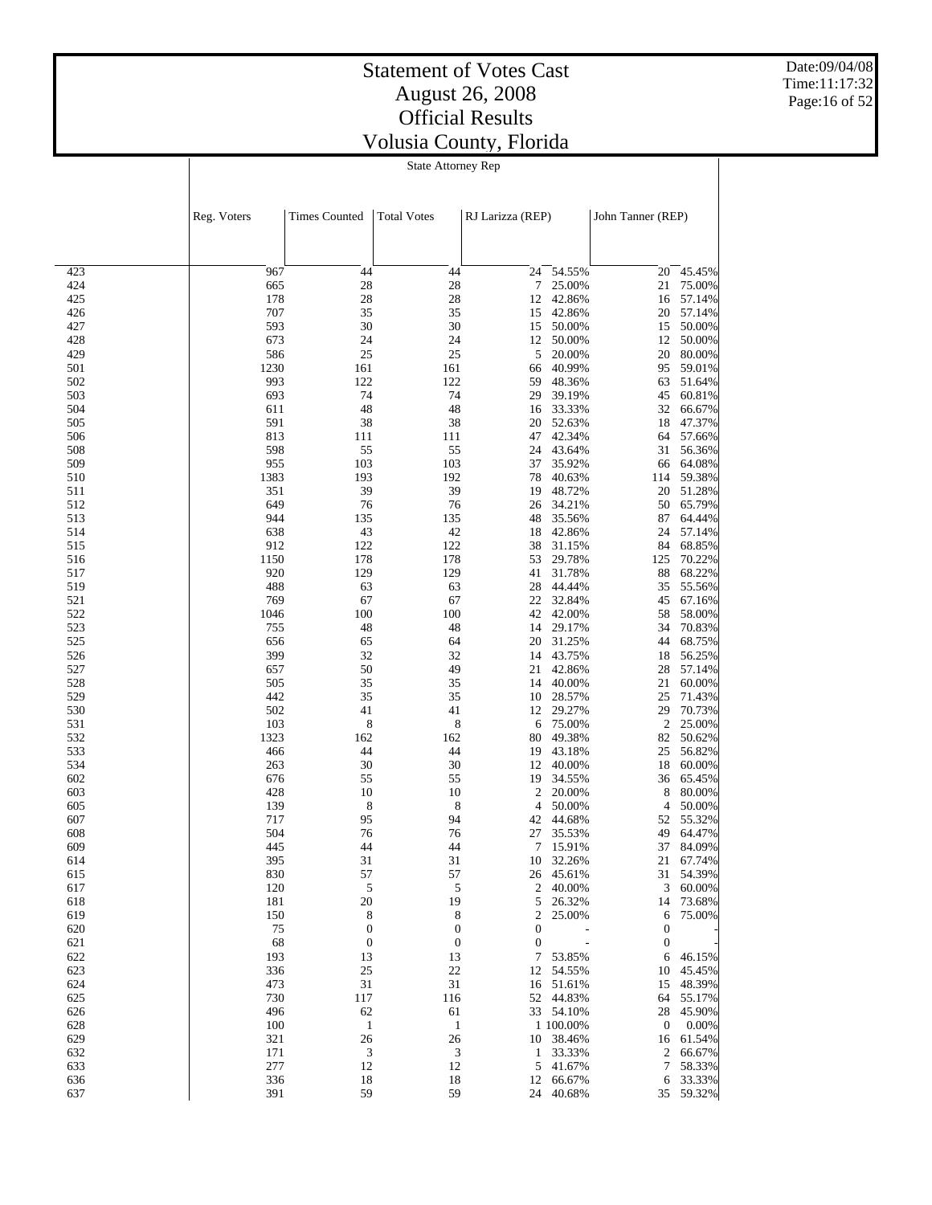Date:09/04/08 Time:11:17:32 Page:16 of 52

#### State Attorney Rep

|     | Reg. Voters | <b>Times Counted</b> | <b>Total Votes</b> | RJ Larizza (REP) |           | John Tanner (REP) |           |
|-----|-------------|----------------------|--------------------|------------------|-----------|-------------------|-----------|
|     |             |                      |                    |                  |           |                   |           |
| 423 | 967         | 44                   | 44                 | 24               | 54.55%    | 20                | 45.45%    |
| 424 | 665         | 28                   | 28                 | 7                | 25.00%    | 21                | 75.00%    |
| 425 | 178         | 28                   | 28                 | 12               | 42.86%    | 16                | 57.14%    |
| 426 | 707         | 35                   | 35                 | 15               | 42.86%    | 20                | 57.14%    |
| 427 | 593         | 30                   | 30                 | 15               | 50.00%    | 15                | 50.00%    |
| 428 | 673         | 24                   | 24                 | 12               | 50.00%    | 12                | 50.00%    |
| 429 | 586         | 25                   | 25                 | 5                | 20.00%    | 20                | 80.00%    |
| 501 | 1230        | 161                  | 161                | 66               | 40.99%    | 95                | 59.01%    |
| 502 | 993         | 122                  | 122                | 59               | 48.36%    | 63                | 51.64%    |
| 503 | 693         | 74                   | 74                 | 29               | 39.19%    | 45                | 60.81%    |
| 504 | 611         | 48                   | 48                 | 16               | 33.33%    | 32                | 66.67%    |
| 505 | 591         | 38                   | 38                 | 20               | 52.63%    | 18                | 47.37%    |
| 506 | 813         | 111                  | 111                | 47               | 42.34%    | 64                | 57.66%    |
| 508 | 598         | 55                   | 55                 | 24               | 43.64%    | 31                | 56.36%    |
| 509 | 955         | 103                  | 103                | 37               | 35.92%    | 66                | 64.08%    |
| 510 | 1383        | 193                  | 192                | 78               | 40.63%    | 114               | 59.38%    |
|     | 351         | 39                   | 39                 | 19               | 48.72%    | 20                | 51.28%    |
| 511 |             |                      |                    |                  | 34.21%    |                   | 65.79%    |
| 512 | 649         | 76                   | 76                 | 26               |           | 50                |           |
| 513 | 944         | 135                  | 135                | 48               | 35.56%    | 87                | 64.44%    |
| 514 | 638         | 43                   | 42                 | 18               | 42.86%    | 24                | 57.14%    |
| 515 | 912         | 122                  | 122                | 38               | 31.15%    | 84                | 68.85%    |
| 516 | 1150        | 178                  | 178                | 53               | 29.78%    | 125               | 70.22%    |
| 517 | 920         | 129                  | 129                | 41               | 31.78%    | 88                | 68.22%    |
| 519 | 488         | 63                   | 63                 | 28               | 44.44%    | 35                | 55.56%    |
| 521 | 769         | 67                   | 67                 | 22               | 32.84%    | 45                | 67.16%    |
| 522 | 1046        | 100                  | 100                | 42               | 42.00%    | 58                | 58.00%    |
| 523 | 755         | 48                   | 48                 | 14               | 29.17%    | 34                | 70.83%    |
| 525 | 656         | 65                   | 64                 | 20               | 31.25%    | 44                | 68.75%    |
| 526 | 399         | 32                   | 32                 | 14               | 43.75%    | 18                | 56.25%    |
| 527 | 657         | 50                   | 49                 | 21               | 42.86%    | 28                | 57.14%    |
| 528 | 505         | 35                   | 35                 | 14               | 40.00%    | 21                | 60.00%    |
| 529 | 442         | 35                   | 35                 | 10               | 28.57%    | 25                | 71.43%    |
| 530 | 502         | 41                   | 41                 | 12               | 29.27%    | 29                | 70.73%    |
| 531 | 103         | 8                    | 8                  | 6                | 75.00%    | 2                 | 25.00%    |
| 532 | 1323        | 162                  | 162                | 80               | 49.38%    | 82                | 50.62%    |
| 533 | 466         | 44                   | 44                 | 19               | 43.18%    | 25                | 56.82%    |
| 534 | 263         | 30                   | 30                 | 12               | 40.00%    | 18                | 60.00%    |
| 602 | 676         | 55                   | 55                 | 19               | 34.55%    | 36                | 65.45%    |
| 603 | 428         | 10                   | 10                 | 2                | 20.00%    | 8                 | 80.00%    |
| 605 | 139         | 8                    | 8                  | 4                | 50.00%    | 4                 | 50.00%    |
| 607 | 717         | 95                   | 94                 | 42               | 44.68%    | 52                | 55.32%    |
| 608 | 504         | 76                   | 76                 | 27               | 35.53%    | 49                | 64.47%    |
| 609 | 445         | 44                   | 44                 | 7                | 15.91%    | 37                | 84.09%    |
| 614 | 395         | 31                   | 31                 | 10               | 32.26%    | 21                | 67.74%    |
| 615 | 830         | 57                   | 57                 |                  | 26 45.61% | 31                | 54.39%    |
| 617 | 120         | 5                    | $\sqrt{5}$         |                  | 2 40.00%  | 3                 | 60.00%    |
| 618 | 181         | 20                   | 19                 | 5                | 26.32%    | 14                | 73.68%    |
| 619 | 150         | 8                    | 8                  | $\boldsymbol{2}$ | 25.00%    | 6                 | 75.00%    |
| 620 | 75          | $\boldsymbol{0}$     | $\boldsymbol{0}$   | $\boldsymbol{0}$ |           | $\boldsymbol{0}$  |           |
| 621 | 68          | $\boldsymbol{0}$     | $\boldsymbol{0}$   | $\boldsymbol{0}$ |           | $\mathbf{0}$      |           |
| 622 | 193         | 13                   | 13                 | 7                | 53.85%    | 6                 | 46.15%    |
| 623 | 336         | 25                   | 22                 | 12               | 54.55%    | 10                | 45.45%    |
| 624 | 473         | 31                   | 31                 | 16               | 51.61%    | 15                | 48.39%    |
| 625 | 730         | 117                  | 116                | 52               | 44.83%    | 64                | 55.17%    |
| 626 | 496         | 62                   | 61                 |                  | 33 54.10% | 28                | 45.90%    |
| 628 | 100         | $\mathbf{1}$         | 1                  |                  | 1 100.00% | $\boldsymbol{0}$  | $0.00\%$  |
| 629 | 321         | 26                   | 26                 | 10               | 38.46%    | 16                | 61.54%    |
| 632 | 171         | 3                    | 3                  | 1                | 33.33%    | 2                 | 66.67%    |
| 633 | 277         | 12                   | 12                 | 5                | 41.67%    | 7                 | 58.33%    |
| 636 | 336         | 18                   | 18                 | 12               | 66.67%    | 6                 | 33.33%    |
| 637 | 391         | 59                   | 59                 | 24               | 40.68%    |                   | 35 59.32% |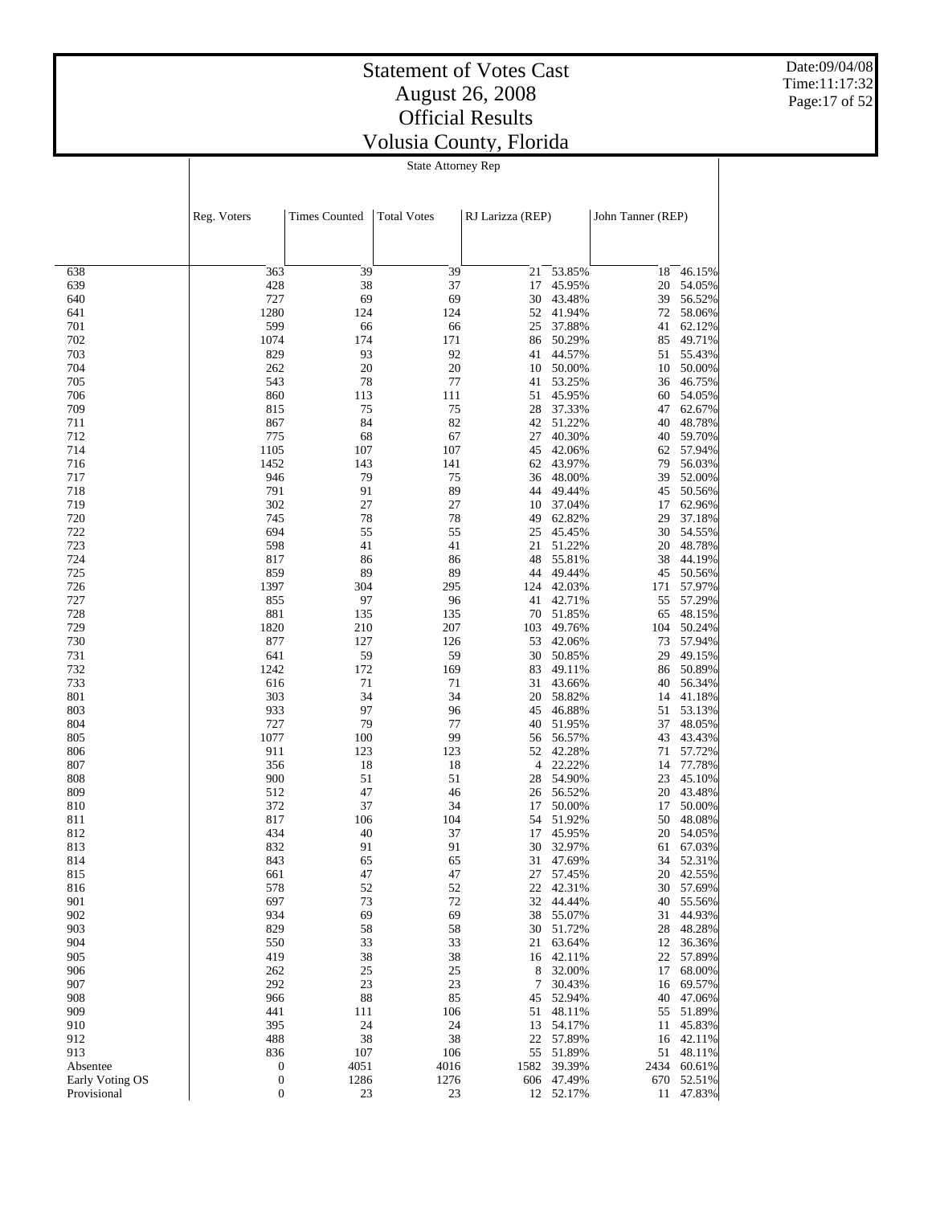Date:09/04/08 Time:11:17:32 Page:17 of 52

# State Attorney Rep

|                 | Reg. Voters      | <b>Times Counted</b> | <b>Total Votes</b> | RJ Larizza (REP) |                  | John Tanner (REP) |                     |
|-----------------|------------------|----------------------|--------------------|------------------|------------------|-------------------|---------------------|
|                 |                  |                      |                    |                  |                  |                   |                     |
| 638             | 363              | 39                   | 39                 | 21               | 53.85%           | 18                | 46.15%              |
| 639             | 428              | 38                   | 37                 | 17               | 45.95%           | 20                | 54.05%              |
| 640             | 727              | 69                   | 69                 | 30               | 43.48%           | 39                | 56.52%              |
| 641             | 1280             | 124                  | 124                | 52               | 41.94%           | 72                | 58.06%              |
| 701             | 599              | 66                   | 66                 | 25               | 37.88%           | 41                | 62.12%              |
| 702             | 1074             | 174                  | 171                | 86               | 50.29%           | 85                | 49.71%              |
| 703<br>704      | 829              | 93<br>20             | 92<br>20           | 41               | 44.57%           | 51                | 55.43%              |
| 705             | 262<br>543       | 78                   | 77                 | 10<br>41         | 50.00%<br>53.25% | 10<br>36          | 50.00%<br>46.75%    |
| 706             | 860              | 113                  | 111                | 51               | 45.95%           | 60                | 54.05%              |
| 709             | 815              | 75                   | 75                 | 28               | 37.33%           | 47                | 62.67%              |
| 711             | 867              | 84                   | 82                 | 42               | 51.22%           | 40                | 48.78%              |
| 712             | 775              | 68                   | 67                 | 27               | 40.30%           | 40                | 59.70%              |
| 714             | 1105             | 107                  | 107                | 45               | 42.06%           | 62                | 57.94%              |
| 716             | 1452             | 143                  | 141                | 62               | 43.97%           | 79                | 56.03%              |
| 717             | 946              | 79                   | 75                 | 36               | 48.00%           | 39                | 52.00%              |
| 718             | 791              | 91                   | 89                 | 44               | 49.44%           | 45                | 50.56%              |
| 719             | 302              | 27                   | 27                 | 10               | 37.04%           | 17                | 62.96%              |
| 720             | 745              | 78                   | 78                 | 49               | 62.82%           | 29                | 37.18%              |
| 722             | 694              | 55                   | 55                 | 25               | 45.45%           | 30                | 54.55%              |
| 723             | 598              | 41                   | 41                 | 21               | 51.22%           | 20                | 48.78%              |
| 724             | 817              | 86                   | 86                 | 48               | 55.81%           | 38                | 44.19%              |
| 725             | 859              | 89                   | 89                 | 44               | 49.44%           | 45                | 50.56%              |
| 726             | 1397             | 304                  | 295                | 124              | 42.03%           | 171               | 57.97%              |
| 727             | 855              | 97                   | 96                 | 41               | 42.71%           | 55                | 57.29%              |
| 728             | 881<br>1820      | 135                  | 135                | 70               | 51.85%           | 65                | 48.15%              |
| 729<br>730      | 877              | 210<br>127           | 207<br>126         | 103<br>53        | 49.76%<br>42.06% | 104<br>73         | 50.24%<br>57.94%    |
| 731             | 641              | 59                   | 59                 | 30               | 50.85%           | 29                | 49.15%              |
| 732             | 1242             | 172                  | 169                | 83               | 49.11%           | 86                | 50.89%              |
| 733             | 616              | 71                   | 71                 | 31               | 43.66%           | 40                | 56.34%              |
| 801             | 303              | 34                   | 34                 | 20               | 58.82%           | 14                | 41.18%              |
| 803             | 933              | 97                   | 96                 | 45               | 46.88%           | 51                | 53.13%              |
| 804             | 727              | 79                   | 77                 | 40               | 51.95%           | 37                | 48.05%              |
| 805             | 1077             | 100                  | 99                 | 56               | 56.57%           | 43                | 43.43%              |
| 806             | 911              | 123                  | 123                | 52               | 42.28%           | 71                | 57.72%              |
| 807             | 356              | 18                   | 18                 | 4                | 22.22%           | 14                | 77.78%              |
| 808             | 900              | 51                   | 51                 | 28               | 54.90%           | 23                | 45.10%              |
| 809             | 512              | 47                   | 46                 | 26               | 56.52%           | 20                | 43.48%              |
| 810             | 372              | 37                   | 34                 | 17               | 50.00%           | 17                | 50.00%              |
| 811             | 817              | 106                  | 104                | 54               | 51.92%           | 50                | 48.08%              |
| 812             | 434              | 40                   | 37                 | 17               | 45.95%           | 20                | 54.05%              |
| 813             | 832              | 91                   | 91                 | 30               | 32.97%           | 61                | 67.03%              |
| 814             | 843              | 65                   | 65                 | 31               | 47.69%           | 34                | 52.31%<br>20 42.55% |
| 815             | 661              | 47                   | 47                 | 22               | 27 57.45%        |                   |                     |
| 816<br>901      | 578<br>697       | 52<br>73             | 52<br>72           | 32               | 42.31%<br>44.44% | 30                | 57.69%<br>55.56%    |
| 902             | 934              | 69                   | 69                 | 38               | 55.07%           | 40<br>31          | 44.93%              |
| 903             | 829              | 58                   | 58                 | 30               | 51.72%           | 28                | 48.28%              |
| 904             | 550              | 33                   | 33                 | 21               | 63.64%           | 12                | 36.36%              |
| 905             | 419              | 38                   | 38                 | 16               | 42.11%           | 22                | 57.89%              |
| 906             | 262              | 25                   | 25                 | 8                | 32.00%           | 17                | 68.00%              |
| 907             | 292              | 23                   | 23                 | 7                | 30.43%           | 16                | 69.57%              |
| 908             | 966              | 88                   | 85                 | 45               | 52.94%           | 40                | 47.06%              |
| 909             | 441              | 111                  | 106                | 51               | 48.11%           | 55                | 51.89%              |
| 910             | 395              | 24                   | 24                 | 13               | 54.17%           | 11                | 45.83%              |
| 912             | 488              | 38                   | 38                 | 22               | 57.89%           | 16                | 42.11%              |
| 913             | 836              | 107                  | 106                | 55               | 51.89%           | 51                | 48.11%              |
| Absentee        | 0                | 4051                 | 4016               | 1582             | 39.39%           | 2434              | 60.61%              |
| Early Voting OS | $\boldsymbol{0}$ | 1286                 | 1276               | 606              | 47.49%           | 670               | 52.51%              |
| Provisional     | $\mathbf{0}$     | 23                   | 23                 |                  | 12 52.17%        |                   | 11 47.83%           |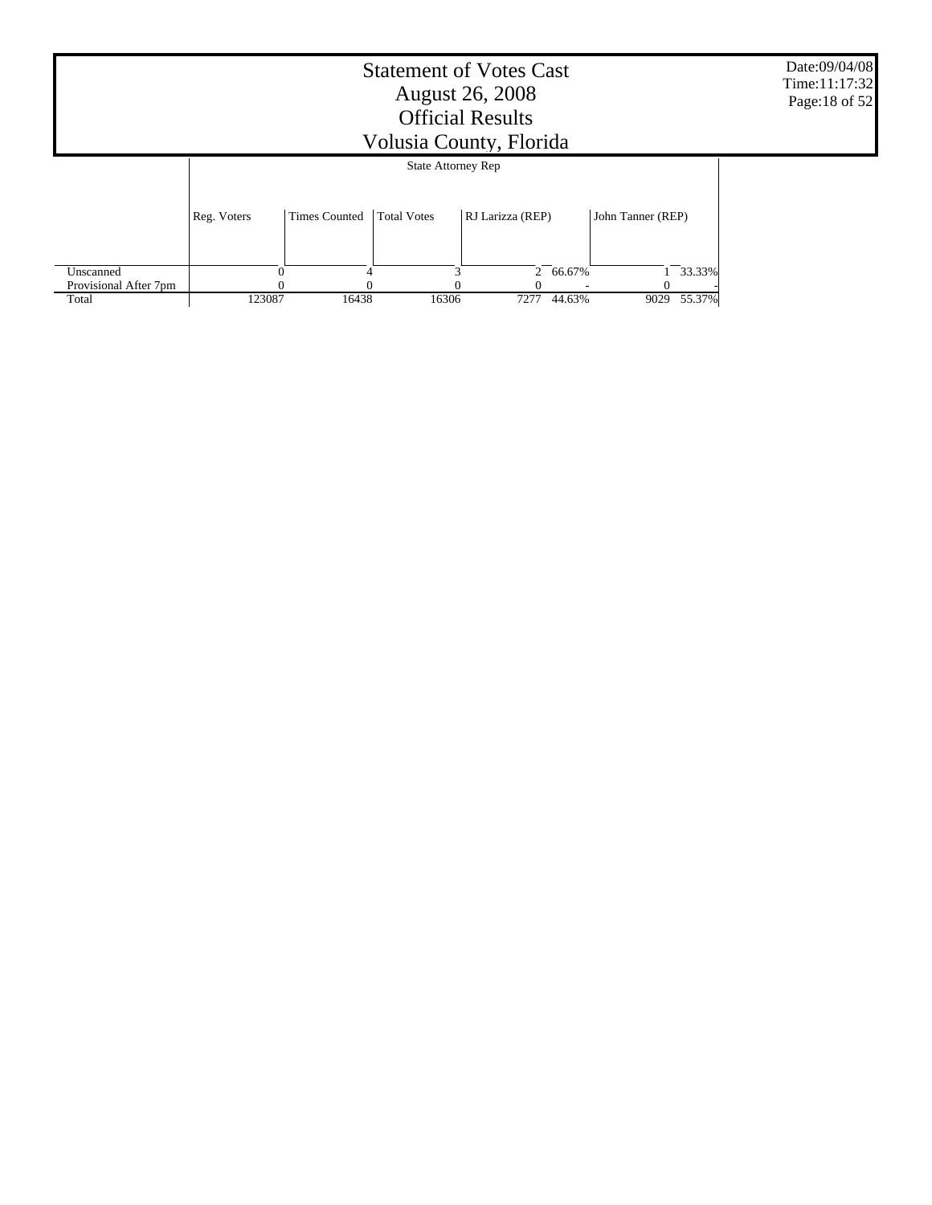|                       | Date:09/04/08<br>Time: 11:17:32<br>Page: 18 of 52 |                      |                           |                  |          |                   |        |  |
|-----------------------|---------------------------------------------------|----------------------|---------------------------|------------------|----------|-------------------|--------|--|
|                       |                                                   |                      | <b>State Attorney Rep</b> |                  |          |                   |        |  |
|                       | Reg. Voters                                       | <b>Times Counted</b> | <b>Total Votes</b>        | RJ Larizza (REP) |          | John Tanner (REP) |        |  |
| Unscanned             |                                                   |                      |                           |                  | 2 66.67% |                   | 33.33% |  |
| Provisional After 7pm |                                                   |                      |                           |                  |          |                   |        |  |
| Total                 | 123087                                            | 16438                | 16306                     | 7277             | 44.63%   | 9029              | 55.37% |  |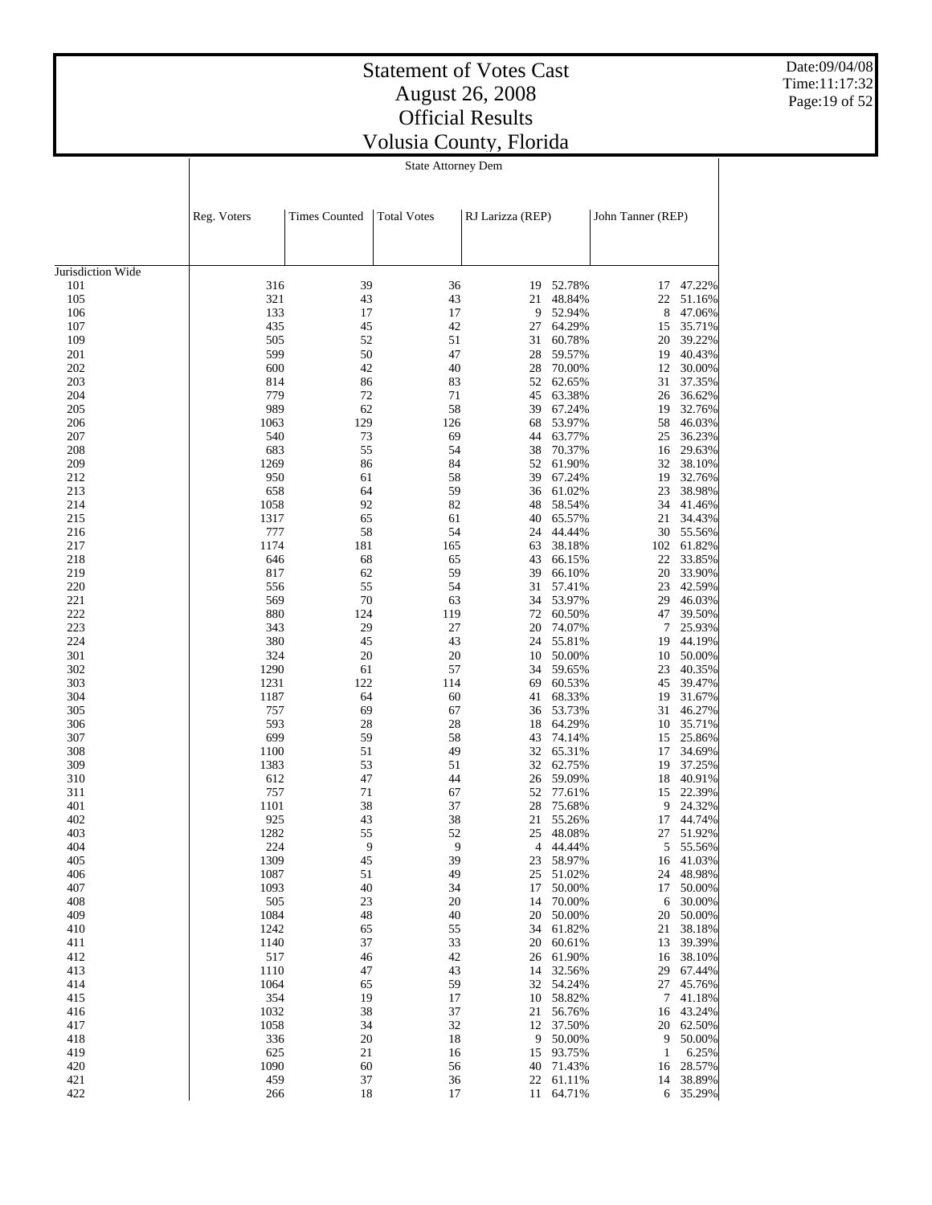Date:09/04/08 Time:11:17:32 Page:19 of 52

| <b>State Attorney Dem</b> |  |
|---------------------------|--|

|                   | Reg. Voters | <b>Times Counted</b> | <b>Total Votes</b> | RJ Larizza (REP) |           | John Tanner (REP) |                  |
|-------------------|-------------|----------------------|--------------------|------------------|-----------|-------------------|------------------|
| Jurisdiction Wide |             |                      |                    |                  |           |                   |                  |
|                   |             | 39                   |                    |                  | 52.78%    |                   |                  |
| 101<br>105        | 316<br>321  | 43                   | 36<br>43           | 19<br>21         | 48.84%    | 17<br>22          | 47.22%<br>51.16% |
| 106               | 133         | 17                   | 17                 | 9                | 52.94%    | 8                 | 47.06%           |
| 107               | 435         | 45                   | 42                 | 27               | 64.29%    |                   | 35.71%           |
| 109               | 505         | 52                   | 51                 | 31               | 60.78%    | 15<br>20          | 39.22%           |
| 201               | 599         | 50                   | 47                 | 28               | 59.57%    | 19                | 40.43%           |
| 202               | 600         | 42                   | 40                 | 28               | 70.00%    | 12                | 30.00%           |
| 203               | 814         | 86                   | 83                 | 52               | 62.65%    | 31                | 37.35%           |
| 204               | 779         | 72                   | 71                 | 45               | 63.38%    | 26                | 36.62%           |
| 205               | 989         | 62                   | 58                 | 39               | 67.24%    | 19                | 32.76%           |
| 206               | 1063        | 129                  | 126                | 68               | 53.97%    | 58                | 46.03%           |
| 207               | 540         | 73                   | 69                 | 44               | 63.77%    | 25                | 36.23%           |
| 208               | 683         | 55                   | 54                 | 38               | 70.37%    | 16                | 29.63%           |
| 209               | 1269        | 86                   | 84                 | 52               | 61.90%    | 32                | 38.10%           |
| 212               | 950         | 61                   | 58                 | 39               | 67.24%    | 19                | 32.76%           |
| 213               | 658         | 64                   | 59                 | 36               | 61.02%    | 23                | 38.98%           |
| 214               | 1058        | 92                   | 82                 | 48               | 58.54%    | 34                | 41.46%           |
| 215               | 1317        | 65                   | 61                 | 40               | 65.57%    | 21                | 34.43%           |
| 216               | 777         | 58                   | 54                 | 24               | 44.44%    | 30                | 55.56%           |
| 217               | 1174        | 181                  | 165                | 63               | 38.18%    | 102               | 61.82%           |
| 218               | 646         | 68                   | 65                 | 43               | 66.15%    | 22                | 33.85%           |
| 219               | 817         | 62                   | 59                 | 39               | 66.10%    | 20                | 33.90%           |
| 220               | 556         | 55                   | 54                 | 31               | 57.41%    | 23                | 42.59%           |
| 221               | 569         | 70                   | 63                 | 34               | 53.97%    | 29                | 46.03%           |
| 222               | 880         | 124                  | 119                | 72               | 60.50%    | 47                | 39.50%           |
| 223               | 343         | 29                   | 27                 | 20               | 74.07%    | 7                 | 25.93%           |
| 224               | 380         | 45                   | 43                 | 24               | 55.81%    | 19                | 44.19%           |
| 301               | 324         | 20                   | 20                 | 10               | 50.00%    | 10                | 50.00%           |
| 302               | 1290        | 61                   | 57                 | 34               | 59.65%    | 23                | 40.35%           |
| 303               | 1231        | 122                  | 114                | 69               | 60.53%    | 45                | 39.47%           |
| 304               | 1187        | 64                   | 60                 | 41               | 68.33%    | 19                | 31.67%           |
| 305               | 757         | 69                   | 67                 | 36               | 53.73%    | 31                | 46.27%           |
| 306               | 593         | 28                   | 28                 | 18               | 64.29%    | 10                | 35.71%           |
| 307               | 699         | 59                   | 58                 | 43               | 74.14%    | 15                | 25.86%           |
| 308               | 1100        | 51                   | 49                 | 32               | 65.31%    | 17                | 34.69%           |
| 309               | 1383        | 53                   | 51                 | 32               | 62.75%    | 19                | 37.25%           |
| 310               | 612         | 47                   | 44                 | 26               | 59.09%    | 18                | 40.91%           |
| 311               | 757         | 71                   | 67                 | 52               | 77.61%    | 15                | 22.39%           |
| 401               | 1101        | 38                   | 37                 | 28               | 75.68%    | 9                 | 24.32%           |
| 402               | 925         | 43                   | 38                 | 21               | 55.26%    | 17                | 44.74%           |
| 403               | 1282        | 55                   | 52                 | 25               | 48.08%    | 27                | 51.92%           |
| 404               | 224         | 9                    | 9                  | 4                | 44.44%    | 5                 | 55.56%           |
| 405               | 1309        | 45                   | 39                 |                  | 23 58.97% | 16                | 41.03%           |
| 406               | 1087        | 51                   | 49                 |                  | 25 51.02% | 24                | 48.98%           |
| 407               | 1093        | 40                   | 34                 | 17               | 50.00%    | 17                | 50.00%           |
| 408               | 505         | 23                   | 20                 | 14               | 70.00%    | 6                 | 30.00%           |
| 409               | 1084        | 48                   | 40                 | 20               | 50.00%    | 20                | 50.00%           |
| 410               | 1242        | 65                   | 55                 | 34               | 61.82%    | 21                | 38.18%           |
| 411               | 1140        | 37                   | 33                 | 20               | 60.61%    | 13                | 39.39%           |
| 412               | 517         | 46                   | 42                 | 26               | 61.90%    | 16                | 38.10%           |
| 413               | 1110        | 47                   | 43                 | 14               | 32.56%    | 29                | 67.44%           |
| 414               | 1064        | 65                   | 59                 | 32               | 54.24%    | 27                | 45.76%           |
| 415               | 354         | 19                   | 17                 | 10               | 58.82%    | 7                 | 41.18%           |
| 416               | 1032        | 38                   | 37                 | 21               | 56.76%    | 16                | 43.24%           |
| 417               | 1058        | 34                   | 32                 | 12               | 37.50%    | 20                | 62.50%           |
| 418               | 336         | 20                   | 18                 | 9                | 50.00%    | 9                 | 50.00%           |
| 419               | 625         | 21                   | 16                 | 15               | 93.75%    | 1                 | 6.25%            |
| 420               | 1090        | 60                   | 56                 | 40               | 71.43%    | 16                | 28.57%           |
| 421               | 459         | 37                   | 36                 | 22               | 61.11%    | 14                | 38.89%           |
| 422               | 266         | 18                   | 17                 | 11               | 64.71%    | 6                 | 35.29%           |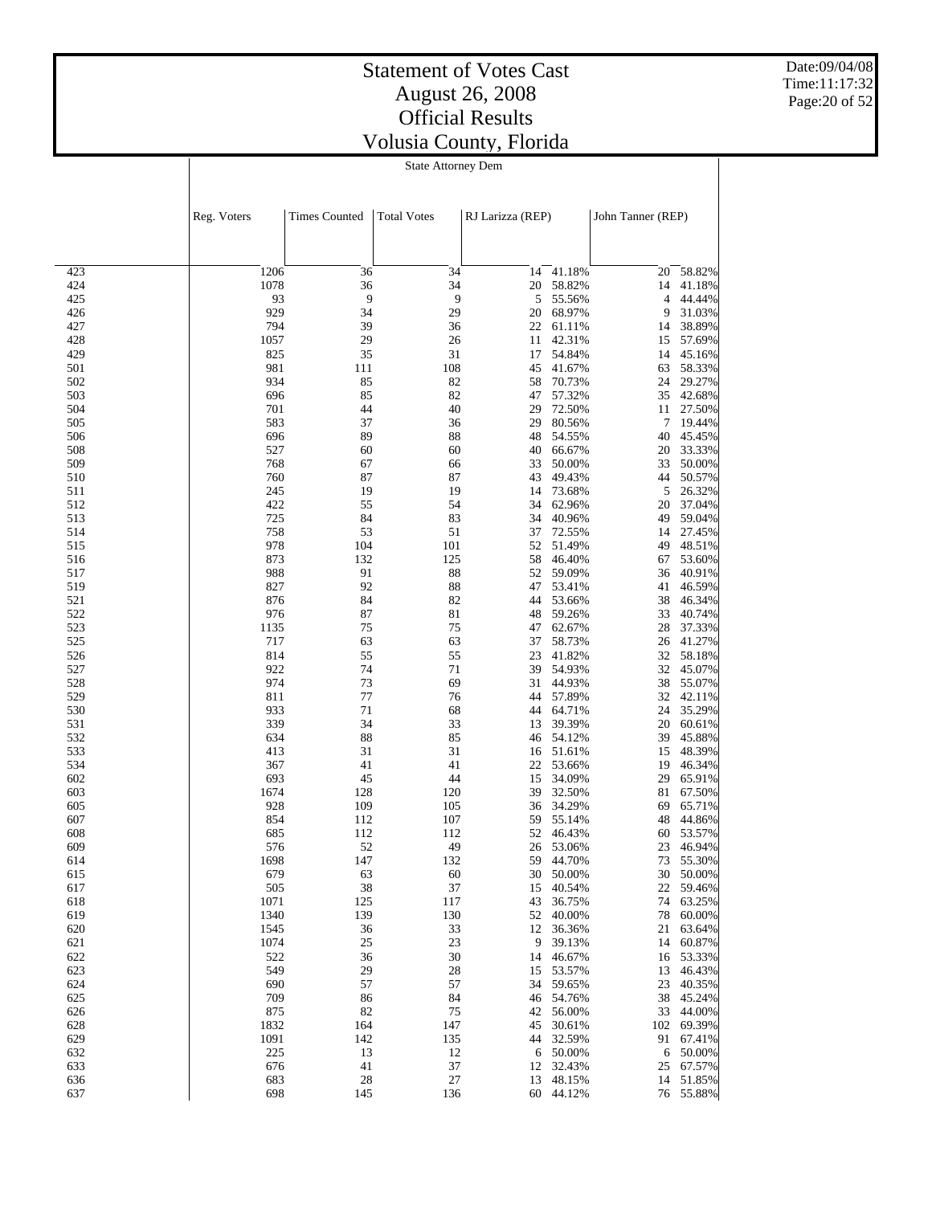Date:09/04/08 Time:11:17:32 Page:20 of 52

#### State Attorney Dem

|            | Reg. Voters | <b>Times Counted</b> | <b>Total Votes</b> | RJ Larizza (REP) |          | John Tanner (REP) |           |  |
|------------|-------------|----------------------|--------------------|------------------|----------|-------------------|-----------|--|
|            |             |                      |                    |                  |          |                   |           |  |
| 423        | 1206        | 36                   | 34                 | 14               | 41.18%   | 20                | 58.82%    |  |
| 424        | 1078        | 36                   | 34                 | 20               | 58.82%   | 14                | 41.18%    |  |
| 425        | 93          | 9                    | 9                  | 5                | 55.56%   | 4                 | 44.44%    |  |
| 426        | 929         | 34                   | 29                 | 20               | 68.97%   | 9                 | 31.03%    |  |
| 427        | 794         | 39                   | 36                 | 22               | 61.11%   | 14                | 38.89%    |  |
| 428        | 1057        | 29                   | 26                 | 11               | 42.31%   | 15                | 57.69%    |  |
| 429        | 825         | 35                   | 31                 | 17               | 54.84%   | 14                | 45.16%    |  |
| 501        | 981         | 111                  | 108                | 45               | 41.67%   | 63                | 58.33%    |  |
| 502        | 934         | 85                   | 82                 | 58               | 70.73%   | 24                | 29.27%    |  |
| 503        | 696         | 85                   | 82                 | 47               | 57.32%   | 35                | 42.68%    |  |
| 504        | 701         | 44                   | 40                 | 29               | 72.50%   | 11                | 27.50%    |  |
| 505        | 583         | 37                   | 36                 | 29               | 80.56%   | 7                 | 19.44%    |  |
| 506        | 696         | 89                   | 88                 | 48               | 54.55%   | 40                | 45.45%    |  |
| 508        | 527         | 60                   | 60                 | 40               | 66.67%   | 20                | 33.33%    |  |
| 509        | 768         | 67                   | 66                 | 33               | 50.00%   | 33                | 50.00%    |  |
| 510        | 760         | 87                   | 87                 | 43               | 49.43%   | 44                | 50.57%    |  |
| 511        | 245         | 19                   | 19                 | 14               | 73.68%   | 5                 | 26.32%    |  |
| 512        | 422         | 55                   | 54                 | 34               | 62.96%   | 20                | 37.04%    |  |
| 513        | 725         | 84                   | 83                 | 34               | 40.96%   | 49                | 59.04%    |  |
| 514        | 758         | 53                   | 51                 | 37               | 72.55%   | 14                | 27.45%    |  |
| 515        | 978         | 104                  | 101                | 52               | 51.49%   | 49                | 48.51%    |  |
| 516        | 873         | 132                  | 125                | 58               | 46.40%   | 67                | 53.60%    |  |
| 517        | 988         | 91                   | 88                 | 52               | 59.09%   | 36                | 40.91%    |  |
| 519        | 827         | 92                   | 88                 | 47               | 53.41%   | 41                | 46.59%    |  |
| 521        | 876         | 84                   | 82                 | 44               | 53.66%   | 38                | 46.34%    |  |
|            |             | 87                   | 81                 | 48               | 59.26%   |                   |           |  |
| 522<br>523 | 976         | 75                   | 75                 |                  |          | 33                | 40.74%    |  |
| 525        | 1135<br>717 |                      |                    | 47               | 62.67%   | 28                | 37.33%    |  |
|            |             | 63                   | 63                 | 37               | 58.73%   | 26                | 41.27%    |  |
| 526        | 814         | 55                   | 55                 | 23               | 41.82%   | 32                | 58.18%    |  |
| 527        | 922         | 74                   | 71                 | 39               | 54.93%   | 32                | 45.07%    |  |
| 528        | 974         | 73                   | 69                 | 31               | 44.93%   | 38                | 55.07%    |  |
| 529        | 811         | 77                   | 76                 | 44               | 57.89%   | 32                | 42.11%    |  |
| 530        | 933         | $71\,$               | 68                 | 44               | 64.71%   | 24                | 35.29%    |  |
| 531        | 339         | 34                   | 33                 | 13               | 39.39%   | 20                | 60.61%    |  |
| 532        | 634         | 88                   | 85                 | 46               | 54.12%   | 39                | 45.88%    |  |
| 533        | 413         | 31                   | 31                 | 16               | 51.61%   | 15                | 48.39%    |  |
| 534        | 367         | 41                   | 41                 | 22               | 53.66%   | 19                | 46.34%    |  |
| 602        | 693         | 45                   | 44                 | 15               | 34.09%   | 29                | 65.91%    |  |
| 603        | 1674        | 128                  | 120                | 39               | 32.50%   | 81                | 67.50%    |  |
| 605        | 928         | 109                  | 105                | 36               | 34.29%   | 69                | 65.71%    |  |
| 607        | 854         | 112                  | 107                | 59               | 55.14%   | 48                | 44.86%    |  |
| 608        | 685         | 112                  | 112                | 52               | 46.43%   | 60                | 53.57%    |  |
| 609        | 576         | 52                   | 49                 | 26               | 53.06%   | 23                | 46.94%    |  |
| 614        | 1698        | 147                  | 132                | 59               | 44.70%   | 73                | 55.30%    |  |
| 615        | 679         | 63                   | 60                 | 30               | 50.00%   | 30                | 50.00%    |  |
| 617        | 505         | 38                   | 37                 | 15               | 40.54%   | 22                | 59.46%    |  |
| 618        | 1071        | 125                  | 117                | 43               | 36.75%   | 74                | 63.25%    |  |
| 619        | 1340        | 139                  | 130                | 52               | 40.00%   | 78                | 60.00%    |  |
| 620        | 1545        | 36                   | 33                 | 12               | 36.36%   | 21                | 63.64%    |  |
| 621        | 1074        | 25                   | 23                 | 9                | 39.13%   | 14                | 60.87%    |  |
| 622        | 522         | 36                   | 30                 | 14               | 46.67%   | 16                | 53.33%    |  |
| 623        | 549         | 29                   | 28                 | 15               | 53.57%   | 13                | 46.43%    |  |
| 624        | 690         | 57                   | 57                 | 34               | 59.65%   | 23                | 40.35%    |  |
| 625        | 709         | 86                   | 84                 | 46               | 54.76%   | 38                | 45.24%    |  |
| 626        | 875         | 82                   | 75                 | 42               | 56.00%   | 33                | 44.00%    |  |
| 628        | 1832        | 164                  | 147                | 45               | 30.61%   | 102               | 69.39%    |  |
| 629        | 1091        | 142                  | 135                | 44               | 32.59%   | 91                | 67.41%    |  |
| 632        | 225         | 13                   | 12                 |                  | 6 50.00% | 6                 | 50.00%    |  |
| 633        | 676         | 41                   | 37                 | 12               | 32.43%   | 25                | 67.57%    |  |
| 636        | 683         | 28                   | 27                 | 13               | 48.15%   | 14                | 51.85%    |  |
| 637        | 698         | 145                  | 136                | 60               | 44.12%   |                   | 76 55.88% |  |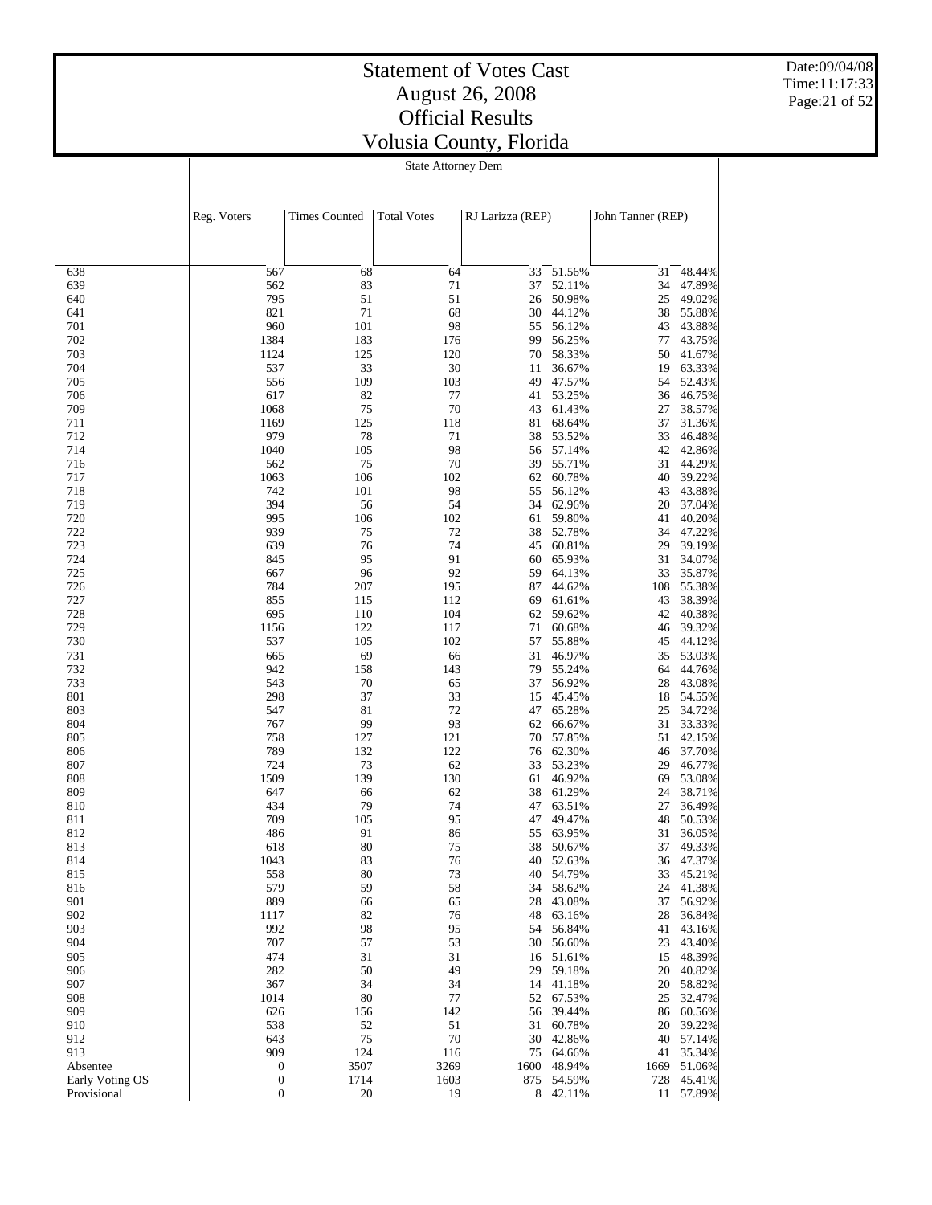Date:09/04/08 Time:11:17:33 Page:21 of 52

#### State Attorney Dem

|                 | Reg. Voters      | <b>Times Counted</b> | <b>Total Votes</b> | RJ Larizza (REP) |                  | John Tanner (REP) |                  |
|-----------------|------------------|----------------------|--------------------|------------------|------------------|-------------------|------------------|
|                 |                  |                      |                    |                  |                  |                   |                  |
| 638             | 567              | 68                   | 64                 | 33               | 51.56%           | 31                | 48.44%           |
| 639             | 562              | 83                   | 71                 | 37               | 52.11%           | 34                | 47.89%           |
| 640             | 795              | 51                   | 51                 | 26               | 50.98%           | 25                | 49.02%           |
| 641             | 821              | 71                   | 68                 | 30               | 44.12%           | 38                | 55.88%           |
| 701             | 960              | 101                  | 98                 | 55               | 56.12%           | 43                | 43.88%           |
| 702             | 1384             | 183                  | 176                | 99               | 56.25%           | 77                | 43.75%           |
| 703             | 1124             | 125                  | 120                | 70               | 58.33%           | 50                | 41.67%           |
| 704             | 537              | 33                   | 30                 | 11               | 36.67%           | 19                | 63.33%           |
| 705             | 556              | 109                  | 103                | 49               | 47.57%           | 54                | 52.43%           |
| 706<br>709      | 617<br>1068      | 82<br>75             | 77<br>70           | 41<br>43         | 53.25%<br>61.43% | 36<br>27          | 46.75%<br>38.57% |
| 711             | 1169             | 125                  | 118                | 81               | 68.64%           | 37                | 31.36%           |
| 712             | 979              | 78                   | 71                 | 38               | 53.52%           | 33                | 46.48%           |
| 714             | 1040             | 105                  | 98                 | 56               | 57.14%           | 42                | 42.86%           |
| 716             | 562              | 75                   | 70                 | 39               | 55.71%           | 31                | 44.29%           |
| 717             | 1063             | 106                  | 102                | 62               | 60.78%           | 40                | 39.22%           |
| 718             | 742              | 101                  | 98                 | 55               | 56.12%           | 43                | 43.88%           |
| 719             | 394              | 56                   | 54                 | 34               | 62.96%           | 20                | 37.04%           |
| 720             | 995              | 106                  | 102                | 61               | 59.80%           | 41                | 40.20%           |
| 722             | 939              | 75                   | 72                 | 38               | 52.78%           | 34                | 47.22%           |
| 723             | 639              | 76                   | 74                 | 45               | 60.81%           | 29                | 39.19%           |
| 724             | 845              | 95                   | 91                 | 60               | 65.93%           | 31                | 34.07%           |
| 725             | 667              | 96                   | 92                 | 59               | 64.13%           | 33                | 35.87%           |
| 726             | 784              | 207                  | 195                | 87               | 44.62%           | 108               | 55.38%           |
| 727             | 855              | 115                  | 112                | 69               | 61.61%           | 43                | 38.39%           |
| 728             | 695              | 110                  | 104                | 62               | 59.62%           | 42                | 40.38%           |
| 729             | 1156             | 122                  | 117                | 71               | 60.68%           | 46                | 39.32%           |
| 730             | 537              | 105                  | 102                | 57               | 55.88%           | 45                | 44.12%           |
| 731             | 665              | 69                   | 66                 | 31               | 46.97%           | 35                | 53.03%           |
| 732             | 942              | 158                  | 143                | 79               | 55.24%           | 64                | 44.76%           |
| 733             | 543              | 70                   | 65                 | 37               | 56.92%           | 28                | 43.08%           |
| 801             | 298              | 37                   | 33                 | 15               | 45.45%           | 18                | 54.55%           |
| 803             | 547              | 81                   | 72                 | 47               | 65.28%           | 25                | 34.72%           |
| 804             | 767              | 99                   | 93                 | 62               | 66.67%           | 31                | 33.33%           |
| 805             | 758              | 127                  | 121                | 70               | 57.85%           | 51                | 42.15%           |
| 806             | 789              | 132                  | 122                | 76               | 62.30%           | 46                | 37.70%           |
| 807             | 724              | 73                   | 62                 | 33               | 53.23%           | 29                | 46.77%           |
| 808             | 1509             | 139                  | 130                | 61               | 46.92%           | 69                | 53.08%           |
| 809             | 647              | 66                   | 62                 | 38               | 61.29%           | 24                | 38.71%           |
| 810             | 434              | 79                   | 74                 | 47               | 63.51%           | 27                | 36.49%           |
| 811             | 709              | 105                  | 95                 | 47               | 49.47%           | 48                | 50.53%           |
| 812             | 486              | 91<br>80             | 86<br>75           | 55               | 63.95%<br>50.67% | 31                | 36.05%           |
| 813<br>814      | 618<br>1043      |                      |                    | 38<br>40         |                  | 37                | 49.33%<br>47.37% |
| 815             | 558              | 83<br>80             | 76<br>73           | 40               | 52.63%<br>54.79% | 36<br>33          | 45.21%           |
| 816             | 579              | 59                   |                    |                  | 58.62%           |                   | 41.38%           |
| 901             | 889              | 66                   | 58<br>65           | 34<br>28         | 43.08%           | 24<br>37          | 56.92%           |
| 902             | 1117             | 82                   | 76                 | 48               | 63.16%           | 28                | 36.84%           |
| 903             | 992              | 98                   | 95                 | 54               | 56.84%           | 41                | 43.16%           |
| 904             | 707              | 57                   | 53                 | 30               | 56.60%           | 23                | 43.40%           |
| 905             | 474              | 31                   | 31                 | 16               | 51.61%           | 15                | 48.39%           |
| 906             | 282              | 50                   | 49                 | 29               | 59.18%           | 20                | 40.82%           |
| 907             | 367              | 34                   | 34                 | 14               | 41.18%           | 20                | 58.82%           |
| 908             | 1014             | 80                   | 77                 | 52               | 67.53%           | 25                | 32.47%           |
| 909             | 626              | 156                  | 142                | 56               | 39.44%           | 86                | 60.56%           |
| 910             | 538              | 52                   | 51                 | 31               | 60.78%           | 20                | 39.22%           |
| 912             | 643              | 75                   | 70                 | 30               | 42.86%           | 40                | 57.14%           |
| 913             | 909              | 124                  | 116                | 75               | 64.66%           | 41                | 35.34%           |
| Absentee        | $\boldsymbol{0}$ | 3507                 | 3269               | 1600             | 48.94%           | 1669              | 51.06%           |
| Early Voting OS | $\boldsymbol{0}$ | 1714                 | 1603               | 875              | 54.59%           | 728               | 45.41%           |
| Provisional     | $\boldsymbol{0}$ | 20                   | 19                 | 8                | 42.11%           | 11                | 57.89%           |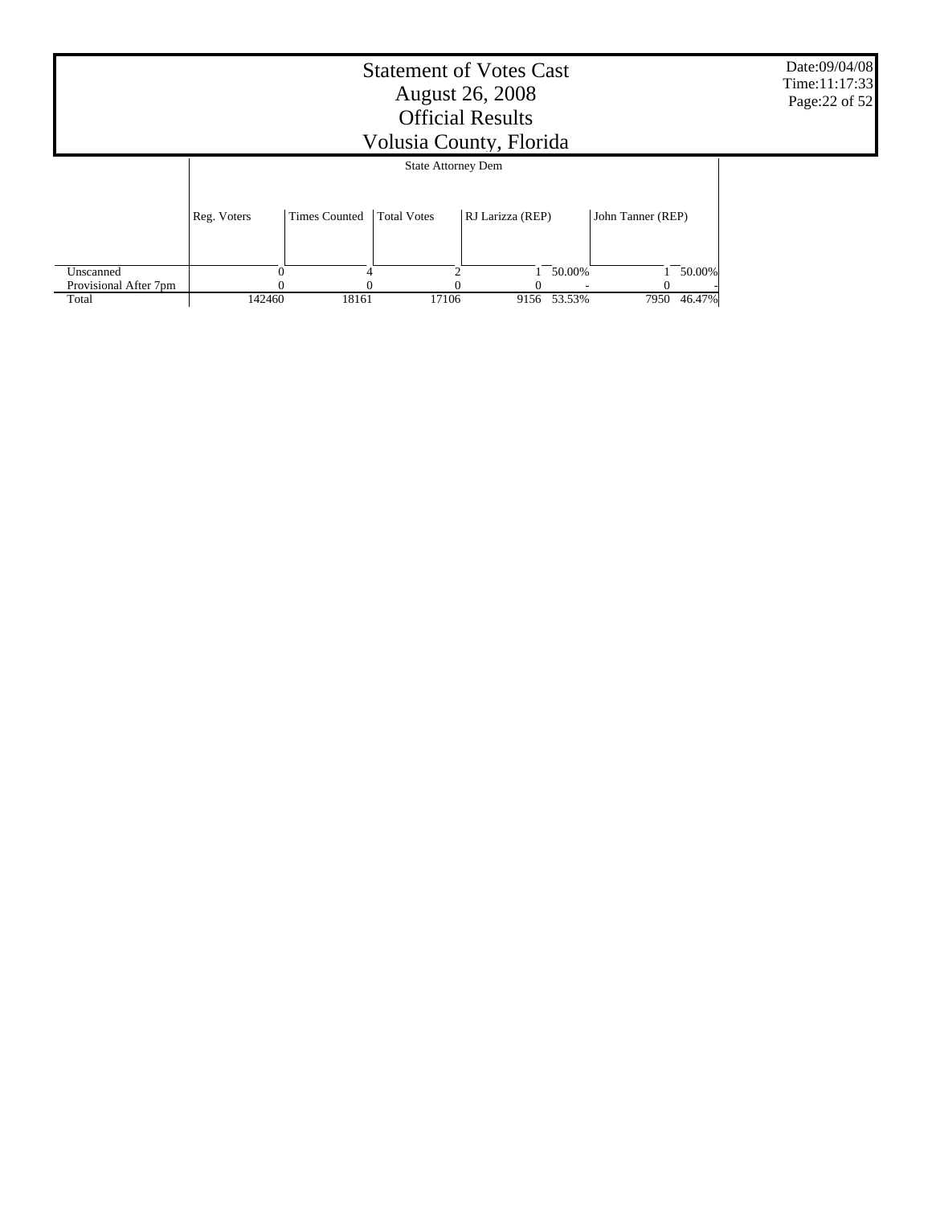|                       | <b>Statement of Votes Cast</b><br><b>August 26, 2008</b><br><b>Official Results</b><br>Volusia County, Florida |                      |                    |                  |             |                   |        |  |  |  |  |
|-----------------------|----------------------------------------------------------------------------------------------------------------|----------------------|--------------------|------------------|-------------|-------------------|--------|--|--|--|--|
|                       | <b>State Attorney Dem</b>                                                                                      |                      |                    |                  |             |                   |        |  |  |  |  |
|                       | Reg. Voters                                                                                                    | <b>Times Counted</b> | <b>Total Votes</b> | RJ Larizza (REP) |             | John Tanner (REP) |        |  |  |  |  |
| Unscanned             |                                                                                                                |                      | ◠                  |                  | 50.00%      |                   | 50.00% |  |  |  |  |
| Provisional After 7pm |                                                                                                                |                      |                    |                  |             |                   |        |  |  |  |  |
| Total                 | 142460                                                                                                         | 18161                | 17106              |                  | 9156 53.53% | 7950              | 46.47% |  |  |  |  |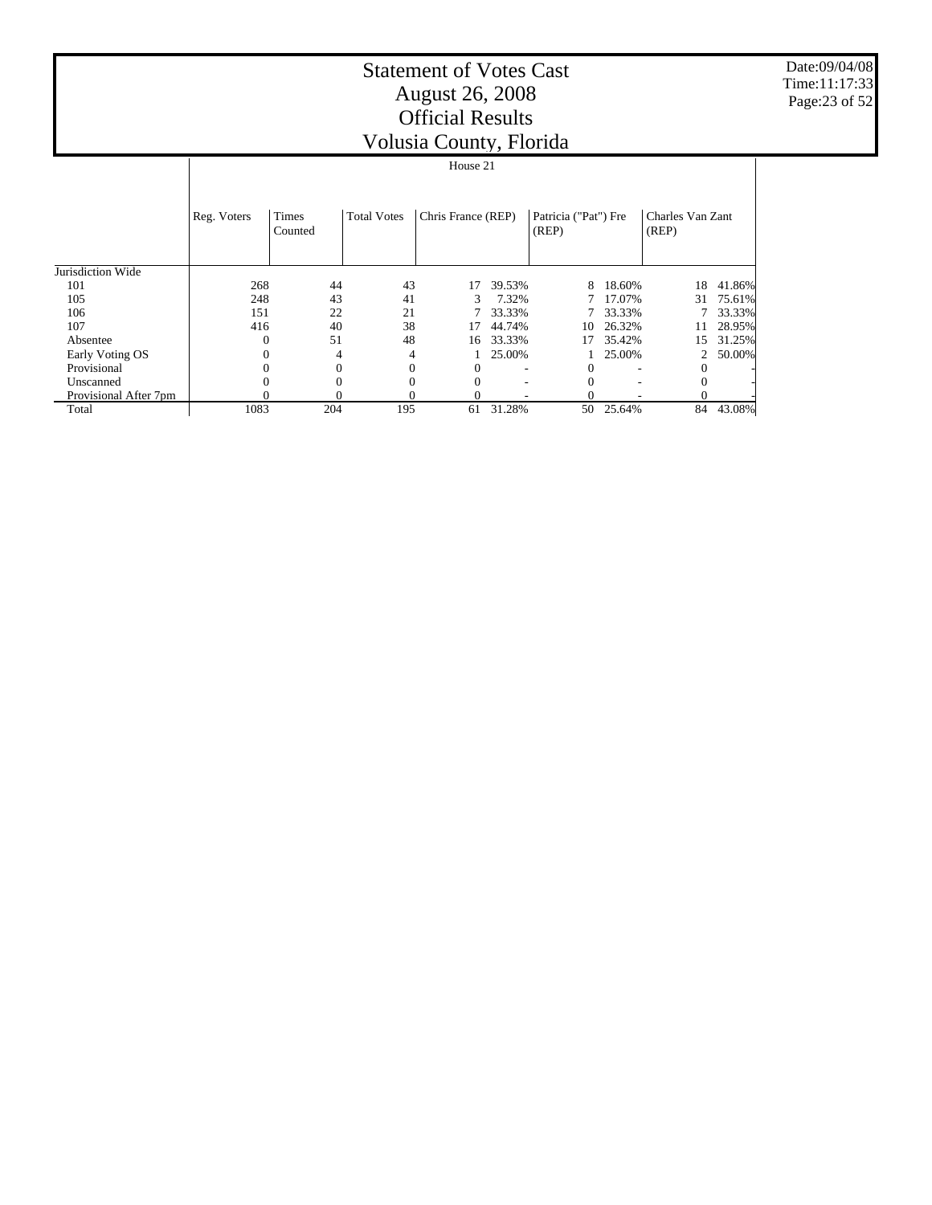Date:09/04/08 Time:11:17:33 Page:23 of 52

|                       |                |                  |                    | House 21           |        |                               |        |                           |        |
|-----------------------|----------------|------------------|--------------------|--------------------|--------|-------------------------------|--------|---------------------------|--------|
|                       | Reg. Voters    | Times<br>Counted | <b>Total Votes</b> | Chris France (REP) |        | Patricia ("Pat") Fre<br>(REP) |        | Charles Van Zant<br>(REP) |        |
| Jurisdiction Wide     |                |                  |                    |                    |        |                               |        |                           |        |
| 101                   | 268            | 44               | 43                 | 17                 | 39.53% | 8                             | 18.60% | 18                        | 41.86% |
| 105                   | 248            | 43               | 41                 | 3                  | 7.32%  |                               | 17.07% | 31                        | 75.61% |
| 106                   | 151            | 22               | 21                 |                    | 33.33% |                               | 33.33% |                           | 33.33% |
| 107                   | 416            | 40               | 38                 | 17                 | 44.74% | 10                            | 26.32% |                           | 28.95% |
| Absentee              | $\mathbf{0}$   | 51               | 48                 | 16                 | 33.33% | 17                            | 35.42% | 15                        | 31.25% |
| Early Voting OS       | $\mathbf{0}$   | 4                | 4                  |                    | 25.00% |                               | 25.00% | 2                         | 50.00% |
| Provisional           | $\theta$       |                  |                    |                    |        | 0                             |        | 0                         |        |
| Unscanned             | $\overline{0}$ |                  |                    |                    |        | $\Omega$                      | ۰      | $\mathbf{0}$              |        |
| Provisional After 7pm |                |                  |                    |                    |        |                               |        | 0                         |        |
| Total                 | 1083           | 204              | 195                | 61                 | 31.28% | 50                            | 25.64% | 84                        | 43.08% |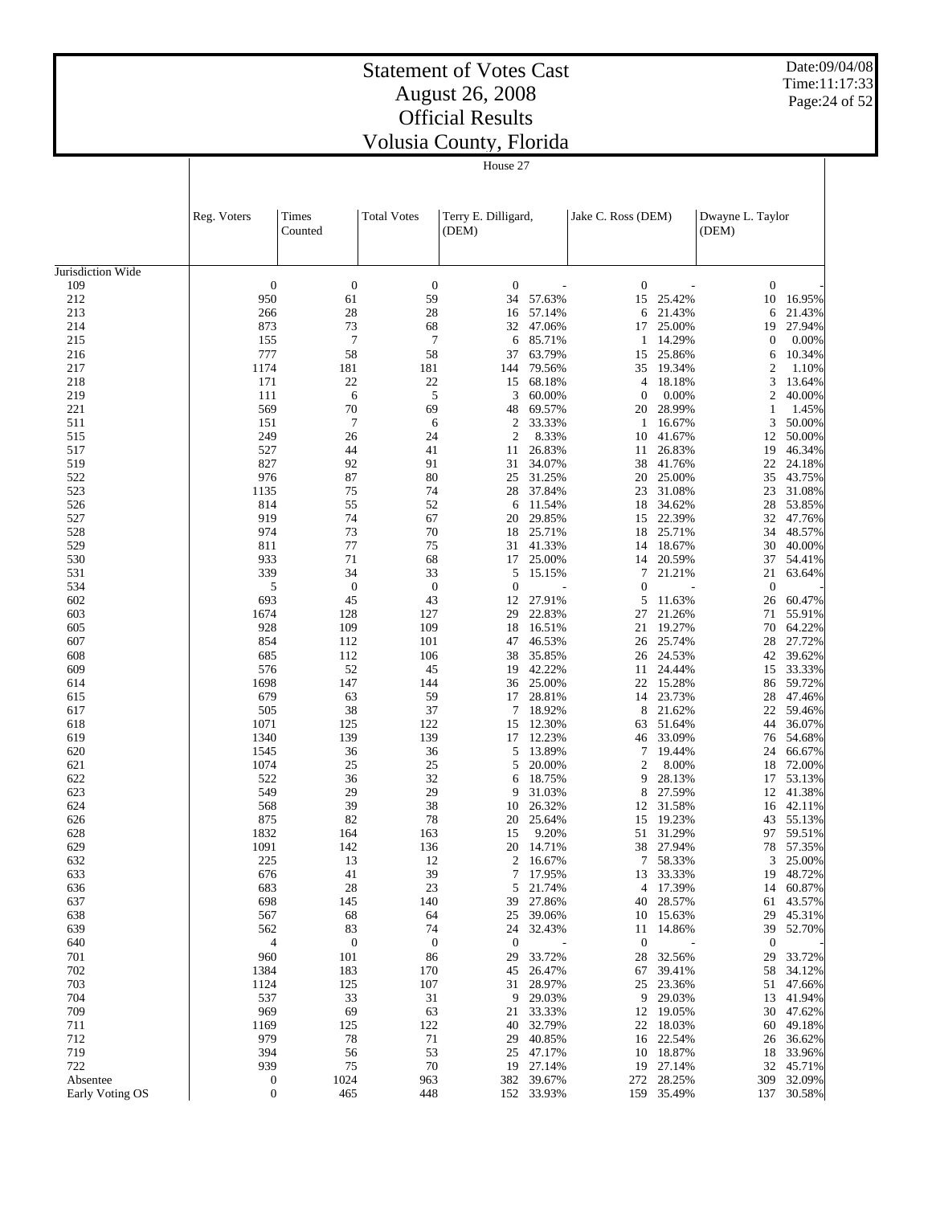House 27

Date:09/04/08 Time:11:17:33 Page:24 of 52

 $\overline{\phantom{a}}$ 

|                   | Reg. Voters      | Times<br>Counted     | <b>Total Votes</b> | Terry E. Dilligard,<br>(DEM) |                    | Jake C. Ross (DEM) |                     | Dwayne L. Taylor<br>(DEM) |                  |
|-------------------|------------------|----------------------|--------------------|------------------------------|--------------------|--------------------|---------------------|---------------------------|------------------|
| Jurisdiction Wide |                  |                      |                    |                              |                    |                    |                     |                           |                  |
| 109               | $\boldsymbol{0}$ | $\boldsymbol{0}$     | $\boldsymbol{0}$   | $\boldsymbol{0}$             |                    | $\boldsymbol{0}$   |                     | $\boldsymbol{0}$          |                  |
| 212               | 950              | 61                   | 59                 | 34                           | 57.63%             |                    | 15 25.42%           | 10                        | 16.95%           |
| 213               | 266              | 28                   | 28                 | 16                           | 57.14%             | 6                  | 21.43%              | 6                         | 21.43%           |
| 214               | 873              | 73                   | 68                 | 32                           | 47.06%             |                    | 17 25.00%           | 19                        | 27.94%           |
| 215               | 155              | $\tau$               | $\overline{7}$     | 6                            | 85.71%             | 1                  | 14.29%              | 0                         | 0.00%            |
| 216               | 777              | 58                   | 58                 | 37                           | 63.79%             | 15                 | 25.86%              | 6                         | 10.34%           |
| 217               | 1174             | 181                  | 181                | 144                          | 79.56%             | 35                 | 19.34%              | $\boldsymbol{2}$          | 1.10%            |
| 218               | 171              | $22\,$               | 22                 | 15                           | 68.18%             |                    | 4 18.18%            | 3                         | 13.64%           |
| 219               | 111              | 6                    | 5                  | 3                            | 60.00%             | $\theta$           | 0.00%               | $\overline{c}$            | 40.00%           |
| 221<br>511        | 569<br>151       | 70<br>$\overline{7}$ | 69<br>6            | 48<br>$\boldsymbol{2}$       | 69.57%<br>33.33%   | 1                  | 20 28.99%<br>16.67% | 1<br>3                    | 1.45%<br>50.00%  |
| 515               | 249              | 26                   | 24                 | $\mathfrak{2}$               | 8.33%              | 10                 | 41.67%              | 12                        | 50.00%           |
| 517               | 527              | 44                   | 41                 | 11                           | 26.83%             | 11                 | 26.83%              | 19                        | 46.34%           |
| 519               | 827              | 92                   | 91                 | 31                           | 34.07%             | 38                 | 41.76%              | 22                        | 24.18%           |
| 522               | 976              | 87                   | 80                 | 25                           | 31.25%             | 20                 | 25.00%              | 35                        | 43.75%           |
| 523               | 1135             | 75                   | 74                 | 28                           | 37.84%             | 23                 | 31.08%              | 23                        | 31.08%           |
| 526               | 814              | 55                   | 52                 | 6                            | 11.54%             | 18                 | 34.62%              | 28                        | 53.85%           |
| 527               | 919              | 74                   | 67                 | 20                           | 29.85%             |                    | 15 22.39%           | 32                        | 47.76%           |
| 528               | 974              | 73                   | 70                 | 18                           | 25.71%             | 18                 | 25.71%              | 34                        | 48.57%           |
| 529<br>530        | 811<br>933       | 77<br>71             | 75<br>68           | 31<br>17                     | 41.33%<br>25.00%   | 14                 | 14 18.67%<br>20.59% | 30<br>37                  | 40.00%<br>54.41% |
| 531               | 339              | 34                   | 33                 | 5                            | 15.15%             | $\tau$             | 21.21%              | 21                        | 63.64%           |
| 534               | 5                | $\boldsymbol{0}$     | $\boldsymbol{0}$   | $\boldsymbol{0}$             |                    | $\mathbf{0}$       |                     | $\boldsymbol{0}$          |                  |
| 602               | 693              | 45                   | 43                 | 12                           | 27.91%             | 5                  | 11.63%              | 26                        | 60.47%           |
| 603               | 1674             | 128                  | 127                | 29                           | 22.83%             | 27                 | 21.26%              | 71                        | 55.91%           |
| 605               | 928              | 109                  | 109                | 18                           | 16.51%             | 21                 | 19.27%              | 70                        | 64.22%           |
| 607               | 854              | 112                  | 101                | 47                           | 46.53%             | 26                 | 25.74%              | 28                        | 27.72%           |
| 608               | 685              | 112                  | 106                | 38                           | 35.85%             |                    | 26 24.53%           | 42                        | 39.62%           |
| 609               | 576              | 52                   | 45                 | 19                           | 42.22%             | 11                 | 24.44%              | 15                        | 33.33%           |
| 614               | 1698             | 147                  | 144                | 36                           | 25.00%             |                    | 22 15.28%           | 86                        | 59.72%           |
| 615<br>617        | 679<br>505       | 63<br>38             | 59<br>37           | 17<br>7                      | 28.81%<br>18.92%   | 14<br>8            | 23.73%<br>21.62%    | 28<br>22                  | 47.46%<br>59.46% |
| 618               | 1071             | 125                  | 122                | 15                           | 12.30%             | 63                 | 51.64%              | 44                        | 36.07%           |
| 619               | 1340             | 139                  | 139                | 17                           | 12.23%             | 46                 | 33.09%              | 76                        | 54.68%           |
| 620               | 1545             | 36                   | 36                 | 5                            | 13.89%             | 7                  | 19.44%              | 24                        | 66.67%           |
| 621               | 1074             | 25                   | 25                 | 5                            | 20.00%             | $\overline{2}$     | 8.00%               | 18                        | 72.00%           |
| 622               | 522              | 36                   | 32                 | 6                            | 18.75%             | 9                  | 28.13%              | 17                        | 53.13%           |
| 623               | 549              | 29                   | 29                 | 9                            | 31.03%             | 8                  | 27.59%              | 12                        | 41.38%           |
| 624               | 568              | 39                   | 38                 | 10                           | 26.32%             | 12                 | 31.58%              | 16                        | 42.11%           |
| 626               | 875              | 82                   | 78                 | 20                           | 25.64%             | 15                 | 19.23%              | 43                        | 55.13%           |
| 628<br>629        | 1832<br>1091     | 164<br>142           | 163<br>136         | 15                           | 9.20%<br>20 14.71% | 51                 | 31.29%<br>38 27.94% | 97<br>78                  | 59.51%<br>57.35% |
| 632               | 225              | 13                   | 12                 | 2                            | 16.67%             | $7\overline{ }$    | 58.33%              | 3                         | 25.00%           |
| 633               | 676              | 41                   | 39                 | 7                            | 17.95%             |                    | 13 33.33%           | 19                        | 48.72%           |
| 636               | 683              | 28                   | 23                 | 5                            | 21.74%             | 4                  | 17.39%              | 14                        | 60.87%           |
| 637               | 698              | 145                  | 140                | 39                           | 27.86%             |                    | 40 28.57%           | 61                        | 43.57%           |
| 638               | 567              | 68                   | 64                 | 25                           | 39.06%             |                    | 10 15.63%           | 29                        | 45.31%           |
| 639               | 562              | 83                   | 74                 | 24                           | 32.43%             | 11                 | 14.86%              | 39                        | 52.70%           |
| 640               | 4                | $\mathbf{0}$         | $\boldsymbol{0}$   | $\boldsymbol{0}$             |                    | $\mathbf{0}$       |                     | $\mathbf 0$               |                  |
| 701               | 960              | 101                  | 86                 | 29                           | 33.72%             | 28                 | 32.56%              | 29                        | 33.72%           |
| 702<br>703        | 1384<br>1124     | 183<br>125           | 170<br>107         | 45<br>31                     | 26.47%<br>28.97%   | 67                 | 39.41%<br>25 23.36% | 58                        | 34.12%<br>47.66% |
| 704               | 537              | 33                   | 31                 | 9                            | 29.03%             | 9                  | 29.03%              | 51<br>13                  | 41.94%           |
| 709               | 969              | 69                   | 63                 | 21                           | 33.33%             |                    | 12 19.05%           | 30                        | 47.62%           |
| 711               | 1169             | 125                  | 122                | 40                           | 32.79%             | 22                 | 18.03%              | 60                        | 49.18%           |
| 712               | 979              | 78                   | 71                 | 29                           | 40.85%             |                    | 16 22.54%           | 26                        | 36.62%           |
| 719               | 394              | 56                   | 53                 | 25                           | 47.17%             | 10                 | 18.87%              | 18                        | 33.96%           |
| 722               | 939              | 75                   | 70                 | 19                           | 27.14%             |                    | 19 27.14%           | 32                        | 45.71%           |
| Absentee          | $\boldsymbol{0}$ | 1024                 | 963                |                              | 382 39.67%         |                    | 272 28.25%          | 309                       | 32.09%           |
| Early Voting OS   | $\boldsymbol{0}$ | 465                  | 448                |                              | 152 33.93%         |                    | 159 35.49%          | 137                       | 30.58%           |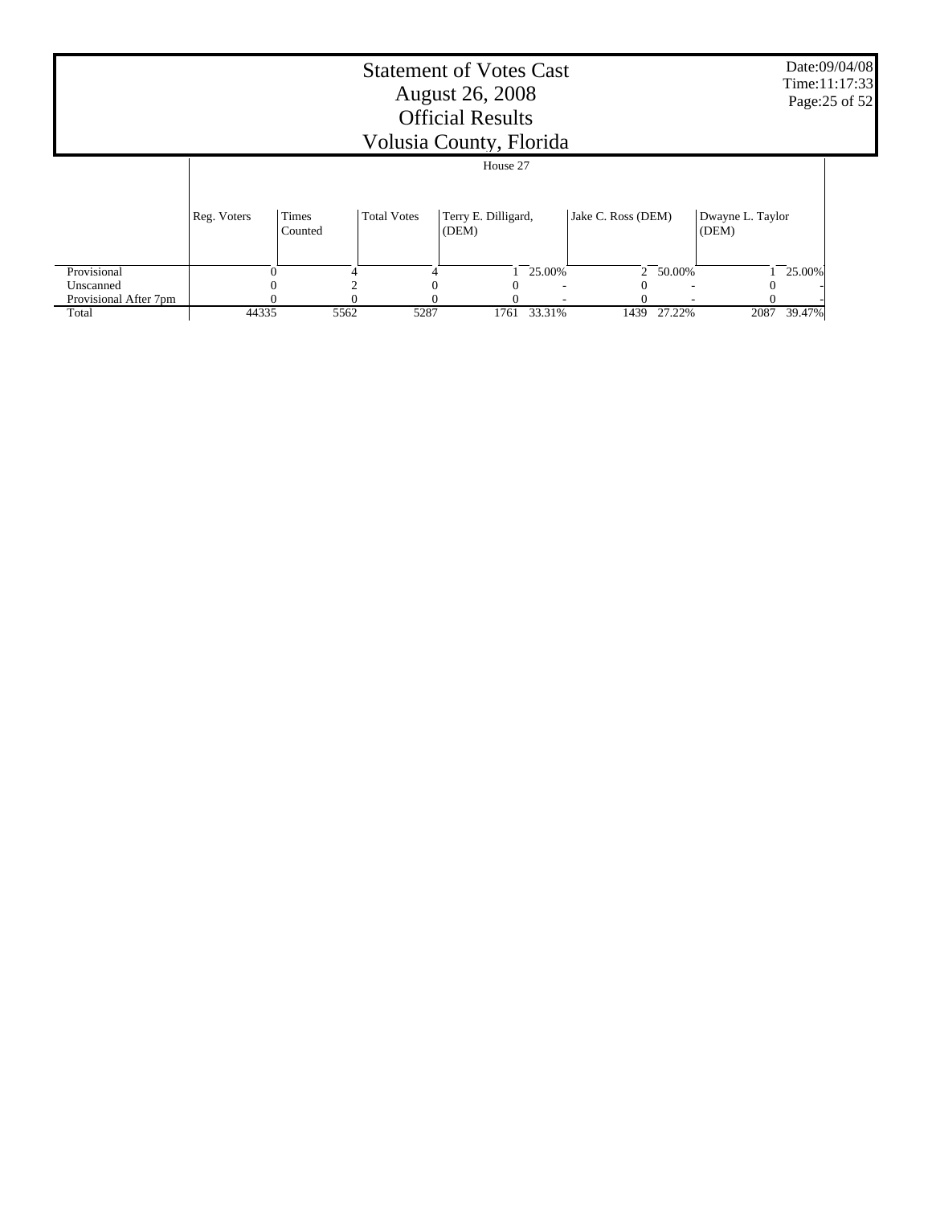|                                | <b>Statement of Votes Cast</b><br><b>August 26, 2008</b><br><b>Official Results</b><br>Volusia County, Florida<br>House 27 |      |      |      |        |      |                           |      | Date:09/04/08<br>Time:11:17:33<br>Page: 25 of 52 |
|--------------------------------|----------------------------------------------------------------------------------------------------------------------------|------|------|------|--------|------|---------------------------|------|--------------------------------------------------|
|                                |                                                                                                                            |      |      |      |        |      |                           |      |                                                  |
|                                | Jake C. Ross (DEM)<br>Times<br>Terry E. Dilligard,<br>Reg. Voters<br><b>Total Votes</b><br>(DEM)<br>Counted                |      |      |      |        |      | Dwayne L. Taylor<br>(DEM) |      |                                                  |
| Provisional                    |                                                                                                                            | 4    |      |      | 25.00% |      | 2 50.00%                  |      | 25.00%                                           |
| Unscanned                      |                                                                                                                            |      |      |      |        |      |                           |      |                                                  |
| Provisional After 7pm<br>Total | 44335                                                                                                                      | 5562 | 5287 | 1761 | 33.31% | 1439 | 27.22%                    | 2087 | 39.47%                                           |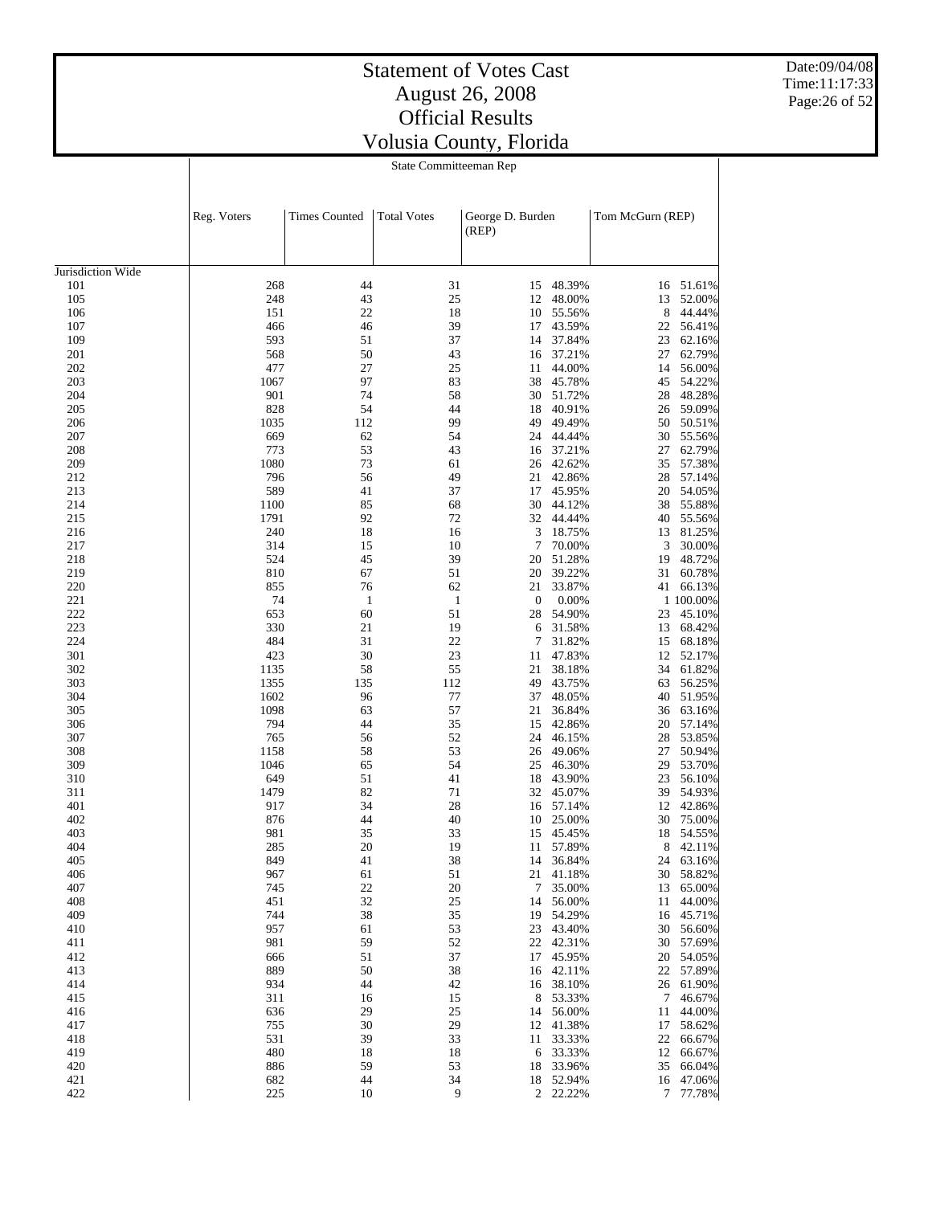Date:09/04/08 Time:11:17:33 Page:26 of 52

|                   | Reg. Voters | <b>Times Counted</b> | <b>Total Votes</b> | George D. Burden<br>(REP) |                        | Tom McGurn (REP) |                        |
|-------------------|-------------|----------------------|--------------------|---------------------------|------------------------|------------------|------------------------|
| Jurisdiction Wide |             |                      |                    |                           |                        |                  |                        |
| 101               | 268         | 44                   | 31                 | 15                        | 48.39%                 |                  | 16 51.61%              |
| 105               | 248         | 43                   | 25                 | 12                        | 48.00%                 | 13               | 52.00%                 |
| 106               | 151         | 22                   | 18                 | 10                        | 55.56%                 | 8                | 44.44%                 |
| 107               | 466         | 46                   | 39                 | 17                        | 43.59%                 | 22               | 56.41%                 |
| 109               | 593         | 51                   | 37                 | 14                        | 37.84%                 | 23               | 62.16%                 |
| 201               | 568         | 50<br>27             | 43                 | 16                        | 37.21%                 | 27               | 62.79%<br>56.00%       |
| 202               | 477<br>1067 | 97                   | 25<br>83           | 11                        | 44.00%<br>45.78%       | 14               | 54.22%                 |
| 203<br>204        | 901         | 74                   | 58                 | 38<br>30                  | 51.72%                 | 45<br>28         | 48.28%                 |
| 205               | 828         | 54                   | 44                 | 18                        | 40.91%                 | 26               | 59.09%                 |
| 206               | 1035        | 112                  | 99                 | 49                        | 49.49%                 | 50               | 50.51%                 |
| 207               | 669         | 62                   | 54                 | 24                        | 44.44%                 | 30               | 55.56%                 |
| 208               | 773         | 53                   | 43                 | 16                        | 37.21%                 | 27               | 62.79%                 |
| 209               | 1080        | 73                   | 61                 | 26                        | 42.62%                 | 35               | 57.38%                 |
| 212               | 796         | 56                   | 49                 | 21                        | 42.86%                 | 28               | 57.14%                 |
| 213               | 589         | 41                   | 37                 | 17                        | 45.95%                 | 20               | 54.05%                 |
| 214               | 1100        | 85                   | 68                 | 30                        | 44.12%                 | 38               | 55.88%                 |
| 215               | 1791        | 92                   | 72                 | 32                        | 44.44%                 | 40               | 55.56%                 |
| 216               | 240         | 18                   | 16                 | 3                         | 18.75%                 | 13               | 81.25%                 |
| 217               | 314         | 15                   | 10                 | 7                         | 70.00%                 | 3                | 30.00%                 |
| 218               | 524         | 45                   | 39                 | 20                        | 51.28%                 | 19               | 48.72%                 |
| 219               | 810         | 67                   | 51                 | 20                        | 39.22%                 | 31               | 60.78%                 |
| 220               | 855         | 76                   | 62                 | 21                        | 33.87%                 | 41               | 66.13%                 |
| 221               | 74          | $\mathbf{1}$         | $\mathbf{1}$       | $\boldsymbol{0}$          | 0.00%                  |                  | 1 100.00%              |
| 222<br>223        | 653<br>330  | 60<br>21             | 51<br>19           | 28                        | 54.90%                 | 23               | 45.10%<br>68.42%       |
| 224               | 484         | 31                   | 22                 | 6<br>7                    | 31.58%<br>31.82%       | 13<br>15         | 68.18%                 |
| 301               | 423         | 30                   | 23                 | 11                        | 47.83%                 | 12               | 52.17%                 |
| 302               | 1135        | 58                   | 55                 | 21                        | 38.18%                 | 34               | 61.82%                 |
| 303               | 1355        | 135                  | 112                | 49                        | 43.75%                 | 63               | 56.25%                 |
| 304               | 1602        | 96                   | 77                 | 37                        | 48.05%                 | 40               | 51.95%                 |
| 305               | 1098        | 63                   | 57                 | 21                        | 36.84%                 | 36               | 63.16%                 |
| 306               | 794         | 44                   | 35                 | 15                        | 42.86%                 | 20               | 57.14%                 |
| 307               | 765         | 56                   | 52                 | 24                        | 46.15%                 | 28               | 53.85%                 |
| 308               | 1158        | 58                   | 53                 | 26                        | 49.06%                 | 27               | 50.94%                 |
| 309               | 1046        | 65                   | 54                 | 25                        | 46.30%                 | 29               | 53.70%                 |
| 310               | 649         | 51                   | 41                 | 18                        | 43.90%                 | 23               | 56.10%                 |
| 311               | 1479        | 82                   | 71                 | 32                        | 45.07%                 | 39               | 54.93%                 |
| 401               | 917         | 34                   | 28                 | 16                        | 57.14%                 | 12               | 42.86%                 |
| 402               | 876         | 44                   | 40                 | 10                        | 25.00%                 | 30               | 75.00%                 |
| 403<br>404        | 981<br>285  | 35<br>20             | 33<br>19           | 15<br>11                  | 45.45%<br>57.89%       | 18<br>8          | 54.55%<br>42.11%       |
| 405               | 849         | 41                   | 38                 | 14                        | 36.84%                 | 24               | 63.16%                 |
| 406               | 967         | 61                   | 51                 |                           | 21 41.18%              |                  | 30 58.82%              |
| 407               | 745         | 22                   | 20                 |                           | 7 35.00%               |                  | 13 65.00%              |
| 408               | 451         | 32                   | 25                 |                           | 14 56.00%              |                  | 11 44.00%              |
| 409               | 744         | 38                   | 35                 |                           | 19 54.29%              |                  | 16 45.71%              |
| 410               | 957         | 61                   | 53                 |                           | 23 43.40%              |                  | 30 56.60%              |
| 411               | 981         | 59                   | 52                 |                           | 22 42.31%              |                  | 30 57.69%              |
| 412               | 666         | 51                   | 37                 |                           | 17 45.95%              |                  | 20 54.05%              |
| 413               | 889         | 50                   | 38                 |                           | 16 42.11%              |                  | 22 57.89%              |
| 414               | 934         | 44                   | 42                 |                           | 16 38.10%              |                  | 26 61.90%              |
| 415               | 311         | 16                   | 15                 |                           | 8 53.33%               |                  | 7 46.67%               |
| 416               | 636         | 29                   | 25                 |                           | 14 56.00%              |                  | 11 44.00%              |
| 417               | 755         | 30                   | 29                 |                           | 12 41.38%              |                  | 17 58.62%              |
| 418               | 531         | 39                   | 33                 |                           | 11 33.33%              |                  | 22 66.67%              |
| 419<br>420        | 480         | 18<br>59             | 18<br>53           |                           | 6 33.33%               |                  | 12 66.67%<br>35 66.04% |
| 421               | 886<br>682  | 44                   | 34                 |                           | 18 33.96%<br>18 52.94% |                  | 16 47.06%              |
| 422               | 225         | 10                   | 9                  |                           | 2 22.22%               |                  | 7 77.78%               |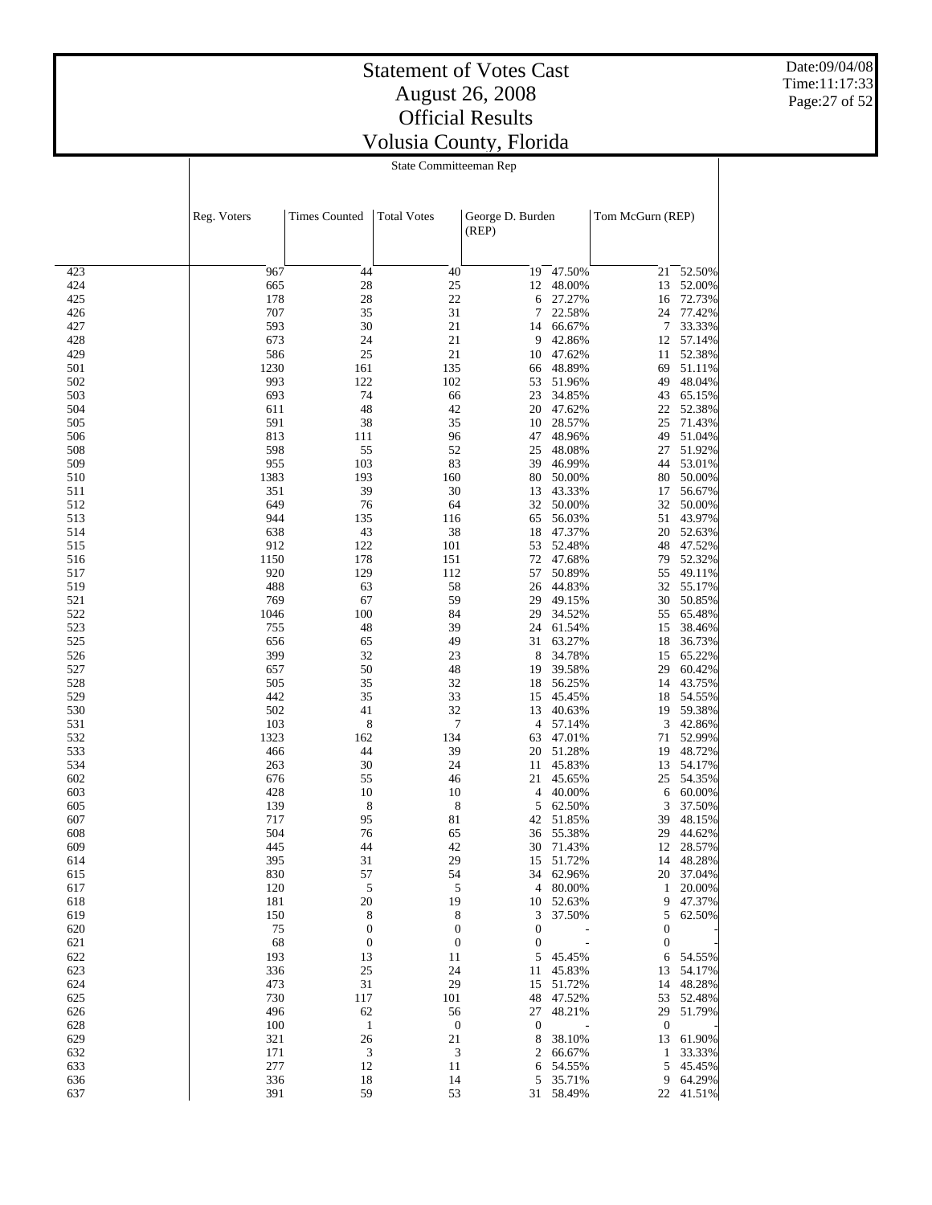Date:09/04/08 Time:11:17:33 Page:27 of 52

|            | Reg. Voters | <b>Times Counted</b> | <b>Total Votes</b>     | George D. Burden<br>(REP) |                  | Tom McGurn (REP) |                  |
|------------|-------------|----------------------|------------------------|---------------------------|------------------|------------------|------------------|
| 423        | 967         | 44                   | 40                     | 19                        | 47.50%           | 21               |                  |
| 424        | 665         | 28                   | 25                     | 12                        | 48.00%           | 13               | 52.50%<br>52.00% |
| 425        | 178         | 28                   | 22                     | 6                         | 27.27%           | 16               | 72.73%           |
| 426        | 707         | 35                   | 31                     | 7                         | 22.58%           | 24               | 77.42%           |
| 427        | 593         | 30                   | 21                     | 14                        | 66.67%           | 7                | 33.33%           |
| 428        | 673         | 24                   | 21                     | 9                         | 42.86%           | 12               | 57.14%           |
| 429        | 586         | 25                   | 21                     | 10                        | 47.62%           | 11               | 52.38%           |
| 501        | 1230        | 161                  | 135                    | 66                        | 48.89%           | 69               | 51.11%           |
| 502        | 993         | 122                  | 102                    | 53                        | 51.96%           | 49               | 48.04%           |
| 503        | 693         | 74                   | 66                     | 23                        | 34.85%           | 43               | 65.15%           |
| 504        | 611         | 48                   | 42                     | 20                        | 47.62%           | 22               | 52.38%           |
| 505        | 591         | 38                   | 35                     | 10                        | 28.57%           | 25               | 71.43%           |
| 506        | 813         | 111                  | 96                     | 47                        | 48.96%           | 49               | 51.04%           |
| 508        | 598         | 55                   | 52                     | 25                        | 48.08%           | 27               | 51.92%           |
| 509        | 955         | 103                  | 83                     | 39                        | 46.99%           | 44               | 53.01%           |
| 510        | 1383        | 193                  | 160                    | 80                        | 50.00%           | 80               | 50.00%           |
| 511        | 351         | 39                   | 30                     | 13                        | 43.33%           | 17               | 56.67%           |
| 512        | 649         | 76                   | 64                     | 32                        | 50.00%           | 32               | 50.00%           |
| 513        | 944         | 135                  | 116                    | 65                        | 56.03%           | 51               | 43.97%           |
| 514        | 638         | 43                   | 38                     | 18                        | 47.37%           | 20               | 52.63%           |
| 515        | 912         | 122                  | 101                    | 53                        | 52.48%           | 48               | 47.52%           |
| 516        | 1150        | 178                  | 151                    | 72                        | 47.68%           | 79               | 52.32%           |
| 517        | 920         | 129                  | 112                    | 57                        | 50.89%           | 55               | 49.11%           |
| 519        | 488         | 63                   | 58                     | 26                        | 44.83%           | 32               | 55.17%           |
| 521        | 769         | 67                   | 59                     | 29                        | 49.15%           | 30               | 50.85%           |
| 522        | 1046        | 100                  | 84                     | 29                        | 34.52%           | 55               | 65.48%           |
| 523        | 755         | 48                   | 39                     | 24                        | 61.54%           | 15               | 38.46%           |
| 525        | 656         | 65                   | 49                     | 31                        | 63.27%           | 18               | 36.73%           |
| 526        | 399         | 32                   | 23                     | 8                         | 34.78%           | 15               | 65.22%           |
| 527        | 657         | 50                   | 48                     | 19                        | 39.58%           | 29               | 60.42%           |
| 528        | 505         | 35                   | 32                     | 18                        | 56.25%           | 14               | 43.75%           |
| 529        | 442         | 35                   | 33                     | 15                        | 45.45%           | 18               | 54.55%           |
| 530        | 502         | 41                   | 32<br>$\boldsymbol{7}$ | 13<br>$\overline{4}$      | 40.63%           | 19<br>3          | 59.38%           |
| 531<br>532 | 103<br>1323 | 8<br>162             | 134                    | 63                        | 57.14%<br>47.01% | 71               | 42.86%<br>52.99% |
| 533        | 466         | 44                   | 39                     | 20                        | 51.28%           | 19               | 48.72%           |
| 534        | 263         | 30                   | 24                     | 11                        | 45.83%           | 13               | 54.17%           |
| 602        | 676         | 55                   | 46                     | 21                        | 45.65%           | 25               | 54.35%           |
| 603        | 428         | 10                   | 10                     | 4                         | 40.00%           | 6                | 60.00%           |
| 605        | 139         | 8                    | 8                      | 5                         | 62.50%           | 3                | 37.50%           |
| 607        | 717         | 95                   | 81                     | 42                        | 51.85%           | 39               | 48.15%           |
| 608        | 504         | 76                   | 65                     | 36                        | 55.38%           | 29               | 44.62%           |
| 609        | 445         | 44                   | 42                     | 30                        | 71.43%           | 12               | 28.57%           |
| 614        | 395         | 31                   | 29                     | 15                        | 51.72%           | 14               | 48.28%           |
| 615        | 830         | 57                   | 54                     |                           | 34 62.96%        |                  | 20 37.04%        |
| 617        | 120         | 5                    | 5                      |                           | 4 80.00%         |                  | 1 20.00%         |
| 618        | 181         | 20                   | 19                     |                           | 10 52.63%        | 9                | 47.37%           |
| 619        | 150         | 8                    | 8                      | 3                         | 37.50%           | 5                | 62.50%           |
| 620        | 75          | $\boldsymbol{0}$     | $\boldsymbol{0}$       | $\boldsymbol{0}$          |                  | $\boldsymbol{0}$ |                  |
| 621        | 68          | $\boldsymbol{0}$     | $\boldsymbol{0}$       | $\boldsymbol{0}$          |                  | $\boldsymbol{0}$ |                  |
| 622        | 193         | 13                   | 11                     | 5                         | 45.45%           | 6                | 54.55%           |
| 623        | 336         | 25                   | 24                     | 11                        | 45.83%           | 13               | 54.17%           |
| 624        | 473         | 31                   | 29                     | 15                        | 51.72%           |                  | 14 48.28%        |
| 625        | 730         | 117                  | 101                    | 48                        | 47.52%           | 53               | 52.48%           |
| 626        | 496         | 62                   | 56                     | 27                        | 48.21%           | 29               | 51.79%           |
| 628        | 100         | $\mathbf{1}$         | $\boldsymbol{0}$       | $\boldsymbol{0}$          |                  | $\boldsymbol{0}$ |                  |
| 629        | 321         | 26                   | 21                     | 8                         | 38.10%           | 13               | 61.90%           |
| 632        | 171         | $\mathfrak{Z}$       | 3                      | 2                         | 66.67%           | $\mathbf{1}$     | 33.33%           |
| 633        | 277         | 12                   | 11                     | 6                         | 54.55%           |                  | 5 45.45%         |
| 636        | 336         | 18<br>59             | 14                     | 5                         | 35.71%           |                  | 9 64.29%         |
| 637        | 391         |                      | 53                     |                           | 31 58.49%        |                  | 22 41.51%        |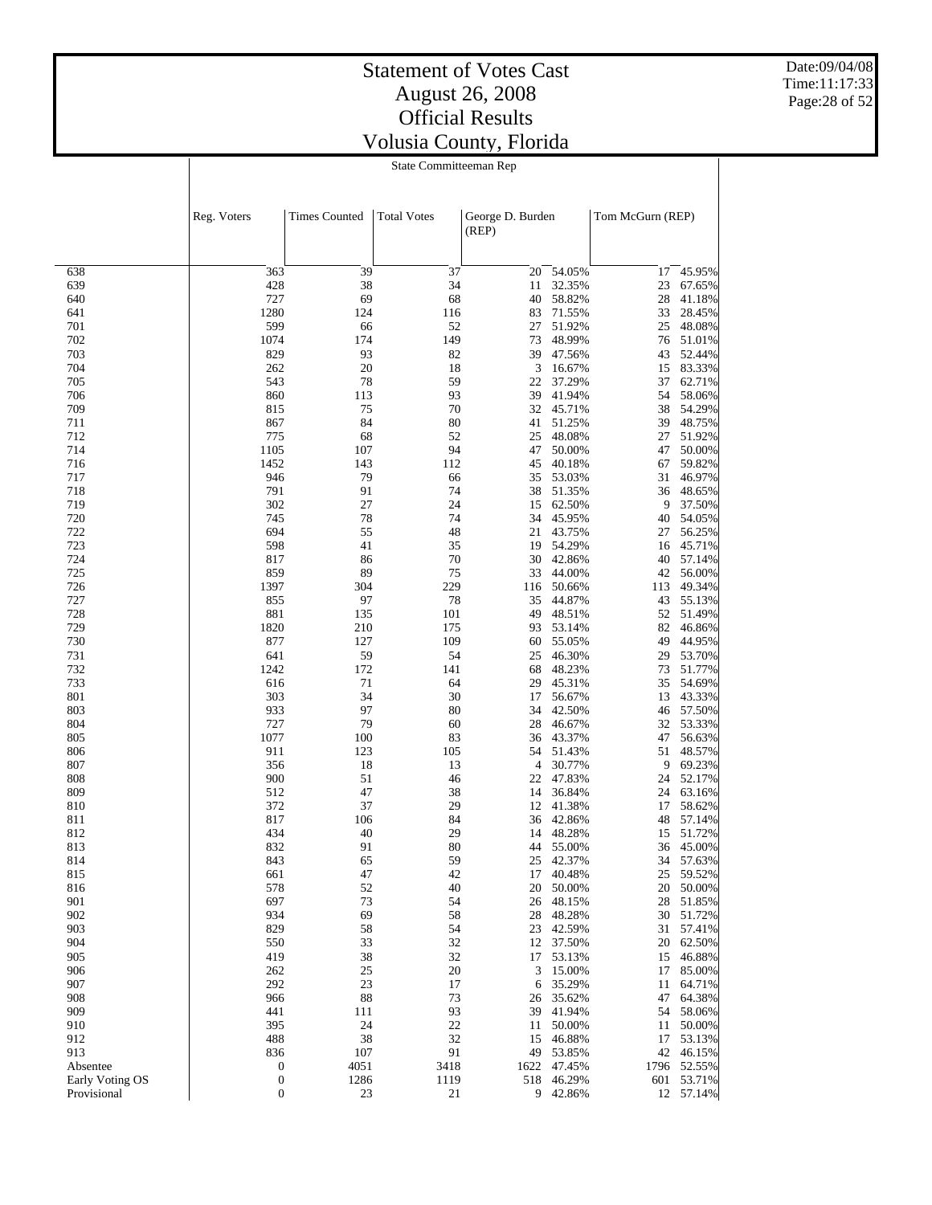Date:09/04/08 Time:11:17:33 Page:28 of 52

| State Committeeman Rep |
|------------------------|
|------------------------|

|                 | Reg. Voters      | <b>Times Counted</b> | <b>Total Votes</b> | George D. Burden<br>(REP) |                  | Tom McGurn (REP) |                  |
|-----------------|------------------|----------------------|--------------------|---------------------------|------------------|------------------|------------------|
|                 |                  |                      |                    |                           |                  |                  |                  |
| 638             | 363              | 39                   | 37                 | 20                        | 54.05%           | 17               | 45.95%           |
| 639             | 428              | 38                   | 34                 | 11                        | 32.35%           | 23               | 67.65%           |
| 640             | 727              | 69                   | 68                 | 40                        | 58.82%           | 28               | 41.18%           |
| 641             | 1280             | 124                  | 116                | 83                        | 71.55%           | 33               | 28.45%           |
| 701             | 599              | 66                   | 52                 | 27                        | 51.92%           | 25               | 48.08%           |
| 702             | 1074             | 174                  | 149                | 73                        | 48.99%           | 76               | 51.01%           |
| 703             | 829              | 93                   | 82                 | 39                        | 47.56%           | 43               | 52.44%           |
| 704             | 262              | 20                   | 18                 | 3                         | 16.67%           | 15               | 83.33%           |
| 705             | 543              | 78                   | 59                 | 22                        | 37.29%           | 37               | 62.71%           |
| 706<br>709      | 860<br>815       | 113<br>75            | 93<br>70           | 39<br>32                  | 41.94%<br>45.71% | 54<br>38         | 58.06%<br>54.29% |
| 711             | 867              | 84                   | 80                 | 41                        | 51.25%           | 39               | 48.75%           |
| 712             | 775              | 68                   | 52                 | 25                        | 48.08%           | 27               | 51.92%           |
| 714             | 1105             | 107                  | 94                 | 47                        | 50.00%           | 47               | 50.00%           |
| 716             | 1452             | 143                  | 112                | 45                        | 40.18%           | 67               | 59.82%           |
| 717             | 946              | 79                   | 66                 | 35                        | 53.03%           | 31               | 46.97%           |
| 718             | 791              | 91                   | 74                 | 38                        | 51.35%           | 36               | 48.65%           |
| 719             | 302              | 27                   | 24                 | 15                        | 62.50%           | 9                | 37.50%           |
| 720             | 745              | 78                   | 74                 | 34                        | 45.95%           | 40               | 54.05%           |
| 722             | 694              | 55                   | 48                 | 21                        | 43.75%           | 27               | 56.25%           |
| 723             | 598              | 41                   | 35                 | 19                        | 54.29%           | 16               | 45.71%           |
| 724             | 817              | 86                   | 70                 | 30                        | 42.86%           | 40               | 57.14%           |
| 725             | 859              | 89                   | 75                 | 33                        | 44.00%           | 42               | 56.00%           |
| 726             | 1397             | 304                  | 229                | 116                       | 50.66%           | 113              | 49.34%           |
| 727             | 855              | 97                   | 78                 | 35                        | 44.87%           | 43               | 55.13%           |
| 728<br>729      | 881<br>1820      | 135                  | 101                | 49                        | 48.51%           | 52               | 51.49%           |
| 730             | 877              | 210<br>127           | 175<br>109         | 93<br>60                  | 53.14%<br>55.05% | 82<br>49         | 46.86%<br>44.95% |
| 731             | 641              | 59                   | 54                 | 25                        | 46.30%           | 29               | 53.70%           |
| 732             | 1242             | 172                  | 141                | 68                        | 48.23%           | 73               | 51.77%           |
| 733             | 616              | 71                   | 64                 | 29                        | 45.31%           | 35               | 54.69%           |
| 801             | 303              | 34                   | 30                 | 17                        | 56.67%           | 13               | 43.33%           |
| 803             | 933              | 97                   | 80                 | 34                        | 42.50%           | 46               | 57.50%           |
| 804             | 727              | 79                   | 60                 | 28                        | 46.67%           | 32               | 53.33%           |
| 805             | 1077             | 100                  | 83                 | 36                        | 43.37%           | 47               | 56.63%           |
| 806             | 911              | 123                  | 105                | 54                        | 51.43%           | 51               | 48.57%           |
| 807             | 356              | 18                   | 13                 | $\overline{4}$            | 30.77%           | 9                | 69.23%           |
| 808             | 900              | 51                   | 46                 | 22                        | 47.83%           | 24               | 52.17%           |
| 809             | 512              | 47                   | 38                 | 14                        | 36.84%           | 24               | 63.16%           |
| 810             | 372              | 37                   | 29                 | 12                        | 41.38%           | 17               | 58.62%           |
| 811             | 817              | 106                  | 84<br>29           | 36<br>14                  | 42.86%           | 48               | 57.14%<br>51.72% |
| 812<br>813      | 434<br>832       | 40<br>91             | 80                 | 44                        | 48.28%<br>55.00% | 15<br>36         | 45.00%           |
| 814             | 843              | 65                   | 59                 | 25                        | 42.37%           | 34               | 57.63%           |
| 815             | 661              | 47                   | 42                 | 17                        | 40.48%           |                  | 25 59.52%        |
| 816             | 578              | 52                   | 40                 | 20                        | 50.00%           | 20               | 50.00%           |
| 901             | 697              | 73                   | 54                 | 26                        | 48.15%           | 28               | 51.85%           |
| 902             | 934              | 69                   | 58                 | 28                        | 48.28%           | 30               | 51.72%           |
| 903             | 829              | 58                   | 54                 | 23                        | 42.59%           | 31               | 57.41%           |
| 904             | 550              | 33                   | 32                 | 12                        | 37.50%           | 20               | 62.50%           |
| 905             | 419              | 38                   | 32                 | 17                        | 53.13%           | 15               | 46.88%           |
| 906             | 262              | 25                   | 20                 | 3                         | 15.00%           | 17               | 85.00%           |
| 907             | 292              | 23                   | 17                 | 6                         | 35.29%           | 11               | 64.71%           |
| 908             | 966              | 88                   | 73                 | 26                        | 35.62%           | 47               | 64.38%           |
| 909             | 441              | 111                  | 93                 | 39                        | 41.94%           | 54               | 58.06%           |
| 910<br>912      | 395              | 24<br>38             | 22<br>32           | 11                        | 50.00%           | 11               | 50.00%           |
| 913             | 488<br>836       | 107                  | 91                 | 15<br>49                  | 46.88%<br>53.85% | 17<br>42         | 53.13%<br>46.15% |
| Absentee        | $\boldsymbol{0}$ | 4051                 | 3418               | 1622                      | 47.45%           | 1796             | 52.55%           |
| Early Voting OS | $\boldsymbol{0}$ | 1286                 | 1119               | 518                       | 46.29%           | 601              | 53.71%           |
| Provisional     | $\boldsymbol{0}$ | 23                   | 21                 |                           | 9 42.86%         |                  | 12 57.14%        |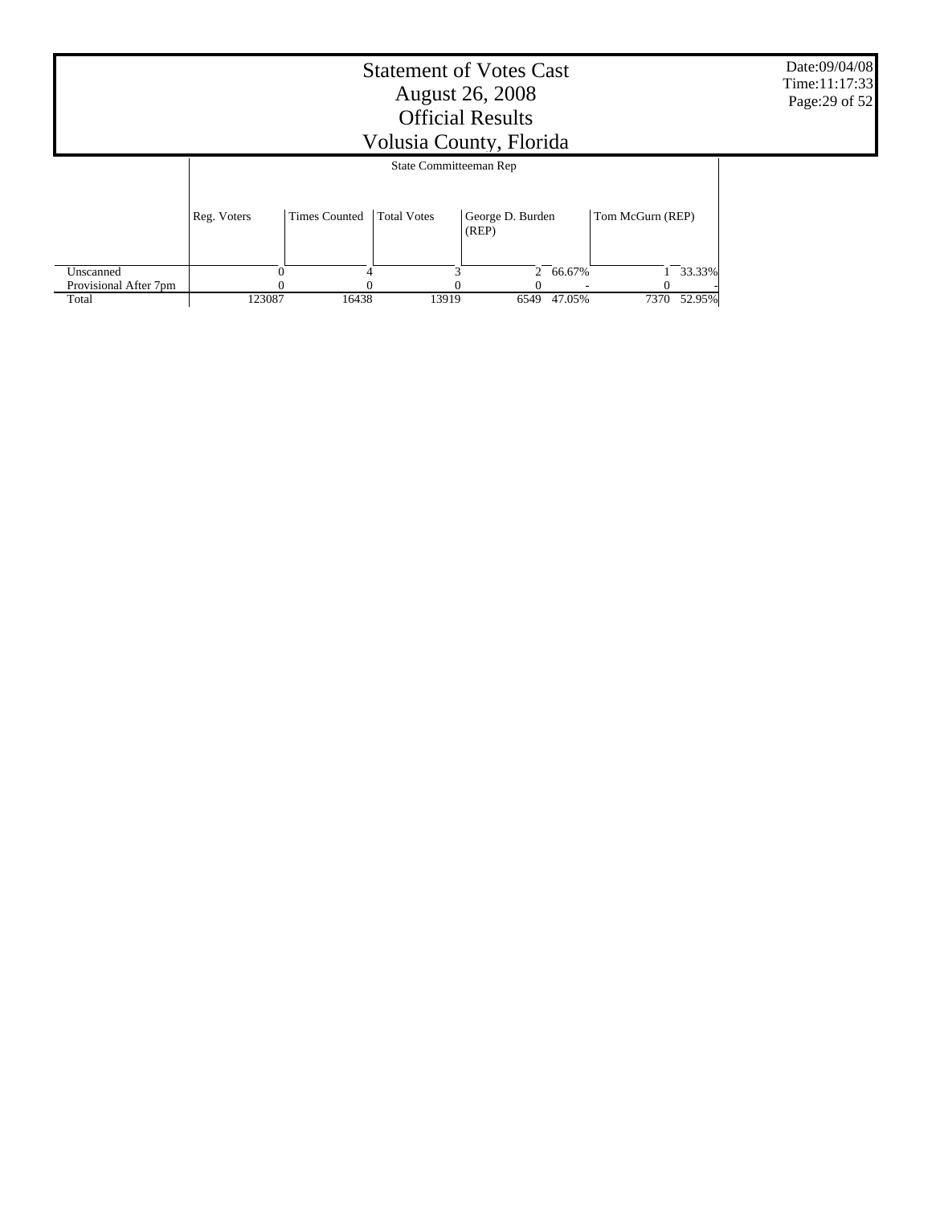|                       | <b>Statement of Votes Cast</b><br><b>August 26, 2008</b><br><b>Official Results</b><br>Volusia County, Florida |                      |                        |                           |          |                  |        |  |  |
|-----------------------|----------------------------------------------------------------------------------------------------------------|----------------------|------------------------|---------------------------|----------|------------------|--------|--|--|
|                       |                                                                                                                |                      | State Committeeman Rep |                           |          |                  |        |  |  |
|                       | Reg. Voters                                                                                                    | <b>Times Counted</b> | <b>Total Votes</b>     | George D. Burden<br>(REP) |          | Tom McGurn (REP) |        |  |  |
| Unscanned             |                                                                                                                |                      |                        |                           | 2 66.67% |                  | 33.33% |  |  |
| Provisional After 7pm |                                                                                                                |                      |                        |                           |          |                  |        |  |  |
| Total                 | 123087                                                                                                         | 16438                | 13919                  | 6549                      | 47.05%   | 7370             | 52.95% |  |  |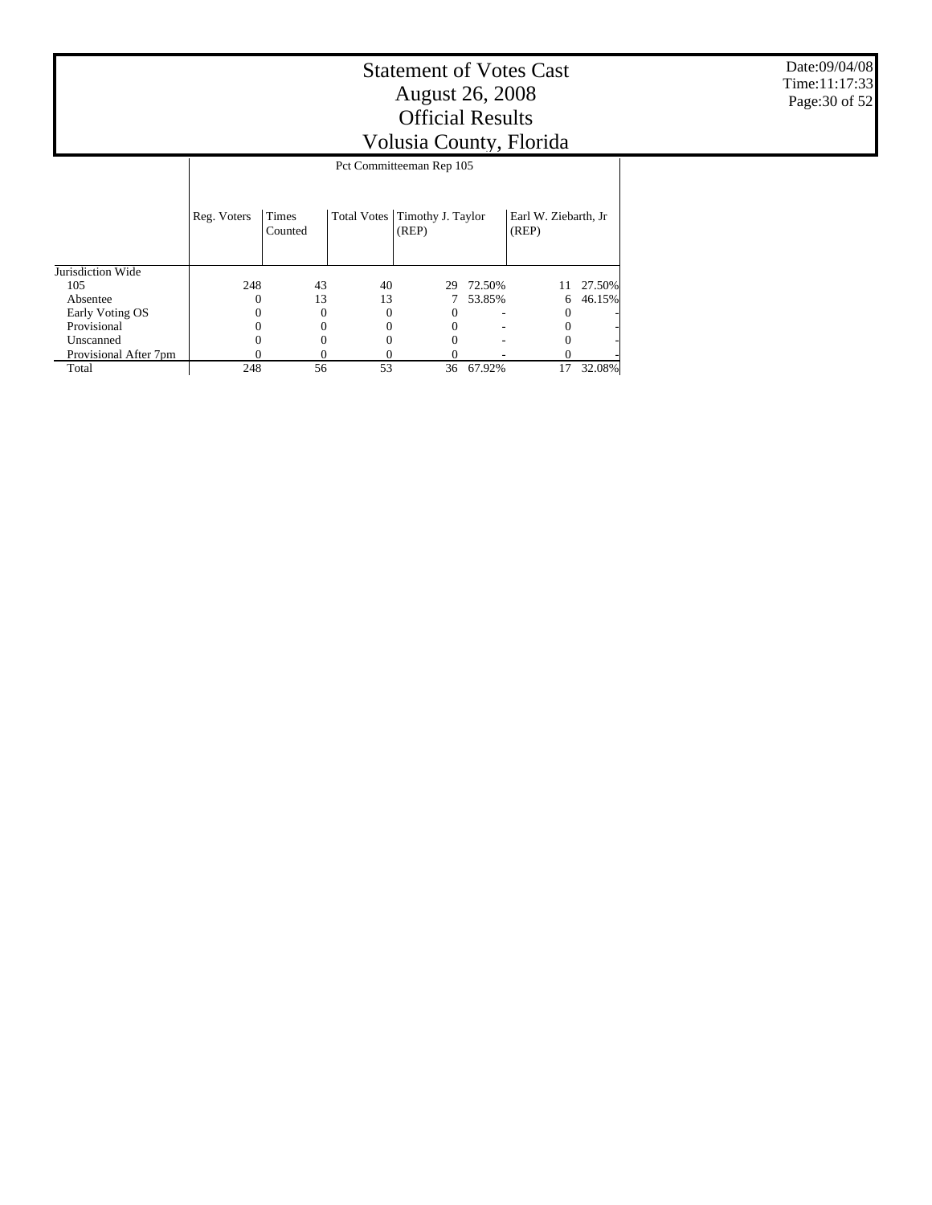Jurisdiction Wide 105 Absentee Early Voting OS **Provisional**  Unscanned Provisional After 7pm Reg. Voters Times Counted Total Votes Timothy J. Taylor (REP) Earl W. Ziebarth, Jr (REP) Pct Committeeman Rep 105 248 43 40 29 72.50% 11 27.50%  $\begin{array}{ccccccc}\n0 & & & 13 & & 13 & & 7 & 53.85\% \\
0 & & & 0 & & 0 & & 0 & & 0 & & 0\n\end{array}$  $0 \qquad 0 \qquad 0 \qquad -$  0 - 0 - $0 \qquad 0 \qquad 0 \qquad -$  0 - 0 - $0 \qquad 0 \qquad 0 \qquad -$  0 - 0 -0 0 0 0 - 0 - 36 67.92%

Total

Date:09/04/08 Time:11:17:33 Page:30 of 52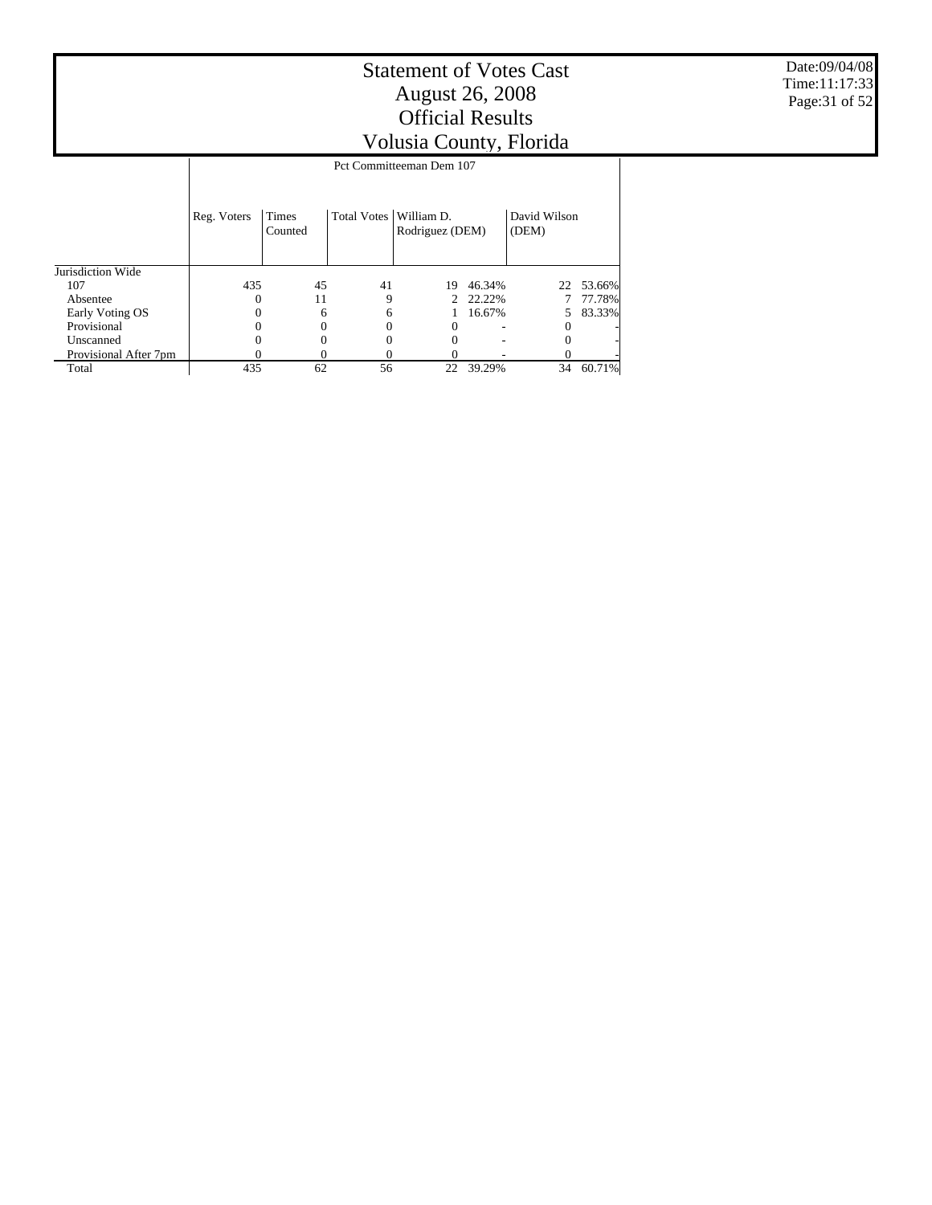Date:09/04/08 Time:11:17:33 Page:31 of 52

|                       |             | Pct Committeeman Dem 107 |             |                               |        |                       |        |  |  |  |  |
|-----------------------|-------------|--------------------------|-------------|-------------------------------|--------|-----------------------|--------|--|--|--|--|
|                       | Reg. Voters | Times<br>Counted         | Total Votes | William D.<br>Rodriguez (DEM) |        | David Wilson<br>(DEM) |        |  |  |  |  |
| Jurisdiction Wide     |             |                          |             |                               |        |                       |        |  |  |  |  |
| 107                   | 435         | 45                       | 41          | 19                            | 46.34% | 22                    | 53.66% |  |  |  |  |
| Absentee              |             | 11                       | 9           | 2                             | 22.22% |                       | 77.78% |  |  |  |  |
| Early Voting OS       |             | 6                        | 6           |                               | 16.67% |                       | 83.33% |  |  |  |  |
| Provisional           |             |                          | 0           | 0                             |        |                       |        |  |  |  |  |
| Unscanned             |             |                          | 0           |                               |        |                       |        |  |  |  |  |
| Provisional After 7pm |             |                          |             |                               |        |                       |        |  |  |  |  |
| Total                 | 435         | 62                       | 56          | 22                            | 39.29% | 34                    | 60.71% |  |  |  |  |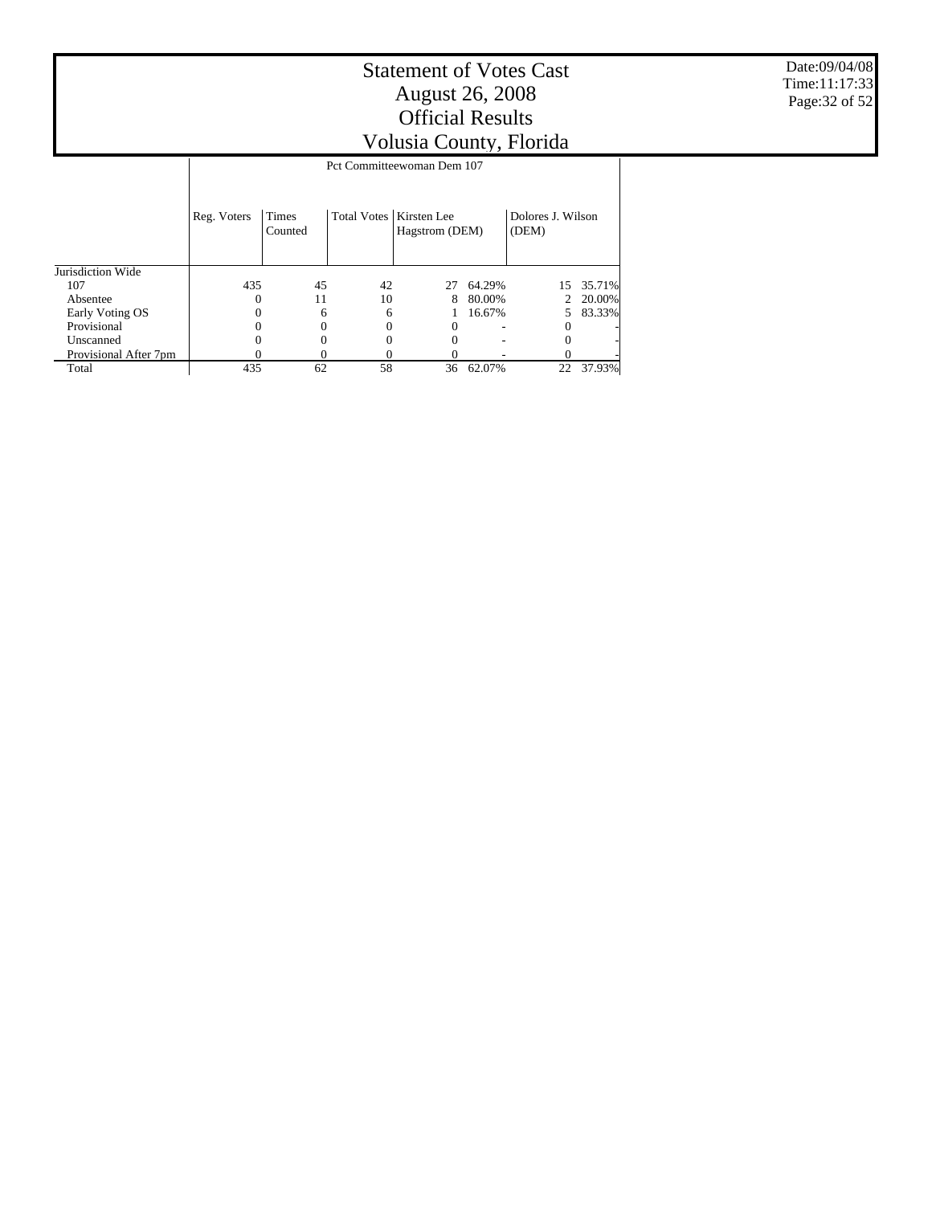# Statement of Votes Cast August 26, 2008 Official Results

Volusia County, Florida Total Votes | Kirsten Lee Dolores J. Wilson Pct Committeewoman Dem 107

|                       | Reg. Voters | Times<br>Counted | Total Votes   Kirsten Lee | Hagstrom (DEM) |        | Dolores J. Wilson<br>(DEM) |          |  |
|-----------------------|-------------|------------------|---------------------------|----------------|--------|----------------------------|----------|--|
| Jurisdiction Wide     |             |                  |                           |                |        |                            |          |  |
| 107                   | 435         | 45               | 42                        | 27             | 64.29% | 15.                        | 35.71%   |  |
| Absentee              | $\theta$    | 11               | 10                        | 8              | 80.00% |                            | 2 20.00% |  |
| Early Voting OS       |             | 6                | 6                         |                | 16.67% |                            | 5 83.33% |  |
| Provisional           |             |                  | 0                         |                |        |                            |          |  |
| Unscanned             |             |                  | 0                         |                |        |                            |          |  |
| Provisional After 7pm |             |                  |                           |                |        |                            |          |  |
| Total                 | 435         | 62               | 58                        | 36             | 62.07% | 22                         | 37.93%   |  |

Date:09/04/08 Time:11:17:33 Page:32 of 52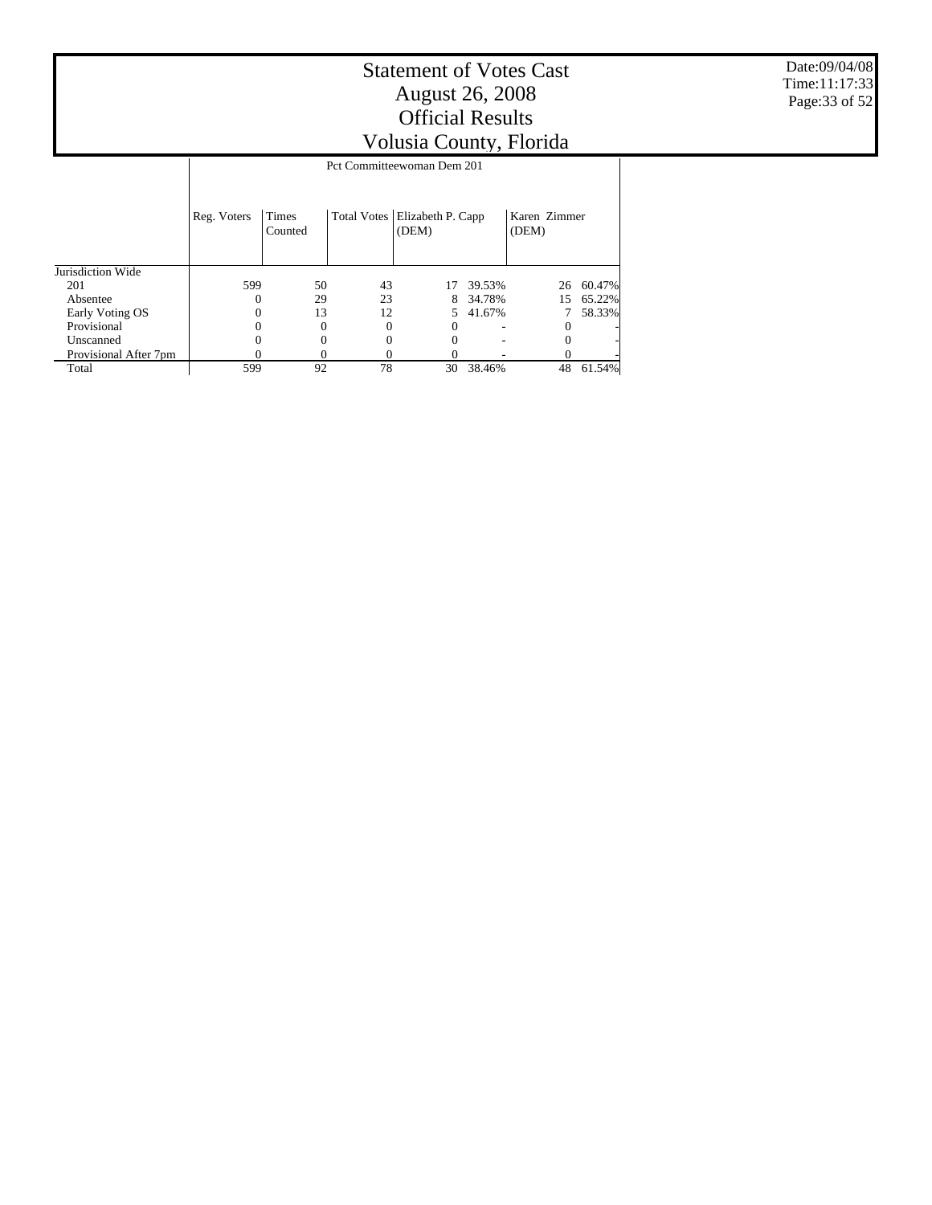Date:09/04/08 Time:11:17:33 Page:33 of 52

|                       |             | Pct Committeewoman Dem 201 |                    |                            |        |                       |        |  |  |  |  |
|-----------------------|-------------|----------------------------|--------------------|----------------------------|--------|-----------------------|--------|--|--|--|--|
|                       | Reg. Voters | Times<br>Counted           | <b>Total Votes</b> | Elizabeth P. Capp<br>(DEM) |        | Karen Zimmer<br>(DEM) |        |  |  |  |  |
| Jurisdiction Wide     |             |                            |                    |                            |        |                       |        |  |  |  |  |
| 201                   | 599         | 50                         | 43                 | 17                         | 39.53% | 26                    | 60.47% |  |  |  |  |
| Absentee              |             | 29                         | 23                 | 8                          | 34.78% | 15                    | 65.22% |  |  |  |  |
| Early Voting OS       |             | 13                         | 12                 | 5.                         | 41.67% |                       | 58.33% |  |  |  |  |
| Provisional           |             | $\Omega$                   | 0                  |                            |        | 0                     |        |  |  |  |  |
| Unscanned             |             |                            | 0                  |                            |        |                       |        |  |  |  |  |
| Provisional After 7pm |             |                            | 0                  |                            |        |                       |        |  |  |  |  |
| Total                 | 599         | 92                         | 78                 | 30                         | 38.46% | 48                    | 61.54% |  |  |  |  |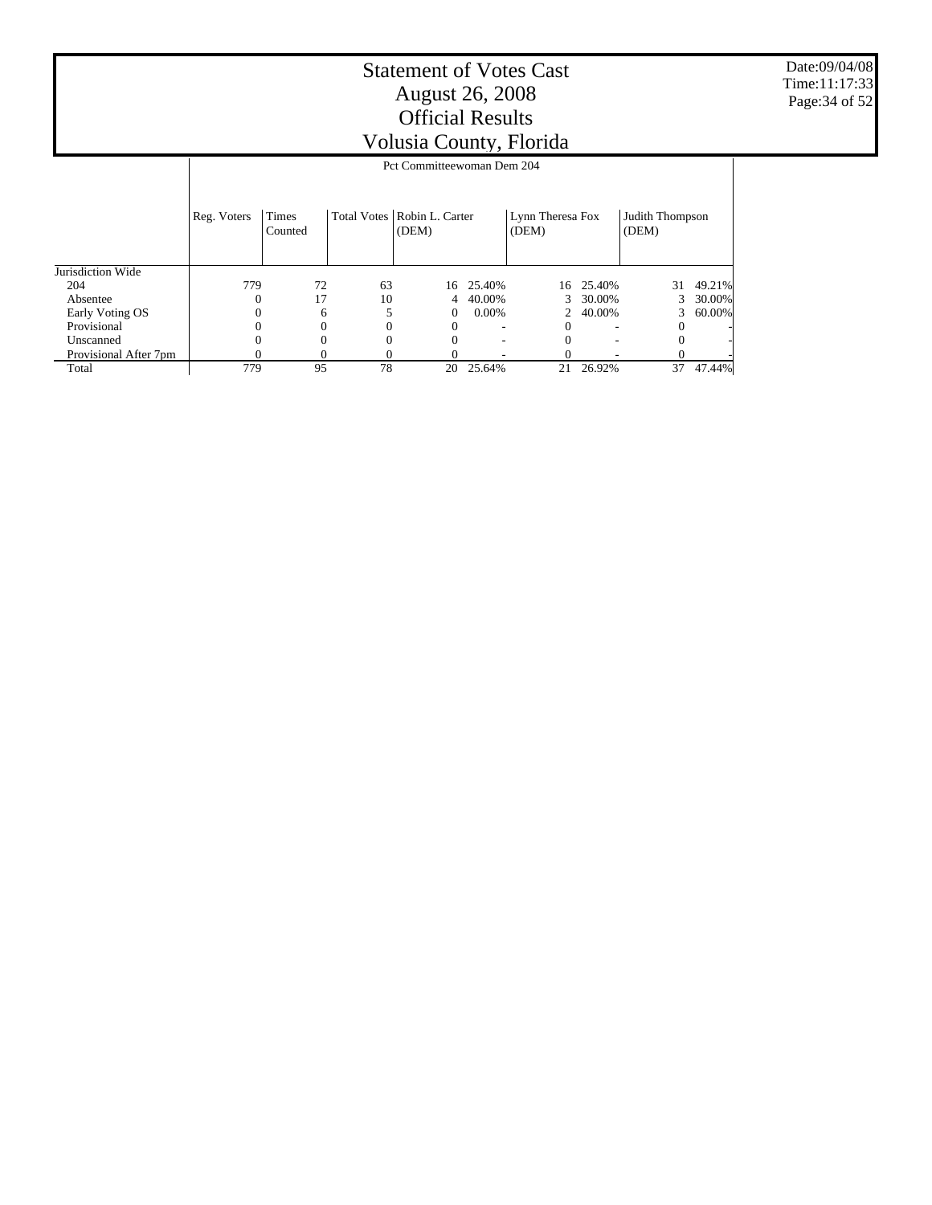Date:09/04/08 Time:11:17:33 Page:34 of 52

|                       |             | J /                        |    |                                        |           |                           |                          |                          |        |  |  |  |  |
|-----------------------|-------------|----------------------------|----|----------------------------------------|-----------|---------------------------|--------------------------|--------------------------|--------|--|--|--|--|
|                       |             | Pct Committeewoman Dem 204 |    |                                        |           |                           |                          |                          |        |  |  |  |  |
|                       | Reg. Voters | <b>Times</b><br>Counted    |    | Total Votes   Robin L. Carter<br>(DEM) |           | Lynn Theresa Fox<br>(DEM) |                          | Judith Thompson<br>(DEM) |        |  |  |  |  |
| Jurisdiction Wide     |             |                            |    |                                        |           |                           |                          |                          |        |  |  |  |  |
| 204                   | 779         | 72                         | 63 |                                        | 16 25.40% | 16                        | 25.40%                   | 31                       | 49.21% |  |  |  |  |
| Absentee              | 0           | 17                         | 10 | 4                                      | 40.00%    | 3                         | 30.00%                   |                          | 30.00% |  |  |  |  |
| Early Voting OS       |             | 6                          |    | 0                                      | $0.00\%$  |                           | 40.00%                   | 3                        | 60.00% |  |  |  |  |
| Provisional           |             | 0                          | 0  | $\Omega$                               | ۰         | $\Omega$                  | $\overline{\phantom{a}}$ | $\theta$                 |        |  |  |  |  |
| Unscanned             |             |                            | 0  |                                        |           |                           | $\overline{\phantom{a}}$ |                          |        |  |  |  |  |
| Provisional After 7pm |             |                            | O  |                                        |           |                           |                          |                          |        |  |  |  |  |
| Total                 | 779         | 95                         | 78 | 20                                     | 25.64%    | 21                        | 26.92%                   | 37                       | 47.44% |  |  |  |  |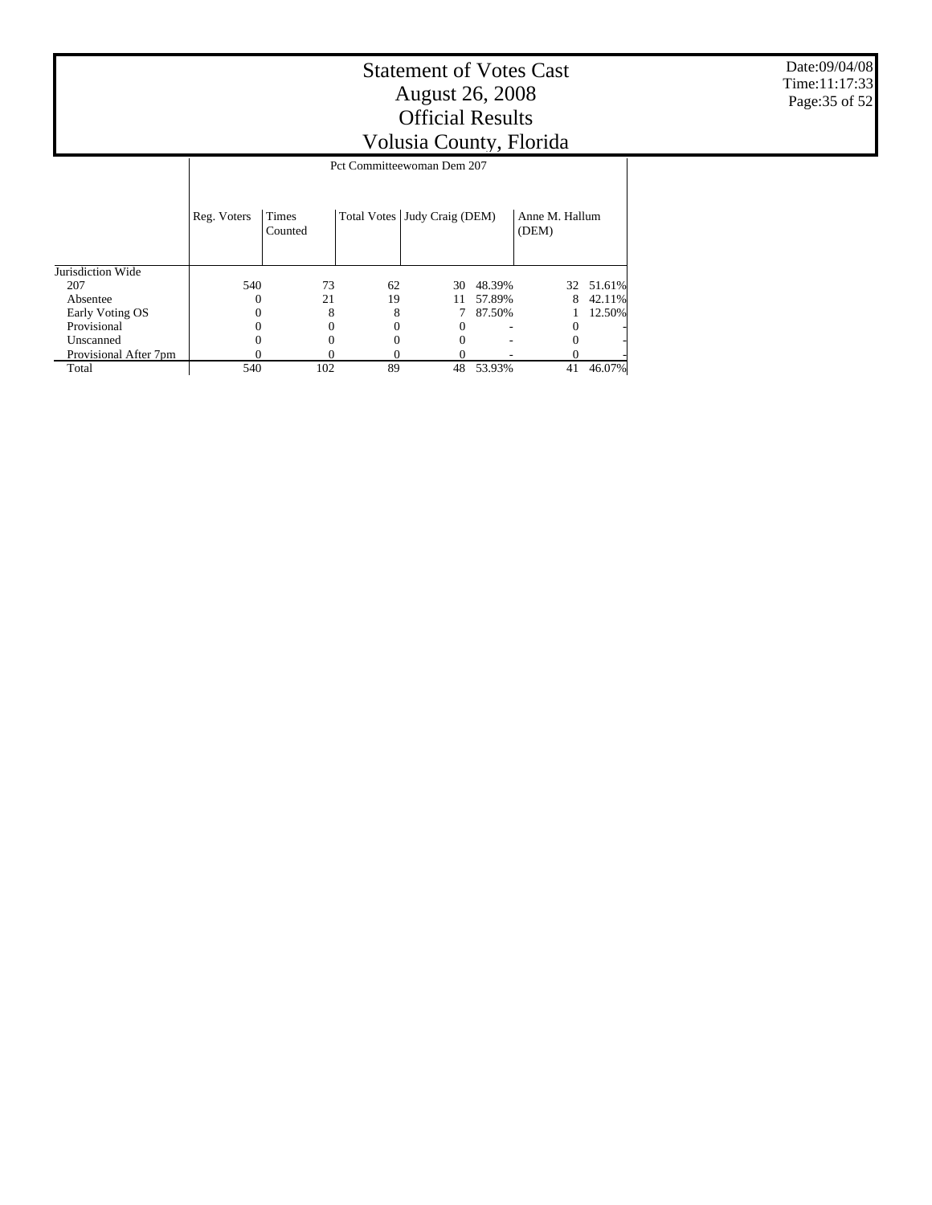540 102 89 48 53.93% 41 46.07%

Jurisdiction Wide 207 Absentee Early Voting OS **Provisional**  Unscanned Provisional After 7pm Reg. Voters Times Counted Total Votes Judy Craig (DEM) Anne M. Hallum<br>(DEM) Pct Committeewoman Dem 207 540 73 62 30 48.39% 32 51.61%  $\begin{array}{ccccccc} 0 & \hspace{1.5mm} 21 & \hspace{1.5mm} 19 & \hspace{1.5mm} 11 & \hspace{1.5mm} 57.89\% & \hspace{1.5mm} 8 \\ 0 & \hspace{1.5mm} 8 & \hspace{1.5mm} 8 & \hspace{1.5mm} 7 & \hspace{1.5mm} 87.50\% & \hspace{1.5mm} 1 \end{array}$  $\begin{matrix} 0 & 8 & 8 & 7 & 87.50\% \\ 0 & 0 & 0 & 0 & - & 0 \end{matrix} \hspace{.2cm} \begin{matrix} 1 & 12.50\% \\ 0 & 0 & 0 & - & 0 \end{matrix}$  $0 \t 0 \t 0 \t 0 \t - \t 0$  - $0 \t 0 \t 0 \t 0 \t - \t 0$  -0 0 0 - 0 -

Total

Date:09/04/08 Time:11:17:33 Page:35 of 52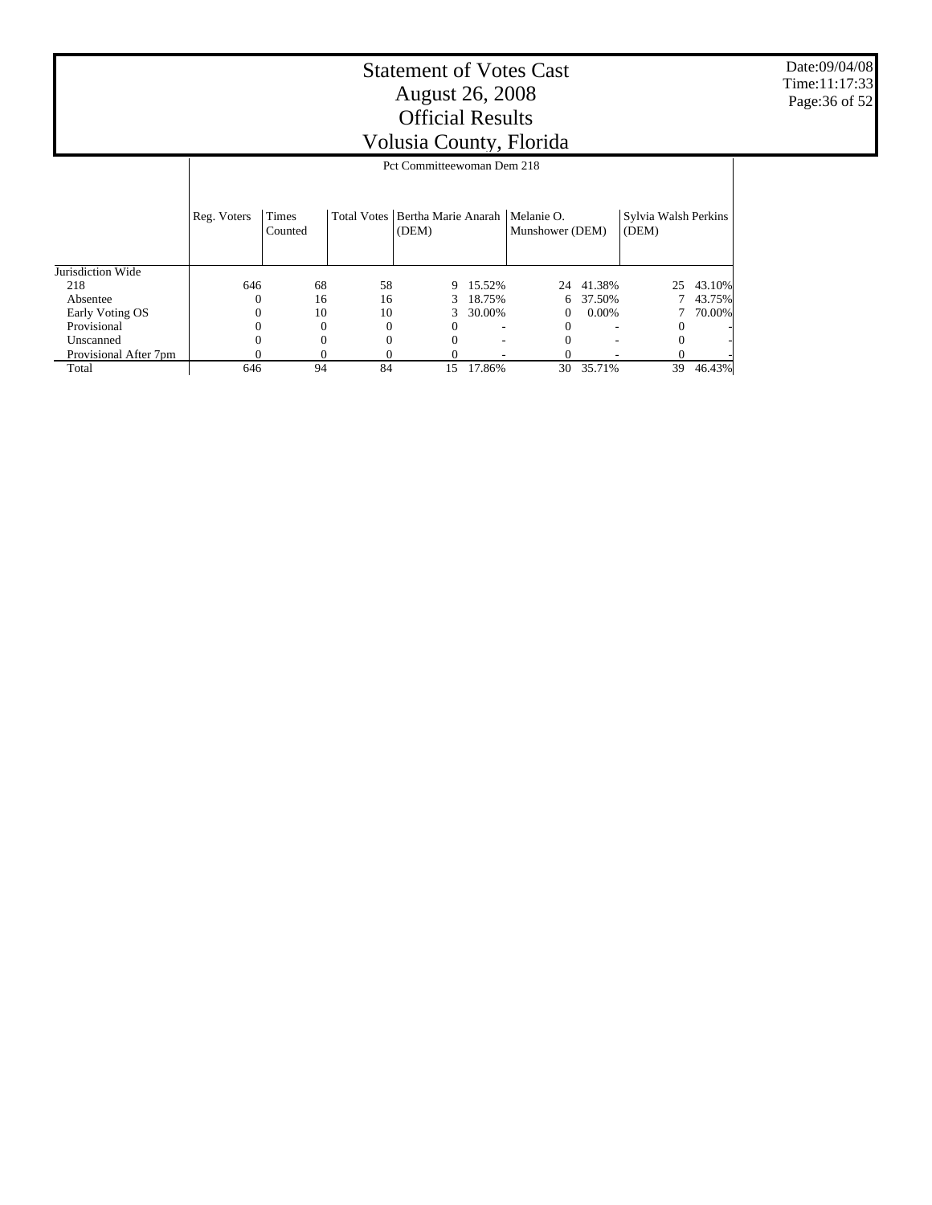Date:09/04/08 Time:11:17:33 Page:36 of 52

|                       |             | Pct Committeewoman Dem 218 |          |                                            |        |                               |           |                               |        |  |  |  |  |
|-----------------------|-------------|----------------------------|----------|--------------------------------------------|--------|-------------------------------|-----------|-------------------------------|--------|--|--|--|--|
|                       | Reg. Voters | Times<br>Counted           |          | Total Votes   Bertha Marie Anarah<br>(DEM) |        | Melanie O.<br>Munshower (DEM) |           | Sylvia Walsh Perkins<br>(DEM) |        |  |  |  |  |
| Jurisdiction Wide     |             |                            |          |                                            |        |                               |           |                               |        |  |  |  |  |
| 218                   | 646         | 68                         | 58       | 9                                          | 15.52% |                               | 24 41.38% | 25                            | 43.10% |  |  |  |  |
| Absentee              | 0           | 16                         | 16       | 3                                          | 18.75% | 6                             | 37.50%    |                               | 43.75% |  |  |  |  |
| Early Voting OS       | 0           | 10                         | 10       | 3                                          | 30.00% | 0                             | $0.00\%$  |                               | 70.00% |  |  |  |  |
| Provisional           | 0           |                            | $\theta$ | 0                                          |        | 0                             |           |                               |        |  |  |  |  |
| Unscanned             | 0           |                            | 0        | 0                                          |        |                               |           |                               |        |  |  |  |  |
| Provisional After 7pm | 0           |                            |          |                                            |        |                               |           |                               |        |  |  |  |  |
| Total                 | 646         | 94                         | 84       | 15                                         | 17.86% | 30                            | 35.71%    | 39                            | 46.43% |  |  |  |  |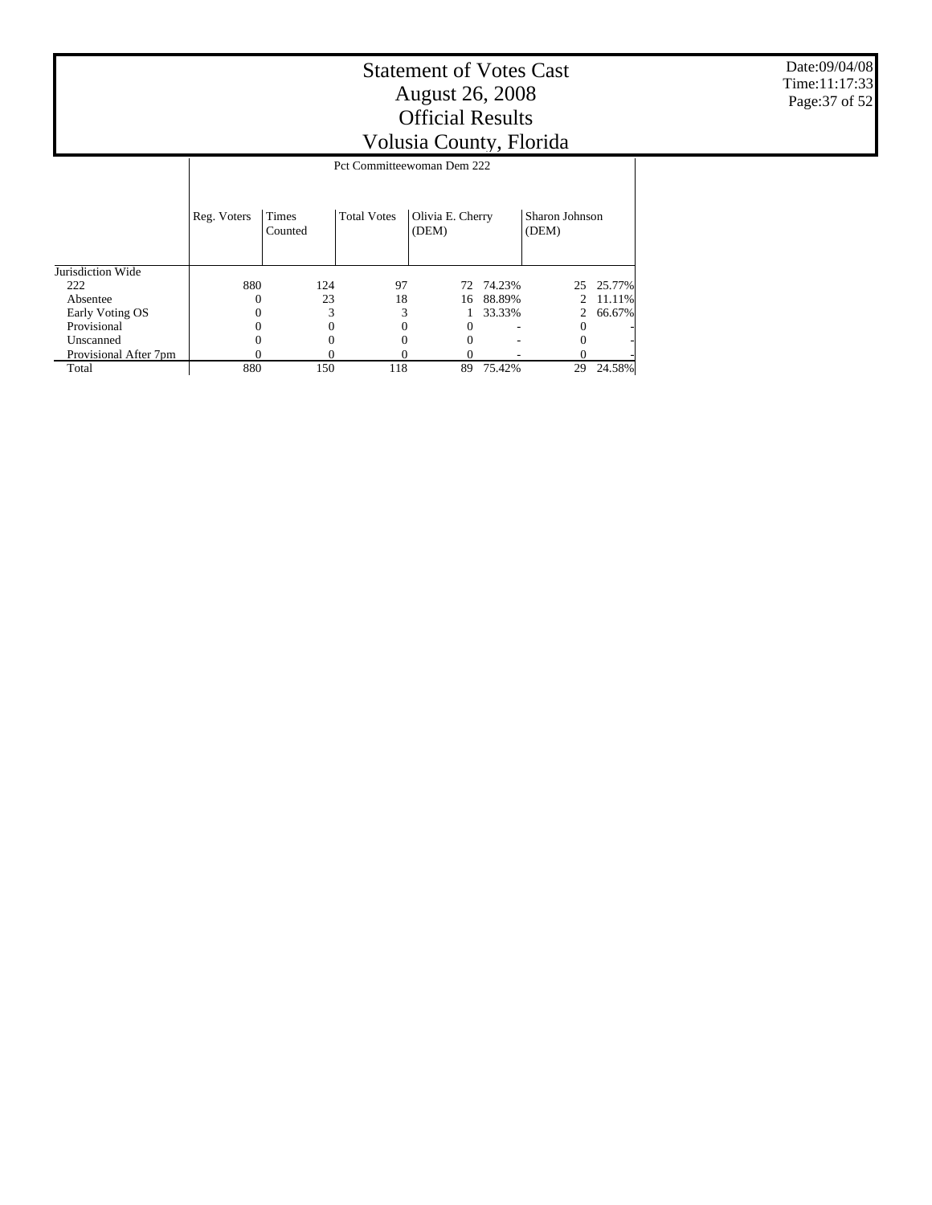Date:09/04/08 Time:11:17:33 Page:37 of 52

|                       |             | Pct Committeewoman Dem 222 |                    |                           |        |                         |           |  |  |  |  |  |
|-----------------------|-------------|----------------------------|--------------------|---------------------------|--------|-------------------------|-----------|--|--|--|--|--|
|                       |             |                            |                    |                           |        |                         |           |  |  |  |  |  |
|                       | Reg. Voters | Times<br>Counted           | <b>Total Votes</b> | Olivia E. Cherry<br>(DEM) |        | Sharon Johnson<br>(DEM) |           |  |  |  |  |  |
| Jurisdiction Wide     |             |                            |                    |                           |        |                         |           |  |  |  |  |  |
| 222                   | 880         | 124                        | 97                 | 72                        | 74.23% |                         | 25 25.77% |  |  |  |  |  |
| Absentee              |             | 23                         | 18                 | 16                        | 88.89% |                         | 11.11%    |  |  |  |  |  |
| Early Voting OS       |             |                            | 3                  |                           | 33.33% | 2                       | 66.67%    |  |  |  |  |  |
| Provisional           |             |                            |                    | 0                         |        | 0                       |           |  |  |  |  |  |
| Unscanned             |             |                            |                    |                           |        |                         |           |  |  |  |  |  |
| Provisional After 7pm |             |                            |                    |                           |        |                         |           |  |  |  |  |  |
| Total                 | 880         | 150                        | 118                | 89                        | 75.42% | 29                      | 24.58%    |  |  |  |  |  |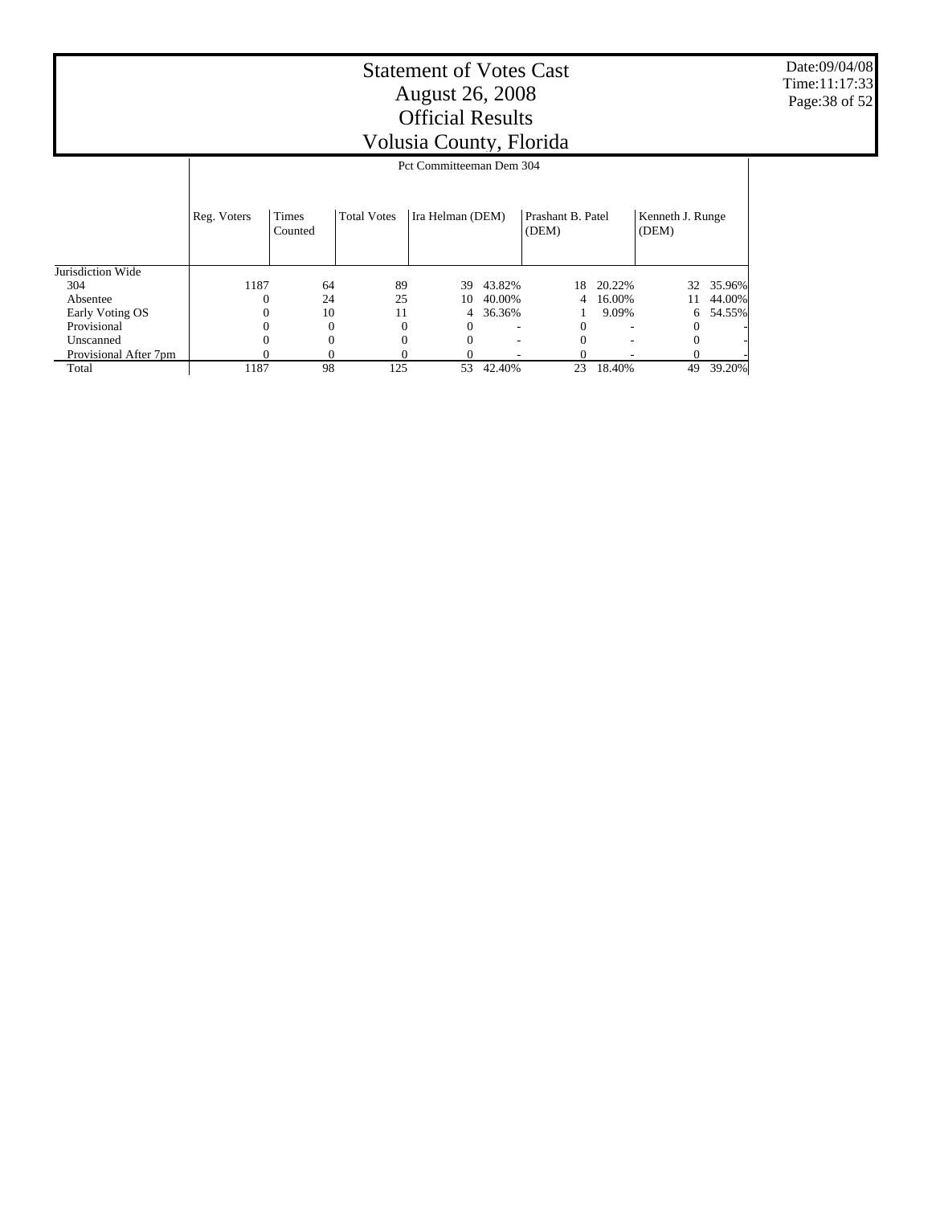Date:09/04/08 Time:11:17:33 Page:38 of 52

|                       |             |                          |                    | - - - - - - , , - |        |                            |        |                           |        |  |  |  |
|-----------------------|-------------|--------------------------|--------------------|-------------------|--------|----------------------------|--------|---------------------------|--------|--|--|--|
|                       |             | Pct Committeeman Dem 304 |                    |                   |        |                            |        |                           |        |  |  |  |
|                       | Reg. Voters | Times<br>Counted         | <b>Total Votes</b> | Ira Helman (DEM)  |        | Prashant B. Patel<br>(DEM) |        | Kenneth J. Runge<br>(DEM) |        |  |  |  |
| Jurisdiction Wide     |             |                          |                    |                   |        |                            |        |                           |        |  |  |  |
| 304                   | 1187        | 64                       | 89                 | 39                | 43.82% | 18                         | 20.22% | 32                        | 35.96% |  |  |  |
| Absentee              | 0           | 24                       | 25                 | 10                | 40.00% | 4                          | 16.00% | 11                        | 44.00% |  |  |  |
| Early Voting OS       |             | 10                       | 11                 | 4                 | 36.36% |                            | 9.09%  | 6                         | 54.55% |  |  |  |
| Provisional           |             |                          |                    | $^{0}$            |        |                            |        |                           |        |  |  |  |
| Unscanned             |             |                          |                    | $\theta$          | ۰      |                            |        |                           |        |  |  |  |
| Provisional After 7pm |             |                          |                    |                   | ۰      |                            |        |                           |        |  |  |  |
| Total                 | 1187        | 98                       | 125                | 53                | 42.40% | 23                         | 18.40% | 49                        | 39.20% |  |  |  |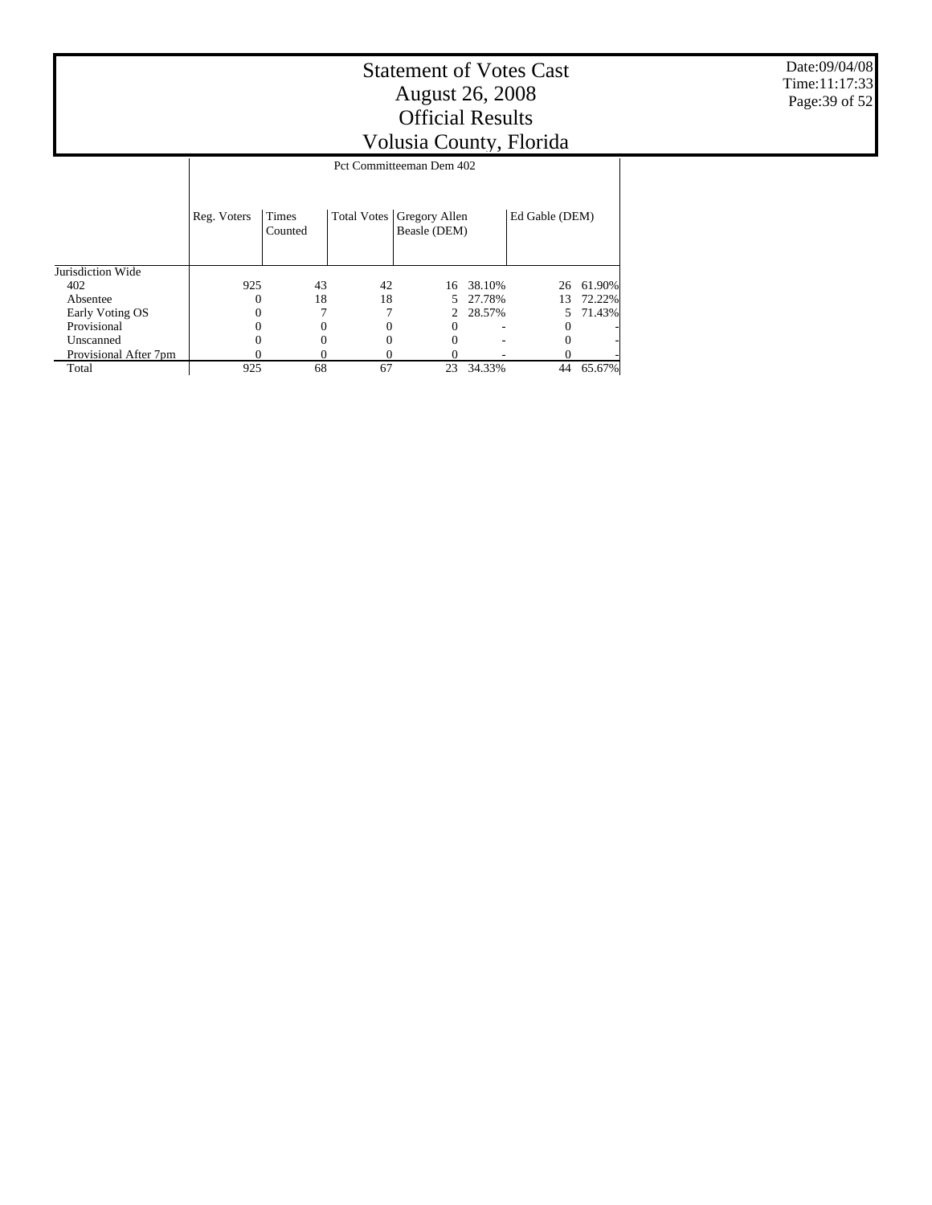Date:09/04/08 Time:11:17:33 Page:39 of 52

|                       |             |                         |                    | Pct Committeeman Dem 402      |        |                |        |
|-----------------------|-------------|-------------------------|--------------------|-------------------------------|--------|----------------|--------|
|                       | Reg. Voters | <b>Times</b><br>Counted | <b>Total Votes</b> | Gregory Allen<br>Beasle (DEM) |        | Ed Gable (DEM) |        |
| Jurisdiction Wide     |             |                         |                    |                               |        |                |        |
| 402                   | 925         | 43                      | 42                 | 16                            | 38.10% | 26             | 61.90% |
| Absentee              |             | 18                      | 18                 | 5.                            | 27.78% | 13             | 72.22% |
| Early Voting OS       |             |                         |                    | $2^{\circ}$                   | 28.57% | 5.             | 71.43% |
| Provisional           |             |                         | 0                  | $\theta$                      |        | $^{(1)}$       |        |
| Unscanned             |             |                         | 0                  |                               |        |                |        |
| Provisional After 7pm |             |                         | 0                  |                               |        |                |        |
| Total                 | 925         | 68                      | 67                 | 23                            | 34.33% | 44             | 65.67% |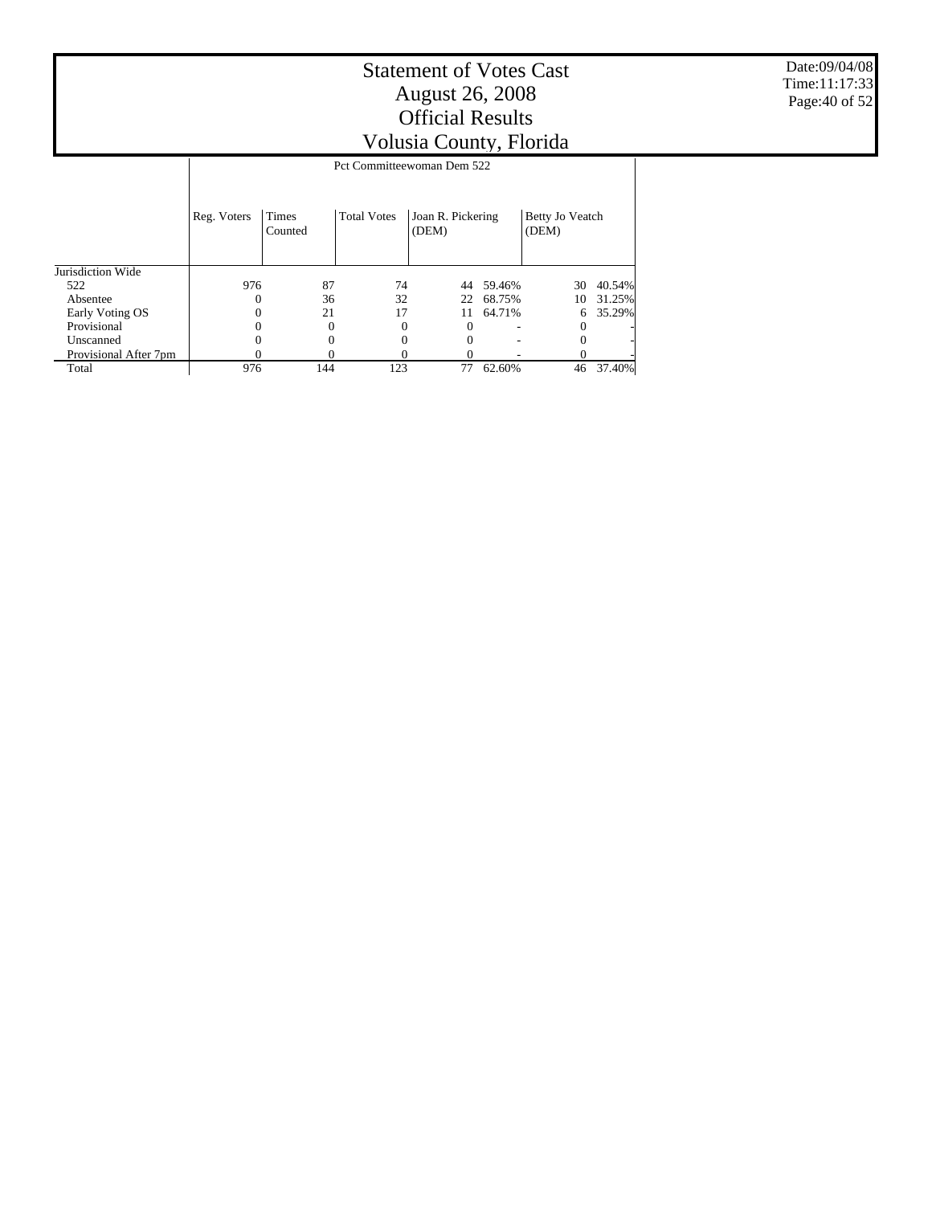$0 \qquad 0 \qquad 0 \qquad 0 \qquad - \qquad 0 \qquad 0 \qquad 0 \qquad 0 \qquad -$  0 - 0 -976 144 123 77 62.60% 46 37.40%

Jurisdiction Wide 522 Absentee Early Voting OS **Provisional** Reg. Voters Times Counted Total Votes | Joan R. Pickering (DEM) Betty Jo Veatch (DEM) Pct Committeewoman Dem 522 976 87 74 44 59.46% 30 40.54% 0 36 32 22 68.75% 1<br>0 21 17 11 64.71% 0 21 17 11 64.71% 6 35.29%  $0 \qquad 0 \qquad 0 \qquad 0 \qquad - \qquad 0 \qquad -$ 

 Unscanned Provisional After 7pm

Total

Date:09/04/08 Time:11:17:33 Page:40 of 52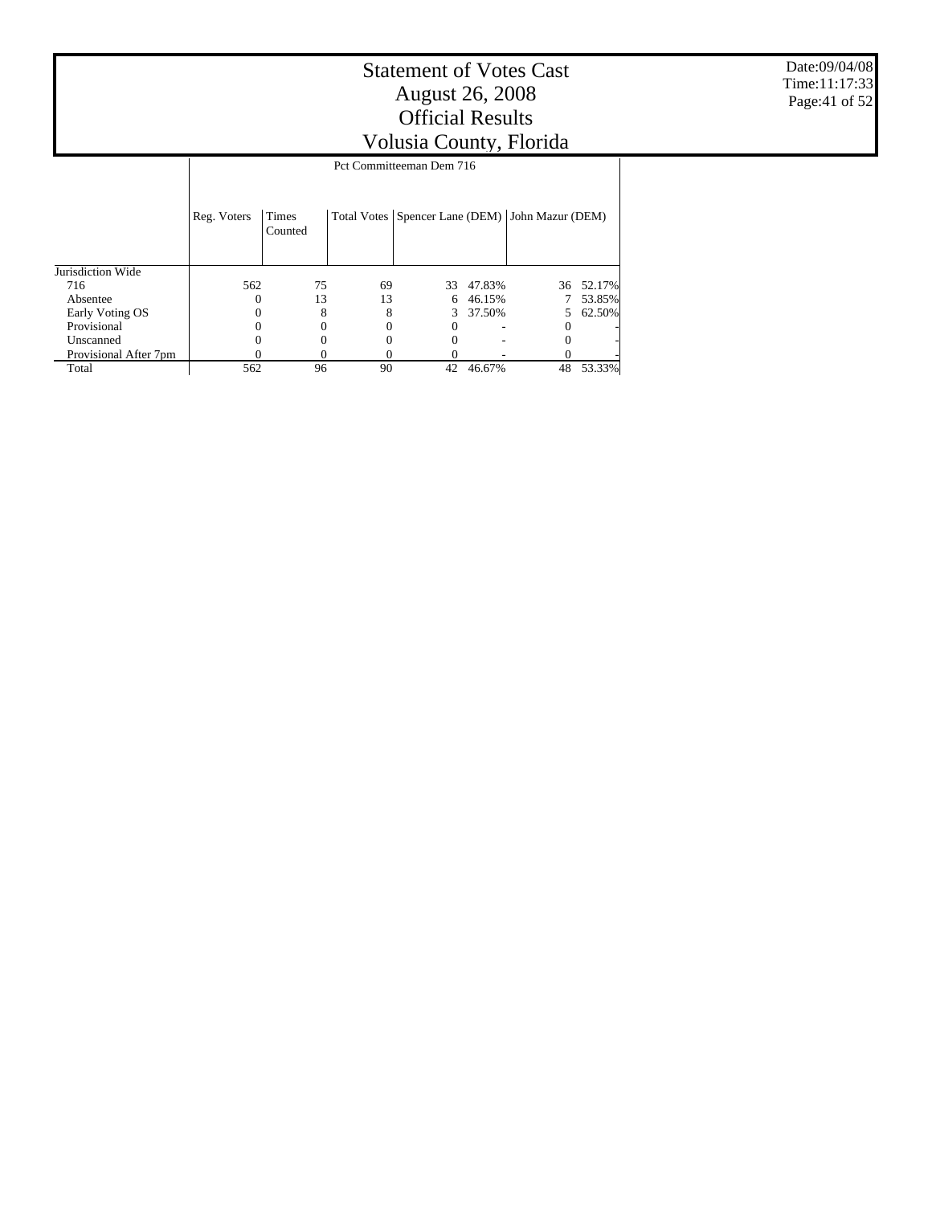$\top$ 

|                       |             |                         |    | Pct Committeeman Dem 716 |        |                                                     |        |
|-----------------------|-------------|-------------------------|----|--------------------------|--------|-----------------------------------------------------|--------|
|                       | Reg. Voters | <b>Times</b><br>Counted |    |                          |        | Total Votes   Spencer Lane (DEM)   John Mazur (DEM) |        |
| Jurisdiction Wide     |             |                         |    |                          |        |                                                     |        |
| 716                   | 562         | 75                      | 69 | 33                       | 47.83% | 36                                                  | 52.17% |
| Absentee              |             | 13                      | 13 | 6                        | 46.15% |                                                     | 53.85% |
| Early Voting OS       |             |                         | 8  | 3                        | 37.50% | 5                                                   | 62.50% |
| Provisional           |             |                         | 0  |                          |        | 0                                                   |        |
| Unscanned             |             |                         |    |                          |        |                                                     |        |
| Provisional After 7pm |             |                         |    |                          |        |                                                     |        |
| Total                 | 562         | 96                      | 90 | 42                       | 46.67% | 48                                                  | 53.33% |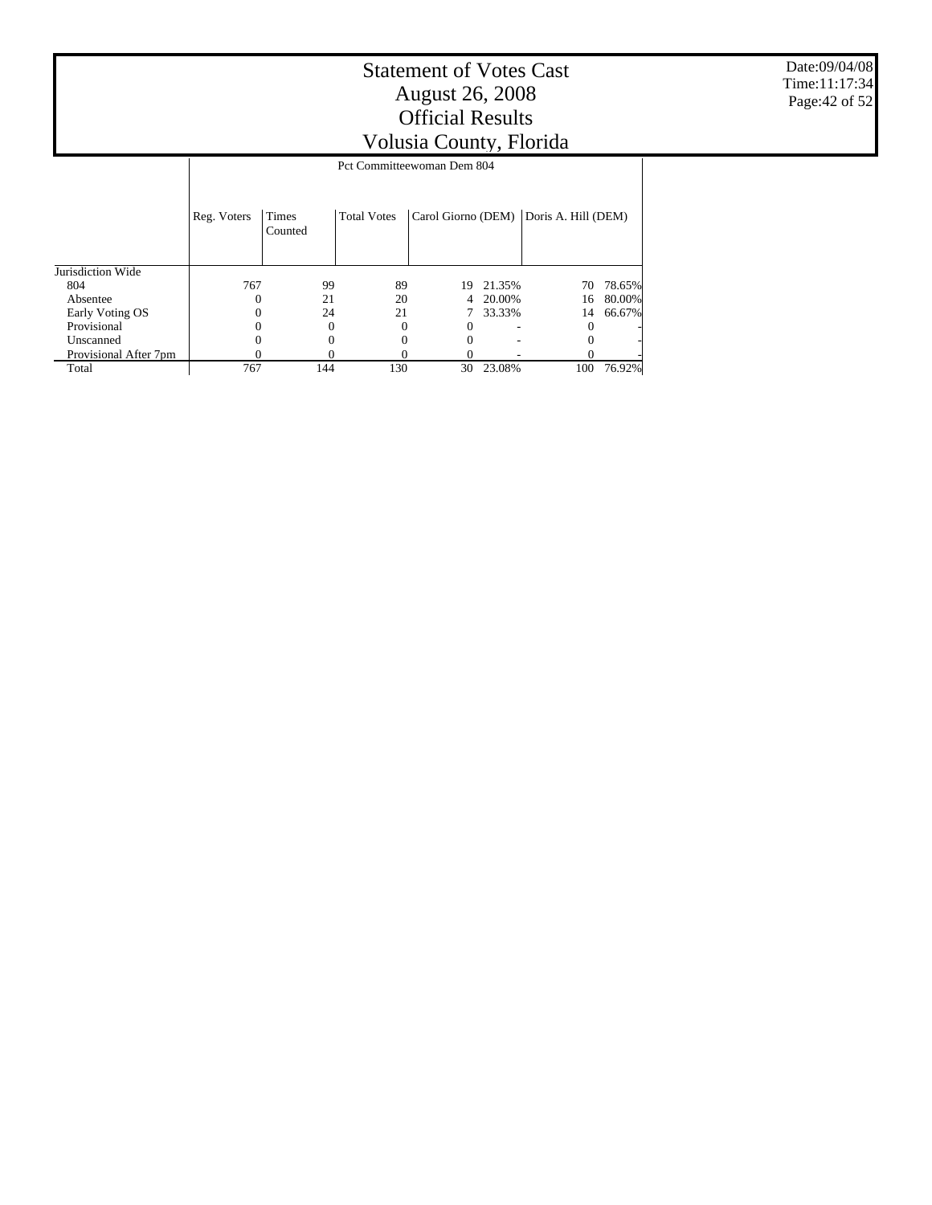767 144 130 30 23.08% 100 76.92%

Jurisdiction Wide 804 Absentee Early Voting OS **Provisional**  Unscanned Provisional After 7pm Reg. Voters | Times Counted Total Votes | Carol Giorno (DEM) | Doris A. Hill (DEM) Pct Committeewoman Dem 804  $\begin{array}{ccccccccc} 767 && 99 && 89 && 19 & 21.35\% && 70 & 78.65\% \\ 0 && 21 && 20 && 4 & 20.00\% && 16 & 80.00\% \\ 0 && 24 && 21 && 7 & 33.33\% && 14 & 66.67\% \end{array}$  $\begin{array}{ccccccccc}\n0 & & & 21 & & 20 & & 4 & 20.00\% & & & 16 & 80.00\%\\
0 & & & 24 & & 21 & & 7 & 33.33\% & & & 14 & 66.67\% \end{array}$  $\begin{array}{cccccccc} 0 & \hspace{1.5mm} & 24 & \hspace{1.5mm} & 21 & \hspace{1.5mm} & 7 & 33.33\% & \hspace{1.5mm} & 14 \\ 0 & \hspace{1.5mm} & 0 & \hspace{1.5mm} & 0 & \hspace{1.5mm} & 0 & \hspace{1.5mm} \end{array}$  $0 \qquad 0 \qquad 0 \qquad -$  0 - 0 - $0 \qquad 0 \qquad 0 \qquad -$  0 - 0 - $0 \t 0 \t 0 \t 0 \t 0$ 

Total

Date:09/04/08 Time:11:17:34 Page:42 of 52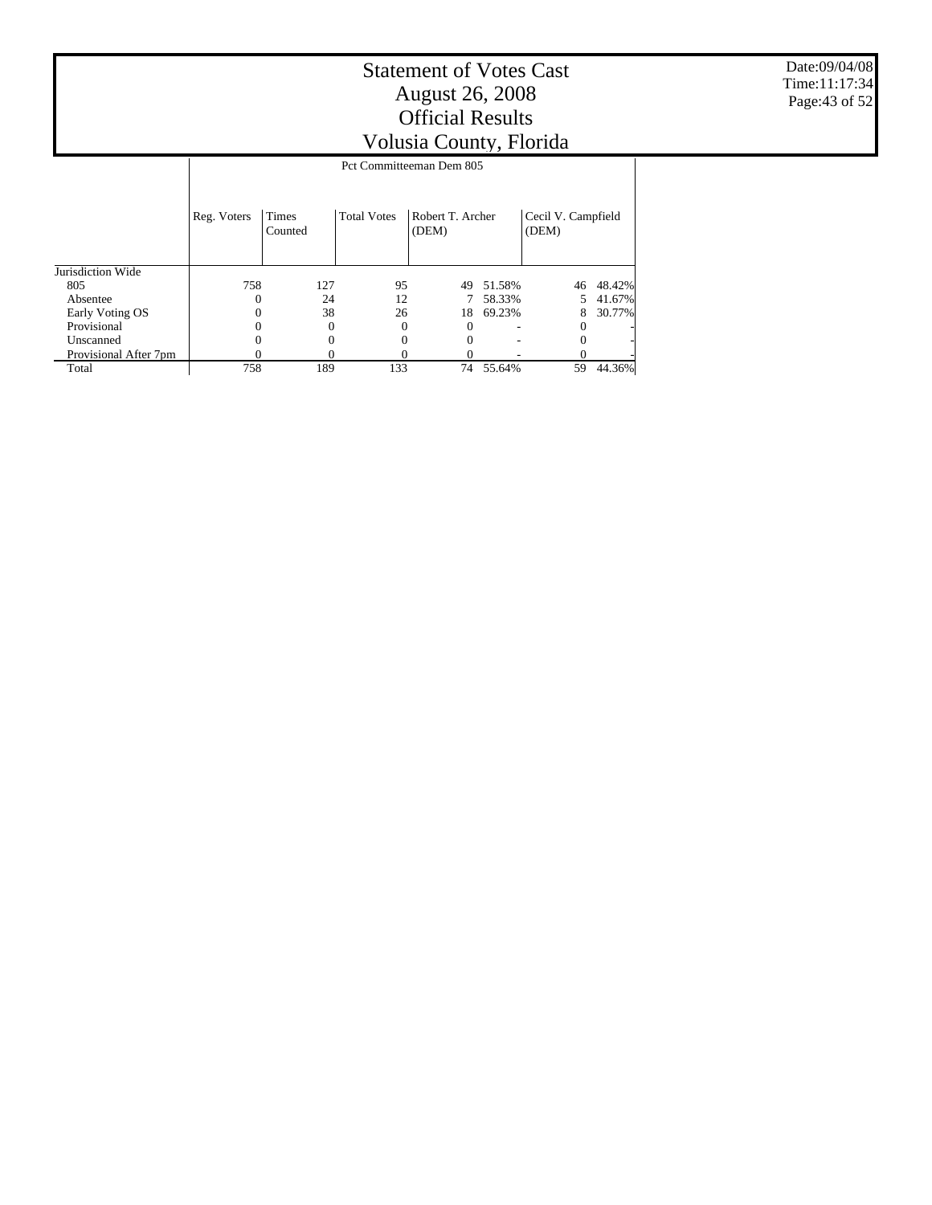Jurisdiction Wide 805 Absentee Early Voting OS **Provisional**  Unscanned Provisional After 7pm Reg. Voters | Times Counted Total Votes | Robert T. Archer (DEM) Cecil V. Campfield (DEM) Pct Committeeman Dem 805 758 127 95 49 51.58% 46 48.42%  $\begin{array}{ccccccc}\n 0 & & 24 & & 12 & & 7 & 58.33\% & & 5 & 41.67\% \\
 0 & & 38 & & 26 & & 18 & 69.23\% & & 8 & 30.77\% \end{array}$  $\begin{matrix} 0 & 38 & 26 & 18 & 69.23\% \\ 0 & 0 & 0 & 0 & 0 \end{matrix} \hspace{.2cm} \begin{matrix} 8 \\ 3 \\ 3 \end{matrix}$  $0 \qquad 0 \qquad 0 \qquad 0 \qquad - \qquad 0 \qquad 0 \qquad 0 \qquad 0 \qquad 0 \qquad - \qquad 0 \qquad 0 \qquad 0 \qquad 0 \qquad -$  0 - 0 -758 189 133 74 55.64% 59 44.36%

Total

Date:09/04/08 Time:11:17:34 Page:43 of 52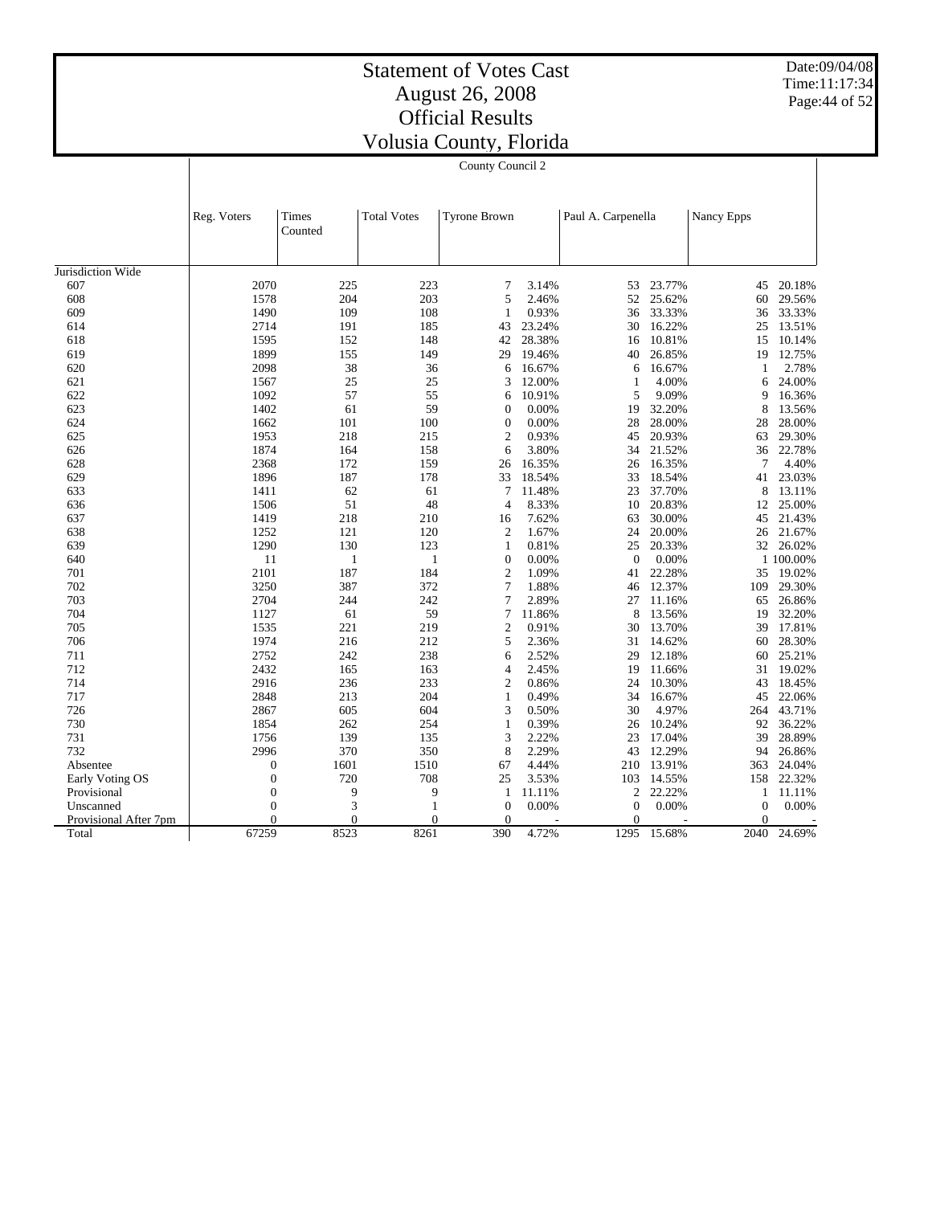Date:09/04/08 Time:11:17:34 Page:44 of 52

|                       |                  | County Council 2 |                    |                                |                |                    |                  |              |                  |  |  |
|-----------------------|------------------|------------------|--------------------|--------------------------------|----------------|--------------------|------------------|--------------|------------------|--|--|
|                       |                  |                  |                    |                                |                |                    |                  |              |                  |  |  |
|                       | Reg. Voters      | Times<br>Counted | <b>Total Votes</b> | <b>Tyrone Brown</b>            |                | Paul A. Carpenella |                  | Nancy Epps   |                  |  |  |
| Jurisdiction Wide     |                  |                  |                    |                                |                |                    |                  |              |                  |  |  |
| 607                   | 2070             | 225              | 223                | 7                              | 3.14%          | 53                 | 23.77%           | 45           | 20.18%           |  |  |
| 608                   | 1578             | 204              | 203                | 5                              | 2.46%          | 52                 | 25.62%           | 60           | 29.56%           |  |  |
| 609                   | 1490             | 109              | 108                | 1                              | 0.93%          | 36                 | 33.33%           | 36           | 33.33%           |  |  |
| 614                   | 2714             | 191              | 185                | 43                             | 23.24%         | 30                 | 16.22%           | 25           | 13.51%           |  |  |
| 618                   | 1595             | 152              | 148                | 42                             | 28.38%         | 16                 | 10.81%           | 15           | 10.14%           |  |  |
| 619                   | 1899             | 155              | 149                | 29                             | 19.46%         | 40                 | 26.85%           | 19           | 12.75%           |  |  |
| 620                   | 2098             | 38               | 36                 | 6                              | 16.67%         | 6                  | 16.67%           | 1            | 2.78%            |  |  |
| 621                   | 1567             | 25               | 25                 | 3                              | 12.00%         | $\mathbf{1}$       | 4.00%            | 6            | 24.00%           |  |  |
| 622                   | 1092             | 57               | 55                 | 6                              | 10.91%         | 5                  | 9.09%            | 9            | 16.36%           |  |  |
| 623                   | 1402             | 61               | 59                 | $\mathbf{0}$                   | 0.00%          | 19                 | 32.20%           | 8            | 13.56%           |  |  |
| 624                   | 1662             | 101              | 100                | $\mathbf{0}$                   | 0.00%          | 28                 | 28.00%           | 28           | 28.00%           |  |  |
| 625                   | 1953             | 218              | 215                | $\mathfrak{2}$                 | 0.93%          | 45                 | 20.93%           | 63           | 29.30%           |  |  |
| 626                   | 1874             | 164              | 158                | 6                              | 3.80%          | 34                 | 21.52%           | 36           | 22.78%           |  |  |
| 628                   | 2368             | 172              | 159                | 26                             | 16.35%         | 26                 | 16.35%           | 7            | 4.40%            |  |  |
| 629                   | 1896             | 187              | 178                | 33                             | 18.54%         | 33                 | 18.54%           | 41           | 23.03%           |  |  |
| 633                   | 1411             | 62               | 61                 | 7                              | 11.48%         | 23                 | 37.70%           | 8            | 13.11%           |  |  |
| 636                   | 1506             | 51               | 48                 | $\overline{4}$                 | 8.33%          | 10                 | 20.83%           | 12           | 25.00%           |  |  |
| 637                   |                  | 218              | 210                |                                |                |                    | 30.00%           |              | 21.43%           |  |  |
| 638                   | 1419<br>1252     |                  |                    | 16<br>$\overline{2}$           | 7.62%<br>1.67% | 63<br>24           | 20.00%           | 45           | 21.67%           |  |  |
| 639                   | 1290             | 121<br>130       | 120<br>123         | $\mathbf{1}$                   | 0.81%          | 25                 | 20.33%           | 26           | 32 26.02%        |  |  |
| 640                   | 11               | $\mathbf{1}$     | 1                  | $\Omega$                       | 0.00%          | $\Omega$           | 0.00%            |              | 1 100,00%        |  |  |
| 701                   | 2101             | 187              | 184                | $\overline{2}$                 | 1.09%          | 41                 | 22.28%           | 35           | 19.02%           |  |  |
|                       |                  |                  |                    | $\tau$                         |                |                    |                  |              |                  |  |  |
| 702<br>703            | 3250<br>2704     | 387<br>244       | 372<br>242         | 7                              | 1.88%          | 46<br>27           | 12.37%<br>11.16% | 109          | 29.30%           |  |  |
|                       |                  |                  |                    |                                | 2.89%          |                    |                  | 65           | 26.86%           |  |  |
| 704                   | 1127             | 61               | 59                 | 7                              | 11.86%         | 8                  | 13.56%           | 19           | 32.20%           |  |  |
| 705<br>706            | 1535<br>1974     | 221              | 219                | $\mathfrak{2}$<br>5            | 0.91%          | 30                 | 13.70%           | 39           | 17.81%           |  |  |
| 711                   | 2752             | 216<br>242       | 212<br>238         | 6                              | 2.36%          | 31<br>29           | 14.62%<br>12.18% | 60           | 28.30%<br>25.21% |  |  |
|                       |                  |                  |                    |                                | 2.52%          |                    |                  | 60           |                  |  |  |
| 712                   | 2432             | 165              | 163                | $\overline{4}$                 | 2.45%          | 19                 | 11.66%           | 31           | 19.02%           |  |  |
| 714<br>717            | 2916             | 236<br>213       | 233                | $\mathfrak{2}$<br>$\mathbf{1}$ | 0.86%          | 24                 | 10.30%           | 43           | 18.45%           |  |  |
| 726                   | 2848             |                  | 204                | 3                              | 0.49%          | 34                 | 16.67%           | 45           | 22.06%           |  |  |
|                       | 2867             | 605              | 604                |                                | 0.50%          | 30                 | 4.97%            | 264          | 43.71%           |  |  |
| 730                   | 1854             | 262              | 254                | $\mathbf{1}$<br>3              | 0.39%          | 26                 | 10.24%           | 92           | 36.22%           |  |  |
| 731<br>732            | 1756             | 139              | 135                |                                | 2.22%          | 23                 | 17.04%           | 39           | 28.89%           |  |  |
|                       | 2996             | 370              | 350                | 8                              | 2.29%          | 43                 | 12.29%           | 94           | 26.86%           |  |  |
| Absentee              | $\boldsymbol{0}$ | 1601             | 1510               | 67                             | 4.44%          | 210                | 13.91%           | 363          | 24.04%           |  |  |
| Early Voting OS       | $\overline{0}$   | 720              | 708                | 25                             | 3.53%          | 103                | 14.55%           | 158          | 22.32%           |  |  |
| Provisional           | $\overline{0}$   | 9                | 9                  | 1                              | 11.11%         | $\overline{c}$     | 22.22%           | 1            | 11.11%           |  |  |
| Unscanned             | $\overline{0}$   | 3                | $\mathbf{1}$       | $\mathbf{0}$                   | 0.00%          | $\theta$           | 0.00%            | $\mathbf{0}$ | 0.00%            |  |  |
| Provisional After 7pm | $\Omega$         | $\Omega$         | $\theta$           | $\Omega$                       |                | $\Omega$           |                  | $\Omega$     |                  |  |  |
| Total                 | 67259            | 8523             | 8261               | 390                            | 4.72%          | 1295               | 15.68%           | 2040         | 24.69%           |  |  |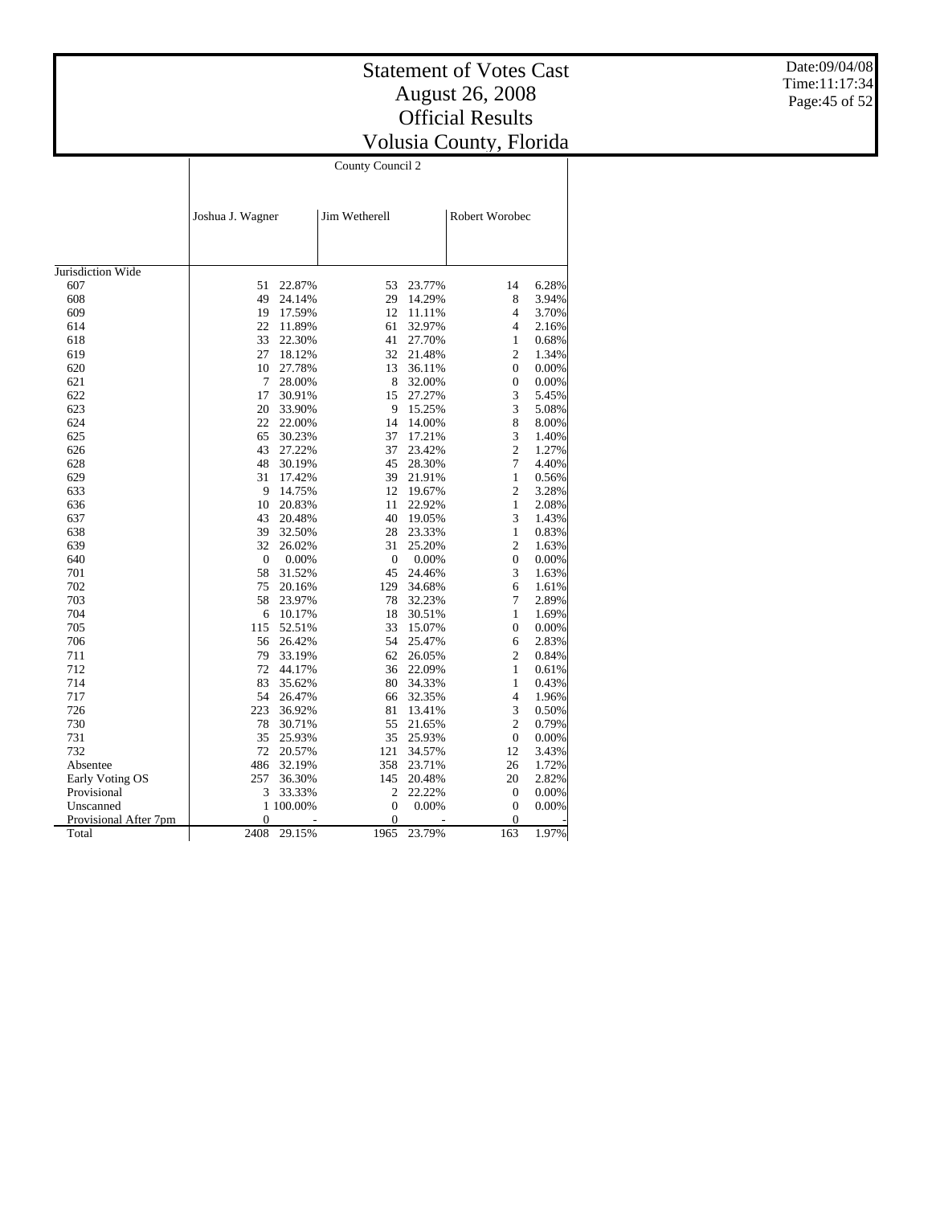Date:09/04/08 Time:11:17:34 Page:45 of 52

|                       |                  |           | County Council 2 |        |                  |       |
|-----------------------|------------------|-----------|------------------|--------|------------------|-------|
|                       |                  |           |                  |        |                  |       |
|                       | Joshua J. Wagner |           | Jim Wetherell    |        | Robert Worobec   |       |
|                       |                  |           |                  |        |                  |       |
|                       |                  |           |                  |        |                  |       |
| Jurisdiction Wide     |                  |           |                  |        |                  |       |
| 607                   | 51               | 22.87%    | 53               | 23.77% | 14               | 6.28% |
| 608                   | 49               | 24.14%    | 29               | 14.29% | 8                | 3.94% |
| 609                   | 19               | 17.59%    | 12               | 11.11% | 4                | 3.70% |
| 614                   | 22               | 11.89%    | 61               | 32.97% | 4                | 2.16% |
| 618                   | 33               | 22.30%    | 41               | 27.70% | 1                | 0.68% |
| 619                   | 27               | 18.12%    | 32               | 21.48% | $\mathbf{2}$     | 1.34% |
| 620                   | 10               |           | 13               |        | $\overline{0}$   | 0.00% |
|                       | 7                | 27.78%    |                  | 36.11% |                  |       |
| 621                   |                  | 28.00%    | 8                | 32.00% | $\overline{0}$   | 0.00% |
| 622                   | 17               | 30.91%    | 15               | 27.27% | 3                | 5.45% |
| 623                   | 20               | 33.90%    | 9                | 15.25% | 3                | 5.08% |
| 624                   | 22               | 22.00%    | 14               | 14.00% | 8                | 8.00% |
| 625                   | 65               | 30.23%    | 37               | 17.21% | 3                | 1.40% |
| 626                   | 43               | 27.22%    | 37               | 23.42% | $\overline{c}$   | 1.27% |
| 628                   | 48               | 30.19%    | 45               | 28.30% | 7                | 4.40% |
| 629                   | 31               | 17.42%    | 39               | 21.91% | $\mathbf{1}$     | 0.56% |
| 633                   | 9                | 14.75%    | 12               | 19.67% | 2                | 3.28% |
| 636                   | 10               | 20.83%    | 11               | 22.92% | 1                | 2.08% |
| 637                   | 43               | 20.48%    | 40               | 19.05% | 3                | 1.43% |
| 638                   | 39               | 32.50%    | 28               | 23.33% | $\mathbf{1}$     | 0.83% |
| 639                   | 32               | 26.02%    | 31               | 25.20% | $\overline{c}$   | 1.63% |
| 640                   | $\mathbf{0}$     | 0.00%     | $\overline{0}$   | 0.00%  | $\overline{0}$   | 0.00% |
| 701                   | 58               | 31.52%    | 45               | 24.46% | 3                | 1.63% |
| 702                   | 75               | 20.16%    | 129              | 34.68% | 6                | 1.61% |
| 703                   | 58               | 23.97%    | 78               | 32.23% | 7                | 2.89% |
| 704                   | 6                | 10.17%    | 18               | 30.51% | 1                | 1.69% |
| 705                   | 115              | 52.51%    | 33               | 15.07% | 0                | 0.00% |
| 706                   | 56               | 26.42%    | 54               | 25.47% | 6                | 2.83% |
| 711                   | 79               | 33.19%    | 62               | 26.05% | 2                | 0.84% |
| 712                   | 72               | 44.17%    | 36               | 22.09% | 1                | 0.61% |
| 714                   | 83               | 35.62%    | 80               | 34.33% | 1                | 0.43% |
| 717                   | 54               | 26.47%    | 66               | 32.35% | $\overline{4}$   | 1.96% |
| 726                   | 223              | 36.92%    | 81               | 13.41% | 3                | 0.50% |
| 730                   | 78               | 30.71%    | 55               | 21.65% | 2                | 0.79% |
| 731                   | 35               | 25.93%    | 35               | 25.93% | 0                | 0.00% |
| 732                   | 72               | 20.57%    | 121              | 34.57% | 12               | 3.43% |
| Absentee              | 486              | 32.19%    | 358              | 23.71% | 26               | 1.72% |
| Early Voting OS       | 257              | 36.30%    | 145              | 20.48% | 20               | 2.82% |
| Provisional           | 3                | 33.33%    | 2                | 22.22% | $\boldsymbol{0}$ | 0.00% |
| Unscanned             |                  | 1 100,00% | $\overline{0}$   | 0.00%  | $\overline{0}$   | 0.00% |
| Provisional After 7pm | $\theta$         |           | 0                |        | $\theta$         |       |
| Total                 | 2408             | 29.15%    | 1965             | 23.79% | 163              | 1.97% |
|                       |                  |           |                  |        |                  |       |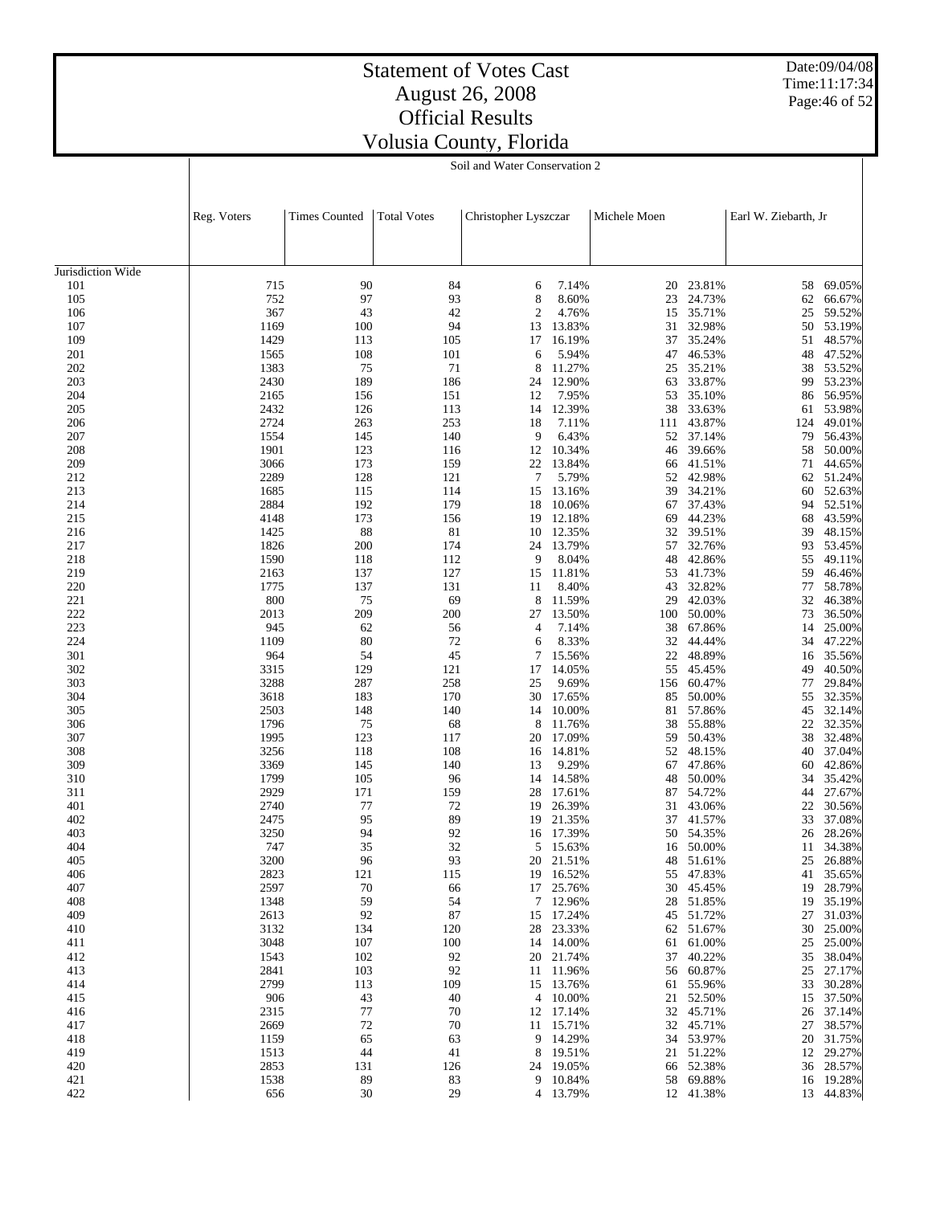Date:09/04/08 Time:11:17:34 Page:46 of 52

## Statement of Votes Cast August 26, 2008 Official Results Volusia County, Florida

Soil and Water Conservation 2

|                   | Reg. Voters  | <b>Times Counted</b> | <b>Total Votes</b> | Christopher Lyszczar |                  | Michele Moen |                  | Earl W. Ziebarth, Jr |                  |
|-------------------|--------------|----------------------|--------------------|----------------------|------------------|--------------|------------------|----------------------|------------------|
|                   |              |                      |                    |                      |                  |              |                  |                      |                  |
| Jurisdiction Wide |              |                      |                    |                      |                  |              |                  |                      |                  |
| 101               | 715          | 90                   | 84                 | 6                    | 7.14%            | 20           | 23.81%           | 58                   | 69.05%           |
| 105               | 752          | 97                   | 93                 | 8                    | 8.60%            | 23           | 24.73%           | 62                   | 66.67%           |
| 106               | 367          | 43                   | 42                 | $\overline{c}$       | 4.76%            | 15           | 35.71%           | 25                   | 59.52%           |
| 107               | 1169         | 100                  | 94                 | 13                   | 13.83%           | 31           | 32.98%           | 50                   | 53.19%           |
| 109               | 1429         | 113                  | 105                | 17                   | 16.19%           | 37           | 35.24%           | 51                   | 48.57%           |
| 201               | 1565         | 108                  | 101                | 6                    | 5.94%            | 47           | 46.53%           | 48                   | 47.52%           |
| 202               | 1383         | 75                   | 71                 | 8                    | 11.27%           | 25           | 35.21%           | 38                   | 53.52%           |
| 203               | 2430         | 189                  | 186                | 24                   | 12.90%           | 63           | 33.87%           | 99                   | 53.23%           |
| 204               | 2165         | 156                  | 151                | 12                   | 7.95%            | 53           | 35.10%           | 86                   | 56.95%           |
| 205               | 2432         | 126                  | 113                | 14                   | 12.39%           | 38           | 33.63%           | 61                   | 53.98%           |
| 206               | 2724         | 263                  | 253                | 18                   | 7.11%            | 111          | 43.87%           | 124                  | 49.01%           |
| 207               | 1554         | 145                  | 140                | 9                    | 6.43%            | 52           | 37.14%           | 79                   | 56.43%           |
| 208               | 1901         | 123                  | 116                | 12                   | 10.34%           | 46           | 39.66%           | 58                   | 50.00%           |
| 209               | 3066         | 173                  | 159                | 22                   | 13.84%           | 66           | 41.51%           | 71                   | 44.65%           |
| 212               | 2289         | 128                  | 121                | $\boldsymbol{7}$     | 5.79%            | 52           | 42.98%           | 62                   | 51.24%           |
| 213               | 1685         | 115                  | 114                | 15                   | 13.16%           | 39           | 34.21%           | 60                   | 52.63%           |
| 214               | 2884         | 192                  | 179                | 18                   | 10.06%           | 67           | 37.43%           | 94                   | 52.51%           |
| 215               | 4148<br>1425 | 173<br>88            | 156<br>81          | 19                   | 12.18%<br>12.35% | 69           | 44.23%<br>39.51% | 68                   | 43.59%           |
| 216<br>217        | 1826         | 200                  | 174                | 10<br>24             | 13.79%           | 32<br>57     | 32.76%           | 39<br>93             | 48.15%<br>53.45% |
| 218               | 1590         | 118                  | 112                | 9                    | 8.04%            | 48           | 42.86%           | 55                   | 49.11%           |
| 219               | 2163         | 137                  | 127                | 15                   | 11.81%           | 53           | 41.73%           | 59                   | 46.46%           |
| 220               | 1775         | 137                  | 131                | 11                   | 8.40%            | 43           | 32.82%           | 77                   | 58.78%           |
| 221               | 800          | 75                   | 69                 | 8                    | 11.59%           | 29           | 42.03%           | 32                   | 46.38%           |
| 222               | 2013         | 209                  | 200                | 27                   | 13.50%           | 100          | 50.00%           | 73                   | 36.50%           |
| 223               | 945          | 62                   | 56                 | 4                    | 7.14%            | 38           | 67.86%           | 14                   | 25.00%           |
| 224               | 1109         | 80                   | 72                 | 6                    | 8.33%            | 32           | 44.44%           | 34                   | 47.22%           |
| 301               | 964          | 54                   | 45                 | 7                    | 15.56%           | 22           | 48.89%           | 16                   | 35.56%           |
| 302               | 3315         | 129                  | 121                | 17                   | 14.05%           | 55           | 45.45%           | 49                   | 40.50%           |
| 303               | 3288         | 287                  | 258                | 25                   | 9.69%            | 156          | 60.47%           | 77                   | 29.84%           |
| 304               | 3618         | 183                  | 170                | 30                   | 17.65%           | 85           | 50.00%           | 55                   | 32.35%           |
| 305               | 2503         | 148                  | 140                | 14                   | 10.00%           | 81           | 57.86%           | 45                   | 32.14%           |
| 306               | 1796         | 75                   | 68                 | 8                    | 11.76%           | 38           | 55.88%           | 22                   | 32.35%           |
| 307               | 1995         | 123                  | 117                | 20                   | 17.09%           | 59           | 50.43%           | 38                   | 32.48%           |
| 308               | 3256         | 118                  | 108                | 16                   | 14.81%           | 52           | 48.15%           | 40                   | 37.04%           |
| 309               | 3369         | 145                  | 140                | 13                   | 9.29%            | 67           | 47.86%           | 60                   | 42.86%           |
| 310               | 1799         | 105                  | 96                 | 14                   | 14.58%           | 48           | 50.00%           | 34                   | 35.42%           |
| 311               | 2929         | 171                  | 159                | 28                   | 17.61%           | 87           | 54.72%           | 44                   | 27.67%           |
| 401               | 2740         | 77                   | 72                 | 19                   | 26.39%           | 31           | 43.06%           | 22                   | 30.56%           |
| 402               | 2475         | 95                   | 89                 | 19                   | 21.35%           | 37           | 41.57%           | 33                   | 37.08%           |
| 403<br>404        | 3250<br>747  | 94<br>35             | 92<br>32           | 16<br>5              | 17.39%<br>15.63% | 50<br>16     | 54.35%<br>50.00% | 26<br>11             | 28.26%<br>34.38% |
| 405               | 3200         | 96                   | 93                 | 20                   | 21.51%           | 48           | 51.61%           | 25                   | 26.88%           |
| 406               | 2823         | 121                  | 115                | 19                   | 16.52%           | 55           | 47.83%           | 41                   | 35.65%           |
| 407               | 2597         | 70                   | 66                 |                      | 17 25.76%        |              | 30 45.45%        | 19                   | 28.79%           |
| 408               | 1348         | 59                   | 54                 |                      | 7 12.96%         | 28           | 51.85%           | 19                   | 35.19%           |
| 409               | 2613         | 92                   | 87                 |                      | 15 17.24%        | 45           | 51.72%           | 27                   | 31.03%           |
| 410               | 3132         | 134                  | 120                | 28                   | 23.33%           | 62           | 51.67%           | 30                   | 25.00%           |
| 411               | 3048         | 107                  | 100                |                      | 14 14.00%        | 61           | 61.00%           | 25                   | 25.00%           |
| 412               | 1543         | 102                  | 92                 |                      | 20 21.74%        | 37           | 40.22%           | 35                   | 38.04%           |
| 413               | 2841         | 103                  | 92                 |                      | 11 11.96%        | 56           | 60.87%           | 25                   | 27.17%           |
| 414               | 2799         | 113                  | 109                | 15                   | 13.76%           | 61           | 55.96%           | 33                   | 30.28%           |
| 415               | 906          | 43                   | 40                 |                      | 4 10.00%         | 21           | 52.50%           | 15                   | 37.50%           |
| 416               | 2315         | 77                   | 70                 |                      | 12 17.14%        | 32           | 45.71%           | 26                   | 37.14%           |
| 417               | 2669         | 72                   | 70                 |                      | 11 15.71%        | 32           | 45.71%           | 27                   | 38.57%           |
| 418               | 1159         | 65                   | 63                 | 9                    | 14.29%           | 34           | 53.97%           | 20                   | 31.75%           |
| 419               | 1513         | 44                   | 41                 | 8                    | 19.51%           | 21           | 51.22%           | 12                   | 29.27%           |
| 420               | 2853         | 131                  | 126                | 24                   | 19.05%           | 66           | 52.38%           | 36                   | 28.57%           |
| 421               | 1538         | 89                   | 83                 |                      | 9 10.84%         | 58           | 69.88%           |                      | 16 19.28%        |
| 422               | 656          | 30                   | 29                 |                      | 4 13.79%         |              | 12 41.38%        |                      | 13 44.83%        |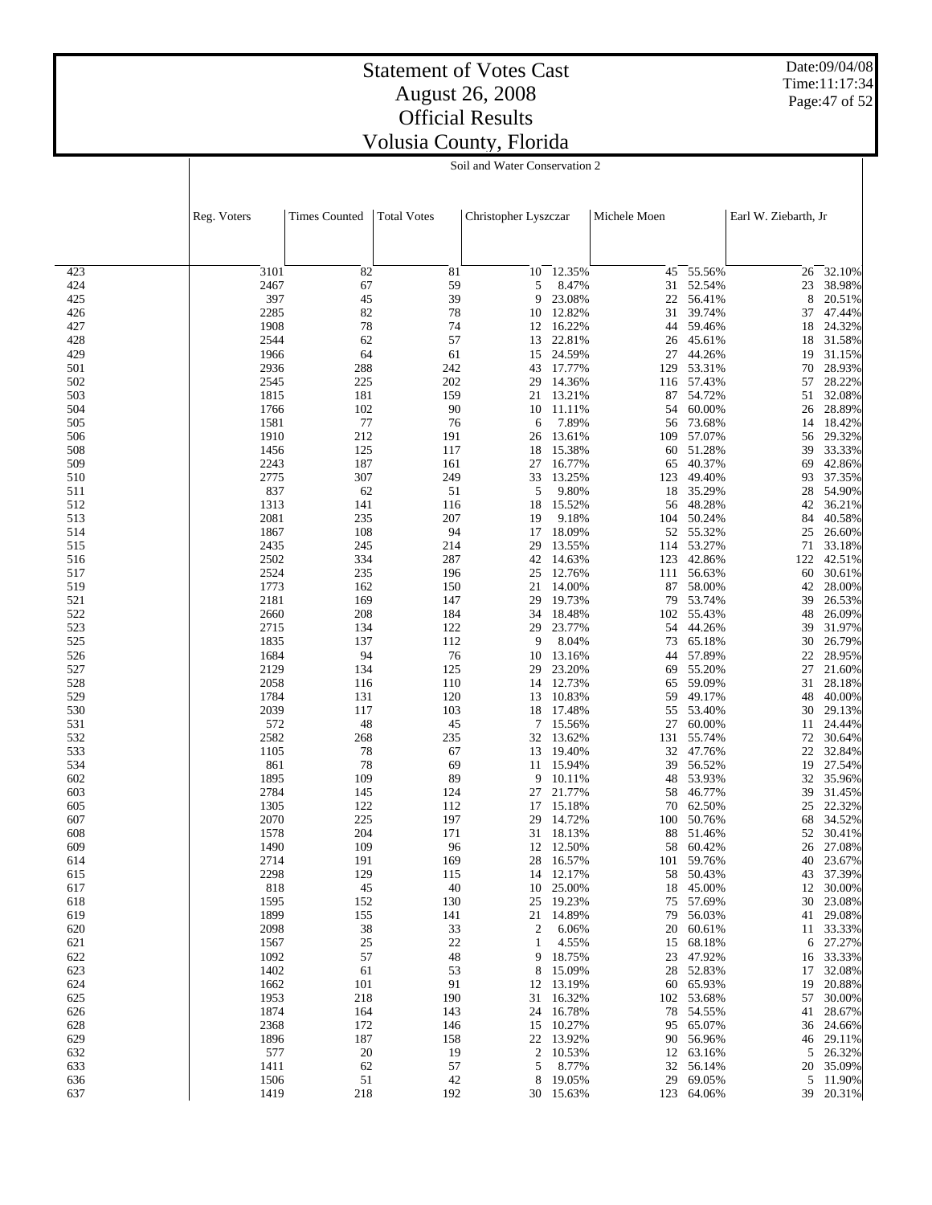Date:09/04/08 Time:11:17:34 Page:47 of 52

## Statement of Votes Cast August 26, 2008 Official Results Volusia County, Florida

Soil and Water Conservation 2

|            | Reg. Voters  | <b>Times Counted</b> | <b>Total Votes</b> | Christopher Lyszczar |                  | Michele Moen |                      | Earl W. Ziebarth, Jr |                     |
|------------|--------------|----------------------|--------------------|----------------------|------------------|--------------|----------------------|----------------------|---------------------|
|            |              |                      |                    |                      |                  |              |                      |                      |                     |
|            |              |                      |                    |                      |                  |              |                      |                      |                     |
| 423        | 3101         | 82                   | 81                 | 10                   | 12.35%           | 45           | 55.56%               | 26                   | 32.10%              |
| 424        | 2467         | 67                   | 59                 | 5                    | 8.47%            | 31           | 52.54%               | 23                   | 38.98%              |
| 425        | 397          | 45                   | 39                 | 9                    | 23.08%           | 22           | 56.41%               | 8                    | 20.51%              |
| 426        | 2285         | 82                   | 78                 | 10                   | 12.82%           | 31           | 39.74%               | 37                   | 47.44%              |
| 427        | 1908         | 78                   | 74                 | 12                   | 16.22%           | 44           | 59.46%               | 18                   | 24.32%              |
| 428<br>429 | 2544         | 62                   | 57                 | 13                   | 22.81%<br>24.59% | 26           | 45.61%               | 18                   | 31.58%              |
| 501        | 1966<br>2936 | 64<br>288            | 61<br>242          | 15<br>43             | 17.77%           | 27<br>129    | 44.26%<br>53.31%     | 19<br>70             | 31.15%<br>28.93%    |
| 502        | 2545         | 225                  | 202                | 29                   | 14.36%           |              | 116 57.43%           | 57                   | 28.22%              |
| 503        | 1815         | 181                  | 159                | 21                   | 13.21%           | 87           | 54.72%               | 51                   | 32.08%              |
| 504        | 1766         | 102                  | 90                 | 10                   | 11.11%           | 54           | 60.00%               | 26                   | 28.89%              |
| 505        | 1581         | 77                   | 76                 | 6                    | 7.89%            | 56           | 73.68%               | 14                   | 18.42%              |
| 506        | 1910         | 212                  | 191                | 26                   | 13.61%           | 109          | 57.07%               | 56                   | 29.32%              |
| 508        | 1456         | 125                  | 117                | 18                   | 15.38%           | 60           | 51.28%               | 39                   | 33.33%              |
| 509        | 2243         | 187                  | 161                | 27                   | 16.77%           | 65           | 40.37%               | 69                   | 42.86%              |
| 510        | 2775         | 307                  | 249                | 33                   | 13.25%           | 123          | 49.40%               | 93                   | 37.35%              |
| 511        | 837          | 62                   | 51                 | 5                    | 9.80%            |              | 18 35.29%            | 28                   | 54.90%              |
| 512        | 1313         | 141                  | 116                | 18                   | 15.52%           | 56           | 48.28%               | 42                   | 36.21%              |
| 513        | 2081         | 235                  | 207                | 19                   | 9.18%            |              | 104 50.24%           | 84                   | 40.58%              |
| 514        | 1867         | 108                  | 94                 | 17                   | 18.09%           |              | 52 55.32%            | 25                   | 26.60%              |
| 515        | 2435         | 245                  | 214                | 29                   | 13.55%           | 114          | 53.27%               |                      | 71 33.18%           |
| 516        | 2502         | 334                  | 287                | 42                   | 14.63%           | 123          | 42.86%               | 122                  | 42.51%              |
| 517        | 2524         | 235                  | 196                | 25                   | 12.76%           |              | 111 56.63%           | 60                   | 30.61%              |
| 519        | 1773         | 162                  | 150                | 21<br>29             | 14.00%           | 87<br>79     | 58.00%<br>53.74%     | 42<br>39             | 28.00%              |
| 521<br>522 | 2181<br>2660 | 169<br>208           | 147<br>184         | 34                   | 19.73%<br>18.48% | 102          | 55.43%               | 48                   | 26.53%<br>26.09%    |
| 523        | 2715         | 134                  | 122                | 29                   | 23.77%           | 54           | 44.26%               | 39                   | 31.97%              |
| 525        | 1835         | 137                  | 112                | 9                    | 8.04%            | 73           | 65.18%               | 30                   | 26.79%              |
| 526        | 1684         | 94                   | 76                 | 10                   | 13.16%           | 44           | 57.89%               | 22                   | 28.95%              |
| 527        | 2129         | 134                  | 125                | 29                   | 23.20%           | 69           | 55.20%               | 27                   | 21.60%              |
| 528        | 2058         | 116                  | 110                |                      | 14 12.73%        | 65           | 59.09%               | 31                   | 28.18%              |
| 529        | 1784         | 131                  | 120                | 13                   | 10.83%           | 59           | 49.17%               | 48                   | 40.00%              |
| 530        | 2039         | 117                  | 103                |                      | 18 17.48%        | 55           | 53.40%               | 30                   | 29.13%              |
| 531        | 572          | 48                   | 45                 | 7                    | 15.56%           | 27           | 60.00%               | 11                   | 24.44%              |
| 532        | 2582         | 268                  | 235                | 32                   | 13.62%           |              | 131 55.74%           | 72                   | 30.64%              |
| 533        | 1105         | 78                   | 67                 | 13                   | 19.40%           | 32           | 47.76%               | 22                   | 32.84%              |
| 534        | 861          | 78                   | 69                 |                      | 11 15.94%        | 39           | 56.52%               | 19                   | 27.54%              |
| 602        | 1895         | 109                  | 89                 | 9                    | 10.11%           | 48           | 53.93%               | 32                   | 35.96%              |
| 603        | 2784         | 145                  | 124                | 27                   | 21.77%           | 58           | 46.77%               | 39                   | 31.45%              |
| 605        | 1305         | 122                  | 112                | 17                   | 15.18%           | 70           | 62.50%               | 25                   | 22.32%              |
| 607        | 2070         | 225<br>204           | 197<br>171         | 29<br>31             | 14.72%           | 88           | 100 50.76%<br>51.46% | 68                   | 34.52%              |
| 608<br>609 | 1578<br>1490 | 109                  | 96                 | 12                   | 18.13%<br>12.50% | 58           | 60.42%               | 52<br>26             | 30.41%<br>27.08%    |
| 614        | 2714         | 191                  | 169                | 28                   | 16.57%           | 101          | 59.76%               | 40                   | 23.67%              |
| 615        | 2298         | 129                  | 115                |                      | 14 12.17%        |              | 58 50.43%            |                      | 43 37.39%           |
| 617        | 818          | 45                   | 40                 |                      | 10 25.00%        |              | 18 45.00%            |                      | 12 30.00%           |
| 618        | 1595         | 152                  | 130                |                      | 25 19.23%        |              | 75 57.69%            |                      | 30 23.08%           |
| 619        | 1899         | 155                  | 141                |                      | 21 14.89%        |              | 79 56.03%            |                      | 41 29.08%           |
| 620        | 2098         | 38                   | 33                 | 2                    | 6.06%            |              | 20 60.61%            |                      | 11 33.33%           |
| 621        | 1567         | 25                   | 22                 | $\mathbf{1}$         | 4.55%            | 15           | 68.18%               |                      | 6 27.27%            |
| 622        | 1092         | 57                   | 48                 |                      | 9 18.75%         | 23           | 47.92%               |                      | 16 33.33%           |
| 623        | 1402         | 61                   | 53                 | 8                    | 15.09%           |              | 28 52.83%            |                      | 17 32.08%           |
| 624        | 1662         | 101                  | 91                 |                      | 12 13.19%        |              | 60 65.93%            | 19                   | 20.88%              |
| 625        | 1953         | 218                  | 190                |                      | 31 16.32%        | 102          | 53.68%               | 57                   | 30.00%              |
| 626        | 1874         | 164                  | 143                |                      | 24 16.78%        |              | 78 54.55%            | 41                   | 28.67%              |
| 628        | 2368         | 172                  | 146                |                      | 15 10.27%        | 95           | 65.07%               |                      | 36 24.66%           |
| 629        | 1896         | 187                  | 158                |                      | 22 13.92%        |              | 90 56.96%<br>63.16%  |                      | 46 29.11%           |
| 632<br>633 | 577<br>1411  | 20<br>62             | 19<br>57           | $\overline{2}$<br>5  | 10.53%<br>8.77%  | 12           | 32 56.14%            | 5                    | 26.32%<br>20 35.09% |
| 636        | 1506         | 51                   | 42                 | 8                    | 19.05%           |              | 29 69.05%            |                      | 5 11.90%            |
| 637        | 1419         | 218                  | 192                |                      | 30 15.63%        |              | 123 64.06%           |                      | 39 20.31%           |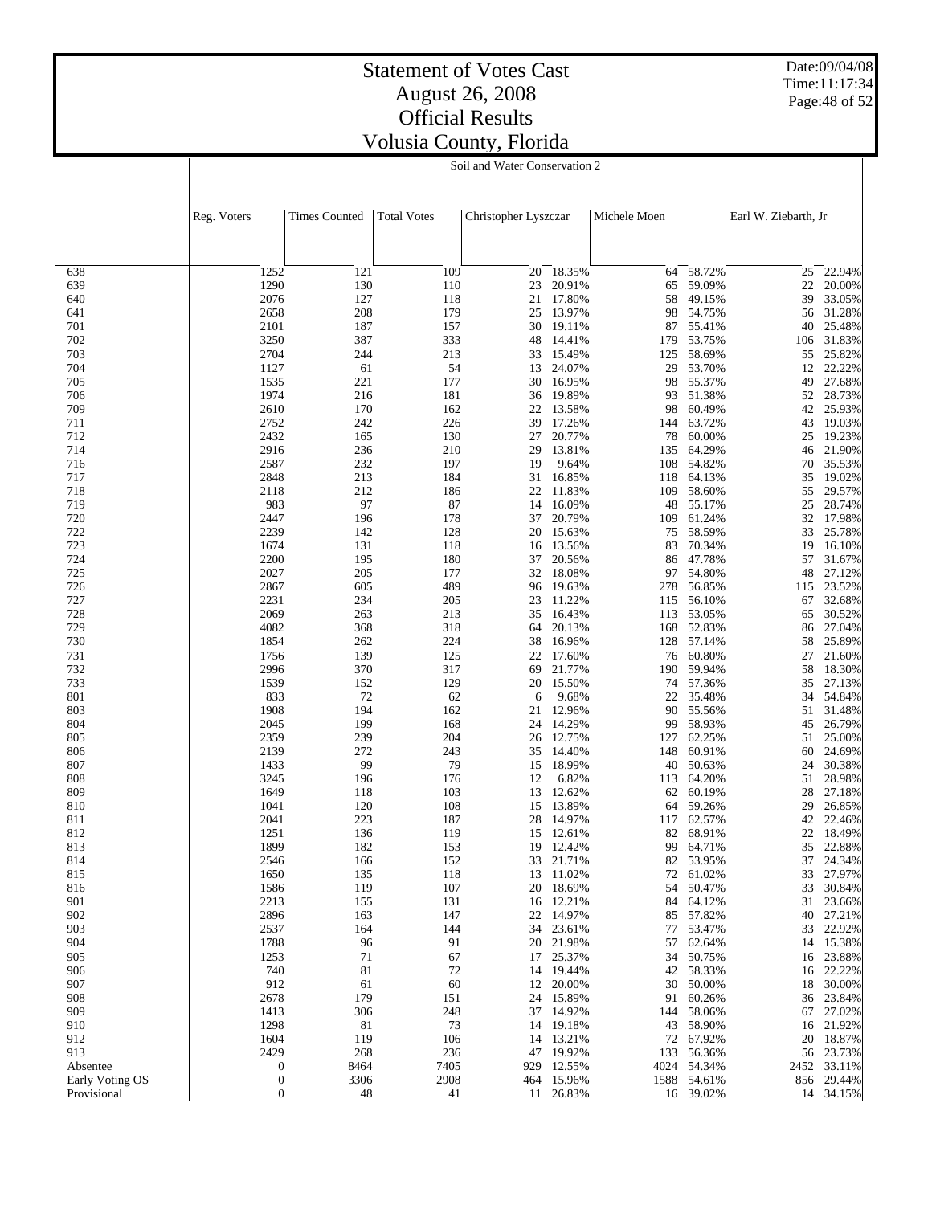Date:09/04/08 Time:11:17:34 Page:48 of 52

## Statement of Votes Cast August 26, 2008 Official Results Volusia County, Florida

Soil and Water Conservation 2

|                 | Reg. Voters      | <b>Times Counted</b> | <b>Total Votes</b> | Christopher Lyszczar |                  | Michele Moen |                  | Earl W. Ziebarth, Jr |                      |
|-----------------|------------------|----------------------|--------------------|----------------------|------------------|--------------|------------------|----------------------|----------------------|
|                 |                  |                      |                    |                      |                  |              |                  |                      |                      |
|                 |                  |                      |                    |                      |                  |              |                  |                      |                      |
| 638             | 1252             | 121                  | 109                | 20                   | 18.35%           | 64           | 58.72%           | 25                   | 22.94%               |
| 639             | 1290             | 130                  | 110                | 23                   | 20.91%           | 65           | 59.09%           | 22                   | 20.00%               |
| 640             | 2076             | 127                  | 118                | 21                   | 17.80%           | 58           | 49.15%           | 39                   | 33.05%               |
| 641             | 2658             | 208                  | 179                | 25                   | 13.97%           | 98           | 54.75%           | 56                   | 31.28%               |
| 701             | 2101             | 187                  | 157                | 30                   | 19.11%           | 87           | 55.41%           | 40                   | 25.48%               |
| 702             | 3250             | 387                  | 333                | 48                   | 14.41%           | 179          | 53.75%           | 106                  | 31.83%               |
| 703             | 2704             | 244                  | 213                | 33                   | 15.49%           | 125          | 58.69%           | 55                   | 25.82%               |
| 704             | 1127             | 61                   | 54                 | 13                   | 24.07%           | 29           | 53.70%           | 12                   | 22.22%               |
| 705             | 1535             | 221                  | 177                | 30                   | 16.95%           | 98           | 55.37%           | 49                   | 27.68%               |
| 706<br>709      | 1974<br>2610     | 216<br>170           | 181                | 36<br>22             | 19.89%<br>13.58% | 93<br>98     | 51.38%<br>60.49% | 52<br>42             | 28.73%<br>25.93%     |
| 711             | 2752             | 242                  | 162<br>226         | 39                   | 17.26%           | 144          | 63.72%           | 43                   | 19.03%               |
| 712             | 2432             | 165                  | 130                | 27                   | 20.77%           | 78           | 60.00%           | 25                   | 19.23%               |
| 714             | 2916             | 236                  | 210                | 29                   | 13.81%           | 135          | 64.29%           | 46                   | 21.90%               |
| 716             | 2587             | 232                  | 197                | 19                   | 9.64%            | 108          | 54.82%           | 70                   | 35.53%               |
| 717             | 2848             | 213                  | 184                | 31                   | 16.85%           | 118          | 64.13%           | 35                   | 19.02%               |
| 718             | 2118             | 212                  | 186                | 22                   | 11.83%           | 109          | 58.60%           | 55                   | 29.57%               |
| 719             | 983              | 97                   | 87                 | 14                   | 16.09%           | 48           | 55.17%           | 25                   | 28.74%               |
| 720             | 2447             | 196                  | 178                | 37                   | 20.79%           | 109          | 61.24%           | 32                   | 17.98%               |
| 722             | 2239             | 142                  | 128                | 20                   | 15.63%           | 75           | 58.59%           | 33                   | 25.78%               |
| 723             | 1674             | 131                  | 118                | 16                   | 13.56%           | 83           | 70.34%           | 19                   | 16.10%               |
| 724             | 2200             | 195                  | 180                | 37                   | 20.56%           |              | 86 47.78%        | 57                   | 31.67%               |
| 725             | 2027             | 205                  | 177                | 32                   | 18.08%           | 97           | 54.80%           | 48                   | 27.12%               |
| 726<br>727      | 2867<br>2231     | 605                  | 489                | 96                   | 19.63%<br>11.22% | 278          | 56.85%<br>56.10% |                      | 115 23.52%<br>32.68% |
| 728             | 2069             | 234<br>263           | 205<br>213         | 23<br>35             | 16.43%           | 115          | 113 53.05%       | 67<br>65             | 30.52%               |
| 729             | 4082             | 368                  | 318                | 64                   | 20.13%           | 168          | 52.83%           | 86                   | 27.04%               |
| 730             | 1854             | 262                  | 224                | 38                   | 16.96%           |              | 128 57.14%       | 58                   | 25.89%               |
| 731             | 1756             | 139                  | 125                | 22                   | 17.60%           | 76           | 60.80%           | 27                   | 21.60%               |
| 732             | 2996             | 370                  | 317                | 69                   | 21.77%           |              | 190 59.94%       | 58                   | 18.30%               |
| 733             | 1539             | 152                  | 129                | 20                   | 15.50%           | 74           | 57.36%           | 35                   | 27.13%               |
| 801             | 833              | 72                   | 62                 | 6                    | 9.68%            |              | 22 35.48%        | 34                   | 54.84%               |
| 803             | 1908             | 194                  | 162                | 21                   | 12.96%           | 90           | 55.56%           | 51                   | 31.48%               |
| 804             | 2045             | 199                  | 168                | 24                   | 14.29%           | 99           | 58.93%           | 45                   | 26.79%               |
| 805             | 2359             | 239                  | 204                | 26                   | 12.75%           | 127          | 62.25%           | 51                   | 25.00%               |
| 806<br>807      | 2139<br>1433     | 272<br>99            | 243<br>79          | 35<br>15             | 14.40%<br>18.99% | 148<br>40    | 60.91%<br>50.63% | 60<br>24             | 24.69%<br>30.38%     |
| 808             | 3245             | 196                  | 176                | 12                   | 6.82%            | 113          | 64.20%           | 51                   | 28.98%               |
| 809             | 1649             | 118                  | 103                | 13                   | 12.62%           | 62           | 60.19%           | 28                   | 27.18%               |
| 810             | 1041             | 120                  | 108                | 15                   | 13.89%           | 64           | 59.26%           | 29                   | 26.85%               |
| 811             | 2041             | 223                  | 187                | 28                   | 14.97%           | 117          | 62.57%           | 42                   | 22.46%               |
| 812             | 1251             | 136                  | 119                |                      | 15 12.61%        | 82           | 68.91%           | 22                   | 18.49%               |
| 813             | 1899             | 182                  | 153                | 19                   | 12.42%           | 99           | 64.71%           | 35                   | 22.88%               |
| 814             | 2546             | 166                  | 152                | 33                   | 21.71%           |              | 82 53.95%        | 37                   | 24.34%               |
| 815             | 1650             | 135                  | 118                |                      | 13 11.02%        | 72           | 61.02%           | 33                   | 27.97%               |
| 816             | 1586             | 119                  | 107                |                      | 20 18.69%        | 54           | 50.47%           |                      | 33 30.84%            |
| 901             | 2213             | 155                  | 131                |                      | 16 12.21%        | 84           | 64.12%           | 31                   | 23.66%               |
| 902<br>903      | 2896<br>2537     | 163<br>164           | 147<br>144         | 22<br>34             | 14.97%<br>23.61% | 85           | 57.82%<br>53.47% | 40                   | 27.21%<br>22.92%     |
| 904             | 1788             | 96                   | 91                 | 20                   | 21.98%           | 77<br>57     | 62.64%           | 33                   | 14 15.38%            |
| 905             | 1253             | 71                   | 67                 | 17                   | 25.37%           | 34           | 50.75%           | 16                   | 23.88%               |
| 906             | 740              | 81                   | 72                 | 14                   | 19.44%           | 42           | 58.33%           | 16                   | 22.22%               |
| 907             | 912              | 61                   | 60                 | 12                   | 20.00%           | 30           | 50.00%           | 18                   | 30.00%               |
| 908             | 2678             | 179                  | 151                | 24                   | 15.89%           | 91           | 60.26%           | 36                   | 23.84%               |
| 909             | 1413             | 306                  | 248                | 37                   | 14.92%           | 144          | 58.06%           | 67                   | 27.02%               |
| 910             | 1298             | 81                   | 73                 | 14                   | 19.18%           | 43           | 58.90%           | 16                   | 21.92%               |
| 912             | 1604             | 119                  | 106                | 14                   | 13.21%           | 72           | 67.92%           | 20                   | 18.87%               |
| 913             | 2429             | 268                  | 236                | 47                   | 19.92%           | 133          | 56.36%           | 56                   | 23.73%               |
| Absentee        | $\boldsymbol{0}$ | 8464                 | 7405               | 929                  | 12.55%           | 4024         | 54.34%           | 2452                 | 33.11%               |
| Early Voting OS | $\boldsymbol{0}$ | 3306                 | 2908               |                      | 464 15.96%       |              | 1588 54.61%      |                      | 856 29.44%           |
| Provisional     | $\boldsymbol{0}$ | 48                   | 41                 |                      | 11 26.83%        |              | 16 39.02%        |                      | 14 34.15%            |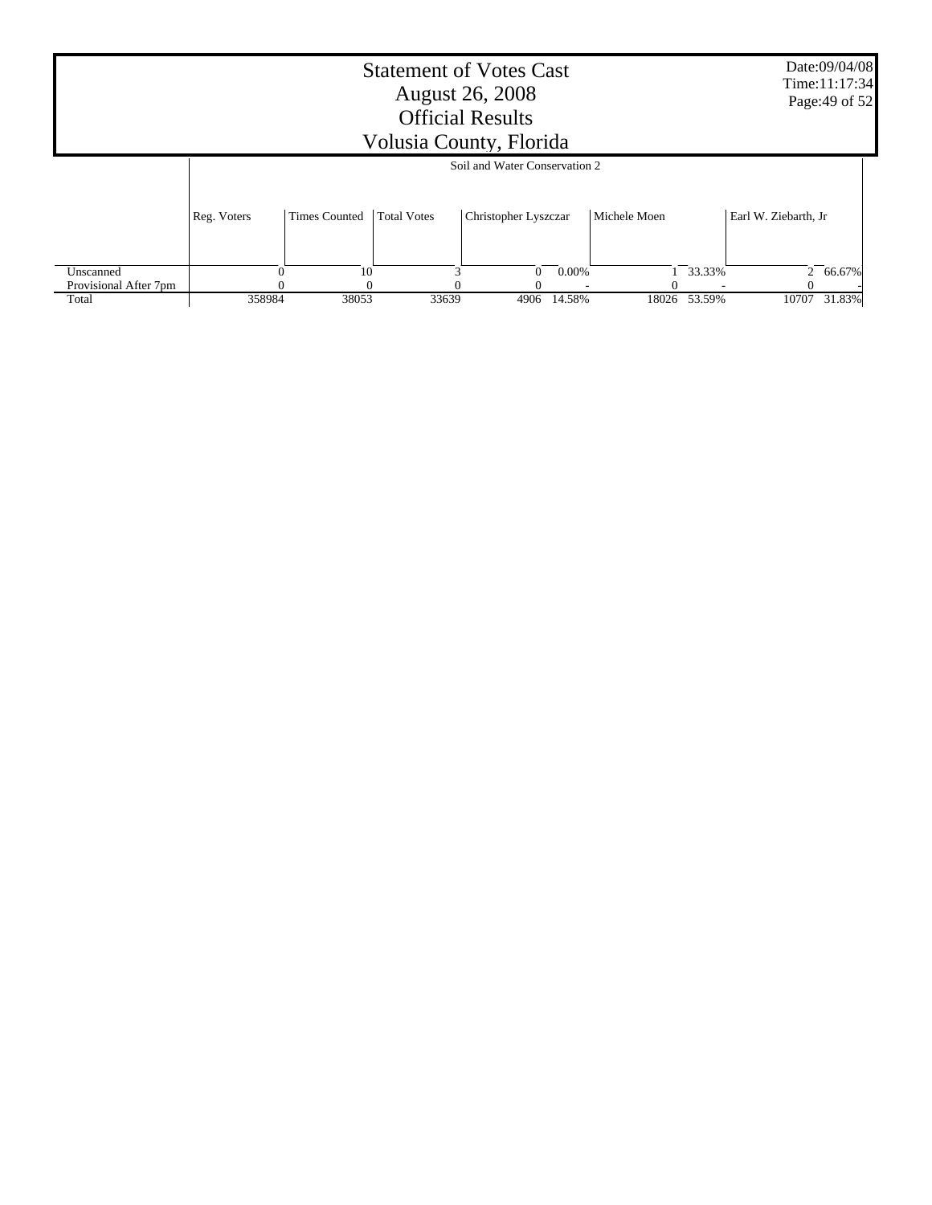|                       |             |                                                                                                            | <b>Statement of Votes Cast</b><br>Volusia County, Florida | <b>August 26, 2008</b><br><b>Official Results</b> |        |       |        |       | Date:09/04/08<br>Time:11:17:34<br>Page: 49 of 52 |
|-----------------------|-------------|------------------------------------------------------------------------------------------------------------|-----------------------------------------------------------|---------------------------------------------------|--------|-------|--------|-------|--------------------------------------------------|
|                       |             | Soil and Water Conservation 2                                                                              |                                                           |                                                   |        |       |        |       |                                                  |
|                       | Reg. Voters | <b>Times Counted</b><br><b>Total Votes</b><br>Michele Moen<br>Christopher Lyszczar<br>Earl W. Ziebarth, Jr |                                                           |                                                   |        |       |        |       |                                                  |
| Unscanned             |             | 10<br>0.00%<br>33.33%<br>$\Omega$<br>2 66.67%                                                              |                                                           |                                                   |        |       |        |       |                                                  |
| Provisional After 7pm |             |                                                                                                            |                                                           |                                                   |        |       |        |       |                                                  |
| Total                 | 358984      | 38053                                                                                                      | 33639                                                     | 4906                                              | 14.58% | 18026 | 53.59% | 10707 | 31.83%                                           |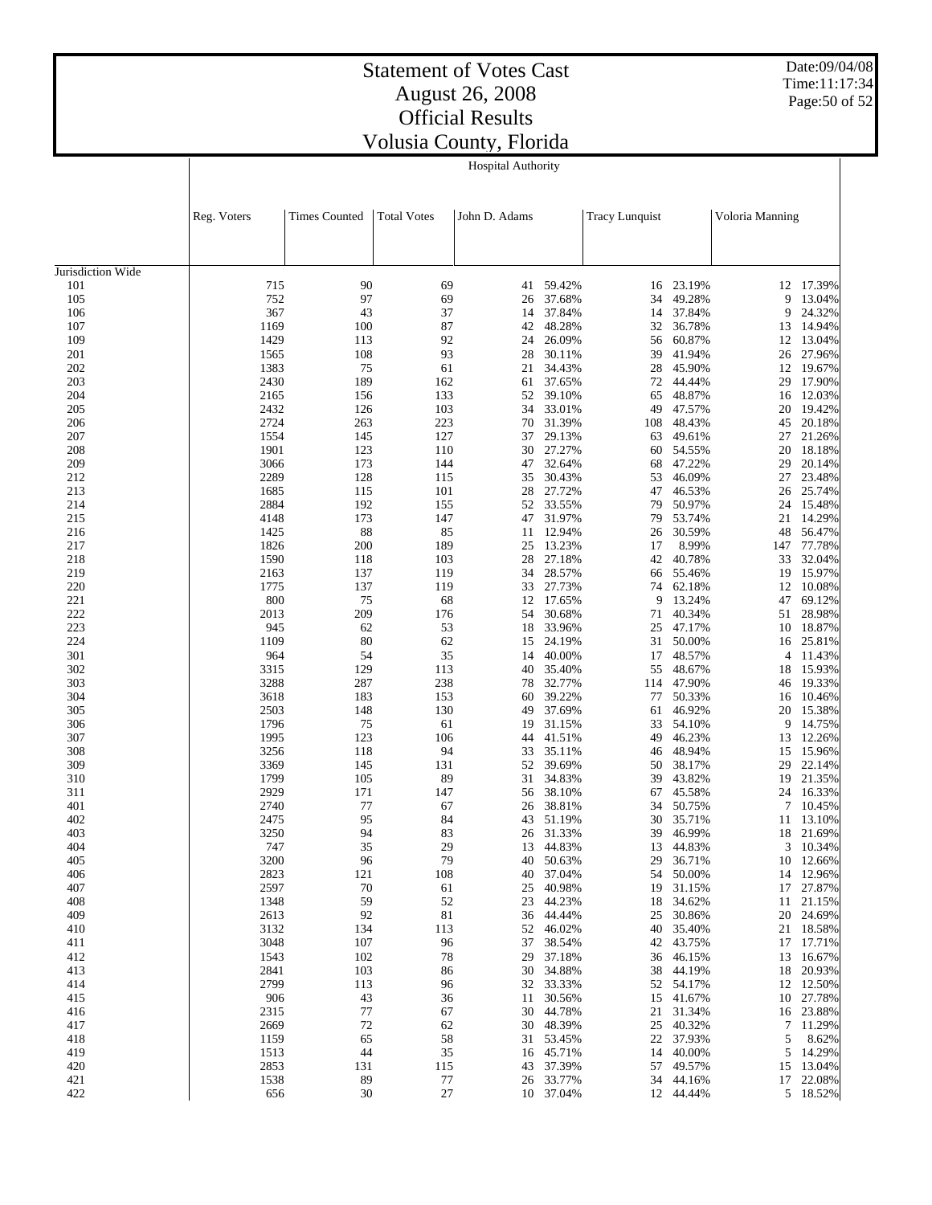Hospital Authority

Date:09/04/08 Time:11:17:34 Page:50 of 52

|                   | Reg. Voters  | <b>Times Counted</b> | <b>Total Votes</b> | John D. Adams |                  | <b>Tracy Lunquist</b> |                  | Voloria Manning |                  |
|-------------------|--------------|----------------------|--------------------|---------------|------------------|-----------------------|------------------|-----------------|------------------|
|                   |              |                      |                    |               |                  |                       |                  |                 |                  |
|                   |              |                      |                    |               |                  |                       |                  |                 |                  |
| Jurisdiction Wide |              |                      |                    |               |                  |                       |                  |                 |                  |
| 101               | 715          | 90                   | 69                 | 41            | 59.42%           | 16                    | 23.19%           | 12              | 17.39%           |
| 105               | 752          | 97                   | 69                 | 26            | 37.68%           | 34                    | 49.28%           | 9               | 13.04%           |
| 106               | 367          | 43                   | 37                 | 14            | 37.84%           | 14                    | 37.84%           | 9               | 24.32%           |
| 107               | 1169         | 100                  | 87                 | 42            | 48.28%           | 32                    | 36.78%           | 13              | 14.94%           |
| 109               | 1429         | 113                  | 92                 | 24            | 26.09%           | 56                    | 60.87%           | 12              | 13.04%           |
| 201               | 1565         | 108                  | 93                 | 28            | 30.11%           | 39                    | 41.94%           | 26              | 27.96%           |
| 202               | 1383         | 75                   | 61                 | 21            | 34.43%           | 28                    | 45.90%           | 12              | 19.67%           |
| 203               | 2430         | 189                  | 162                | 61            | 37.65%           | 72                    | 44.44%           | 29              | 17.90%           |
| 204               | 2165         | 156                  | 133                | 52            | 39.10%           | 65                    | 48.87%           | 16              | 12.03%           |
| 205<br>206        | 2432<br>2724 | 126<br>263           | 103<br>223         | 34<br>70      | 33.01%<br>31.39% | 49                    | 47.57%<br>48.43% | 20<br>45        | 19.42%           |
| 207               | 1554         | 145                  | 127                | 37            | 29.13%           | 108<br>63             | 49.61%           | 27              | 20.18%<br>21.26% |
| 208               | 1901         | 123                  | 110                | 30            | 27.27%           | 60                    | 54.55%           | 20              | 18.18%           |
| 209               | 3066         | 173                  | 144                | 47            | 32.64%           | 68                    | 47.22%           | 29              | 20.14%           |
| 212               | 2289         | 128                  | 115                | 35            | 30.43%           | 53                    | 46.09%           | 27              | 23.48%           |
| 213               | 1685         | 115                  | 101                | 28            | 27.72%           | 47                    | 46.53%           | 26              | 25.74%           |
| 214               | 2884         | 192                  | 155                | 52            | 33.55%           | 79                    | 50.97%           | 24              | 15.48%           |
| 215               | 4148         | 173                  | 147                | 47            | 31.97%           | 79                    | 53.74%           | 21              | 14.29%           |
| 216               | 1425         | 88                   | 85                 | 11            | 12.94%           | 26                    | 30.59%           | 48              | 56.47%           |
| 217               | 1826         | 200                  | 189                | 25            | 13.23%           | 17                    | 8.99%            | 147             | 77.78%           |
| 218               | 1590         | 118                  | 103                | 28            | 27.18%           | 42                    | 40.78%           | 33              | 32.04%           |
| 219               | 2163         | 137                  | 119                | 34            | 28.57%           | 66                    | 55.46%           | 19              | 15.97%           |
| 220               | 1775         | 137                  | 119                | 33            | 27.73%           | 74                    | 62.18%           | 12              | 10.08%           |
| 221               | 800          | 75                   | 68                 | 12            | 17.65%           | 9                     | 13.24%           | 47              | 69.12%           |
| 222               | 2013         | 209                  | 176                | 54            | 30.68%           | 71                    | 40.34%           | 51              | 28.98%           |
| 223               | 945          | 62                   | 53                 | 18            | 33.96%           | 25                    | 47.17%           | 10              | 18.87%           |
| 224               | 1109         | 80                   | 62                 | 15            | 24.19%           | 31                    | 50.00%           | 16              | 25.81%           |
| 301               | 964          | 54                   | 35                 | 14            | 40.00%           | 17                    | 48.57%           | 4               | 11.43%           |
| 302               | 3315         | 129                  | 113                | 40            | 35.40%           | 55                    | 48.67%           | 18              | 15.93%           |
| 303               | 3288         | 287                  | 238                | 78            | 32.77%           | 114                   | 47.90%           | 46              | 19.33%           |
| 304               | 3618         | 183                  | 153                | 60            | 39.22%           | 77                    | 50.33%           | 16              | 10.46%           |
| 305               | 2503<br>1796 | 148<br>75            | 130<br>61          | 49<br>19      | 37.69%           | 61<br>33              | 46.92%<br>54.10% | 20<br>9         | 15.38%           |
| 306<br>307        | 1995         | 123                  | 106                | 44            | 31.15%<br>41.51% | 49                    | 46.23%           | 13              | 14.75%<br>12.26% |
| 308               | 3256         | 118                  | 94                 | 33            | 35.11%           | 46                    | 48.94%           | 15              | 15.96%           |
| 309               | 3369         | 145                  | 131                | 52            | 39.69%           | 50                    | 38.17%           | 29              | 22.14%           |
| 310               | 1799         | 105                  | 89                 | 31            | 34.83%           | 39                    | 43.82%           | 19              | 21.35%           |
| 311               | 2929         | 171                  | 147                | 56            | 38.10%           | 67                    | 45.58%           | 24              | 16.33%           |
| 401               | 2740         | 77                   | 67                 | 26            | 38.81%           | 34                    | 50.75%           | 7               | 10.45%           |
| 402               | 2475         | 95                   | 84                 | 43            | 51.19%           | 30                    | 35.71%           | 11              | 13.10%           |
| 403               | 3250         | 94                   | 83                 | 26            | 31.33%           | 39                    | 46.99%           | 18              | 21.69%           |
| 404               | 747          | 35                   | 29                 | 13            | 44.83%           | 13                    | 44.83%           | 3               | 10.34%           |
| 405               | 3200         | 96                   | 79                 | 40            | 50.63%           | 29                    | 36.71%           | 10              | 12.66%           |
| 406               | 2823         | 121                  | 108                | 40            | 37.04%           |                       | 54 50.00%        |                 | 14 12.96%        |
| 407               | 2597         | 70                   | 61                 | 25            | 40.98%           | 19                    | 31.15%           | 17              | 27.87%           |
| 408               | 1348         | 59                   | 52                 | 23            | 44.23%           | 18                    | 34.62%           | 11              | 21.15%           |
| 409               | 2613         | 92                   | 81                 | 36            | 44.44%           | 25                    | 30.86%           | 20              | 24.69%           |
| 410               | 3132         | 134                  | 113                | 52            | 46.02%           | 40                    | 35.40%           | 21              | 18.58%           |
| 411               | 3048         | 107                  | 96                 | 37            | 38.54%           | 42                    | 43.75%           | 17              | 17.71%           |
| 412               | 1543         | 102                  | 78                 | 29            | 37.18%           | 36                    | 46.15%           | 13              | 16.67%           |
| 413               | 2841         | 103                  | 86                 | 30            | 34.88%           | 38                    | 44.19%           | 18              | 20.93%           |
| 414               | 2799         | 113                  | 96                 | 32            | 33.33%           | 52                    | 54.17%           | 12              | 12.50%           |
| 415               | 906          | 43                   | 36                 | 11            | 30.56%           | 15                    | 41.67%           | 10              | 27.78%           |
| 416               | 2315         | 77                   | 67                 | 30            | 44.78%           | 21                    | 31.34%           | 16              | 23.88%           |
| 417               | 2669         | $72\,$               | 62                 | 30            | 48.39%           | 25                    | 40.32%           | 7               | 11.29%           |
| 418               | 1159         | 65                   | 58                 | 31            | 53.45%           | 22                    | 37.93%           | 5               | 8.62%            |
| 419<br>420        | 1513<br>2853 | 44<br>131            | 35                 | 16<br>43      | 45.71%<br>37.39% | 14<br>57              | 40.00%<br>49.57% | 5               | 14.29%<br>13.04% |
| 421               | 1538         | 89                   | 115<br>77          | 26            | 33.77%           | 34                    | 44.16%           | 15<br>17        | 22.08%           |
| 422               | 656          | $30\,$               | $27\,$             |               | 10 37.04%        |                       | 12 44.44%        |                 | 5 18.52%         |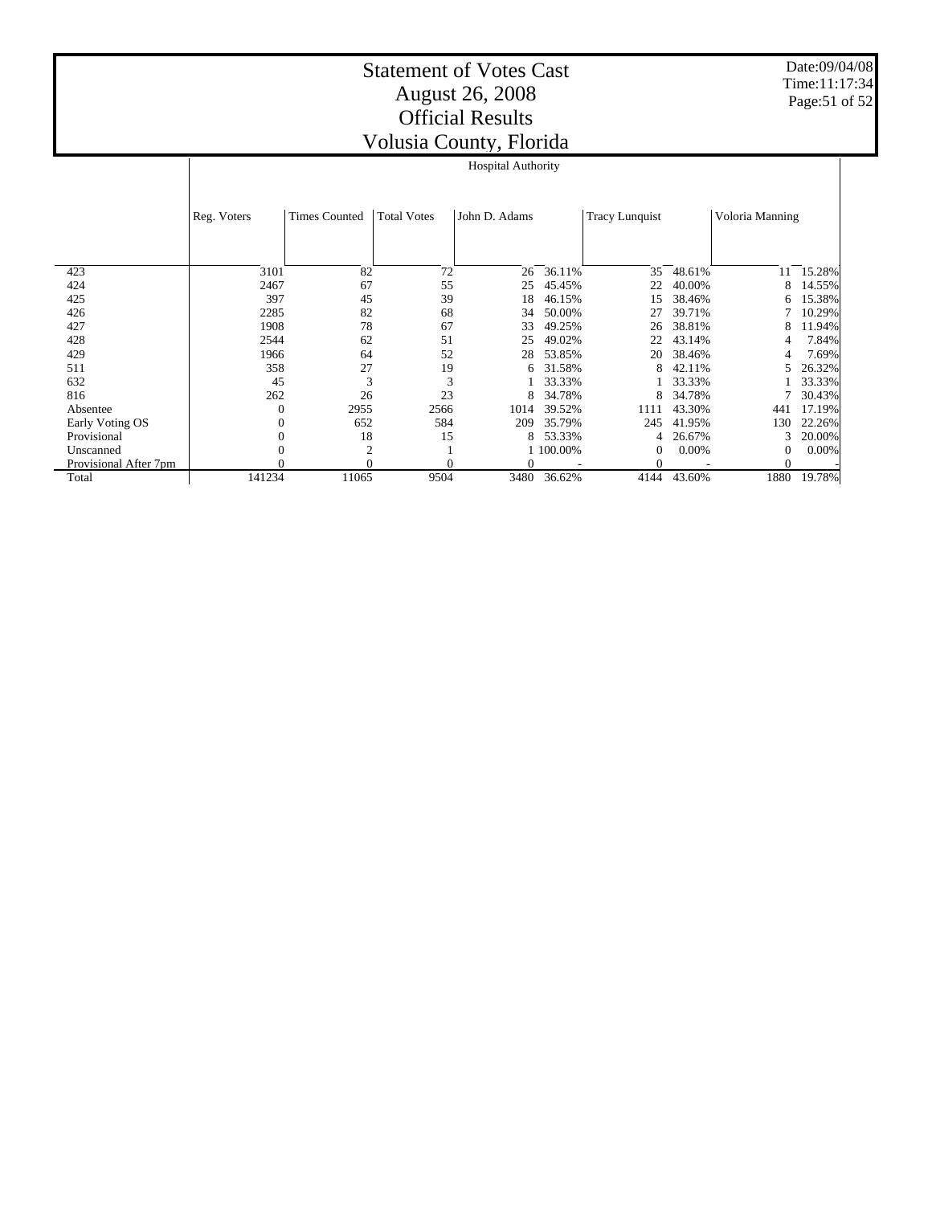Date:09/04/08 Time:11:17:34 Page:51 of 52

|                       |             |                      |                    | J <sup>7</sup><br><b>Hospital Authority</b> |             |                       |          |                 |        |
|-----------------------|-------------|----------------------|--------------------|---------------------------------------------|-------------|-----------------------|----------|-----------------|--------|
|                       |             |                      |                    |                                             |             |                       |          |                 |        |
|                       |             |                      |                    |                                             |             |                       |          |                 |        |
|                       | Reg. Voters | <b>Times Counted</b> | <b>Total Votes</b> | John D. Adams                               |             | <b>Tracy Lunquist</b> |          | Voloria Manning |        |
|                       |             |                      |                    |                                             |             |                       |          |                 |        |
|                       |             |                      |                    |                                             |             |                       |          |                 |        |
| 423                   | 3101        | 82                   | 72                 | 26                                          | 36.11%      | 35                    | 48.61%   | 11              | 15.28% |
| 424                   | 2467        | 67                   | 55                 | 25                                          | 45.45%      | 22                    | 40.00%   | 8               | 14.55% |
| 425                   | 397         | 45                   | 39                 | 18                                          | 46.15%      | 15                    | 38.46%   | 6               | 15.38% |
| 426                   | 2285        | 82                   | 68                 | 34                                          | 50.00%      | 27                    | 39.71%   |                 | 10.29% |
| 427                   | 1908        | 78                   | 67                 | 33                                          | 49.25%      | 26                    | 38.81%   | 8               | 11.94% |
| 428                   | 2544        | 62                   | 51                 | 25                                          | 49.02%      | 22                    | 43.14%   | 4               | 7.84%  |
| 429                   | 1966        | 64                   | 52                 | 28                                          | 53.85%      | 20                    | 38.46%   |                 | 7.69%  |
| 511                   | 358         | 27                   | 19                 | 6                                           | 31.58%      | 8                     | 42.11%   | 5               | 26.32% |
| 632                   | 45          | 3                    | 3                  |                                             | 33.33%      |                       | 33.33%   |                 | 33.33% |
| 816                   | 262         | 26                   | 23                 | 8                                           | 34.78%      | 8                     | 34.78%   |                 | 30.43% |
| Absentee              | 0           | 2955                 | 2566               | 1014                                        | 39.52%      | 1111                  | 43.30%   | 441             | 17.19% |
| Early Voting OS       |             | 652                  | 584                | 209                                         | 35.79%      | 245                   | 41.95%   | 130             | 22.26% |
| Provisional           |             | 18                   | 15                 | 8                                           | 53.33%      | 4                     | 26.67%   | 3               | 20.00% |
| Unscanned             |             | $\overline{2}$       |                    |                                             | 1 100.00%   | $\theta$              | $0.00\%$ | 0               | 0.00%  |
| Provisional After 7pm |             | 0                    |                    |                                             |             | $\overline{0}$        |          |                 |        |
| Total                 | 141234      | 11065                | 9504               |                                             | 3480 36.62% | 4144                  | 43.60%   | 1880            | 19.78% |